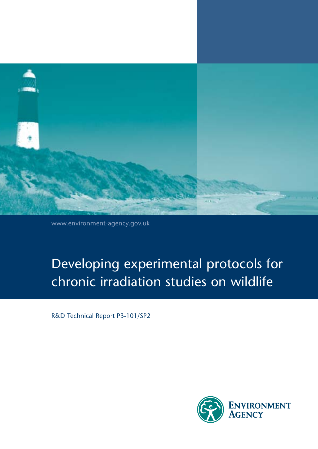

www.environment-agency.gov.uk

# Developing experimental protocols for chronic irradiation studies on wildlife

R&D Technical Report P3-101/SP2

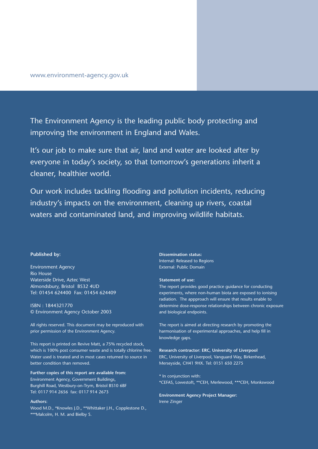The Environment Agency is the leading public body protecting and improving the environment in England and Wales.

It's our job to make sure that air, land and water are looked after by everyone in today's society, so that tomorrow's generations inherit a cleaner, healthier world.

Our work includes tackling flooding and pollution incidents, reducing industry's impacts on the environment, cleaning up rivers, coastal waters and contaminated land, and improving wildlife habitats.

### **Published by:**

Environment Agency Rio House Waterside Drive, Aztec West Almondsbury, Bristol BS32 4UD Tel: 01454 624400 Fax: 01454 624409

ISBN : 1844321770 © Environment Agency October 2003

All rights reserved. This document may be reproduced with prior permission of the Environment Agency.

This report is printed on Revive Matt, a 75% recycled stock, which is 100% post consumer waste and is totally chlorine free. Water used is treated and in most cases returned to source in better condition than removed.

**Further copies of this report are available from:** Environment Agency, Government Buildings, Burghill Road, Westbury-on-Trym, Bristol BS10 6BF Tel: 0117 914 2656 fax: 0117 914 2673

#### **Authors:**

Wood M.D., \*Knowles J.D., \*\*Whittaker J.H., Copplestone D., \*\*\*Malcolm, H. M. and Bielby S.

**Dissemination status:** Internal: Released to Regions External: Public Domain

#### **Statement of use:**

The report provides good practice guidance for conducting experiments, where non-human biota are exposed to ionising radiation. The appproach will ensure that results enable to determine dose-response relationships between chronic exposure and biological endpoints.

The report is aimed at directing research by promoting the harmonisation of experimental approaches, and help fill in knowledge gaps.

**Research contractor: ERC, University of Liverpool** ERC, University of Liverpool, Vanguard Way, Birkenhead, Merseyside, CH41 9HX. Tel: 0151 650 2275

\* In conjunction with: \*CEFAS, Lowestoft, \*\*CEH, Merlewood, \*\*\*CEH, Monkswood

**Environment Agency Project Manager:** Irene Zinger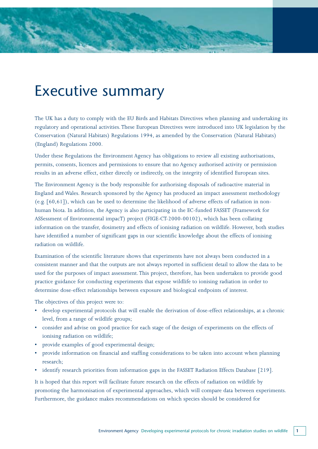# Executive summary

The UK has a duty to comply with the EU Birds and Habitats Directives when planning and undertaking its regulatory and operational activities. These European Directives were introduced into UK legislation by the Conservation (Natural Habitats) Regulations 1994, as amended by the Conservation (Natural Habitats) (England) Regulations 2000.

Under these Regulations the Environment Agency has obligations to review all existing authorisations, permits, consents, licences and permissions to ensure that no Agency authorised activity or permission results in an adverse effect, either directly or indirectly, on the integrity of identified European sites.

The Environment Agency is the body responsible for authorising disposals of radioactive material in England and Wales. Research sponsored by the Agency has produced an impact assessment methodology (e.g. [60,61]), which can be used to determine the likelihood of adverse effects of radiation in nonhuman biota. In addition, the Agency is also participating in the EC-funded FASSET (Framework for ASSessment of Environmental impacT) project (FIGE-CT-2000-00102), which has been collating information on the transfer, dosimetry and effects of ionising radiation on wildlife. However, both studies have identified a number of significant gaps in our scientific knowledge about the effects of ionising radiation on wildlife.

Examination of the scientific literature shows that experiments have not always been conducted in a consistent manner and that the outputs are not always reported in sufficient detail to allow the data to be used for the purposes of impact assessment. This project, therefore, has been undertaken to provide good practice guidance for conducting experiments that expose wildlife to ionising radiation in order to determine dose-effect relationships between exposure and biological endpoints of interest.

The objectives of this project were to:

- develop experimental protocols that will enable the derivation of dose-effect relationships, at a chronic level, from a range of wildlife groups;
- consider and advise on good practice for each stage of the design of experiments on the effects of ionising radiation on wildlife;
- provide examples of good experimental design;
- provide information on financial and staffing considerations to be taken into account when planning research;
- identify research priorities from information gaps in the FASSET Radiation Effects Database [219].

It is hoped that this report will facilitate future research on the effects of radiation on wildlife by promoting the harmonisation of experimental approaches, which will compare data between experiments. Furthermore, the guidance makes recommendations on which species should be considered for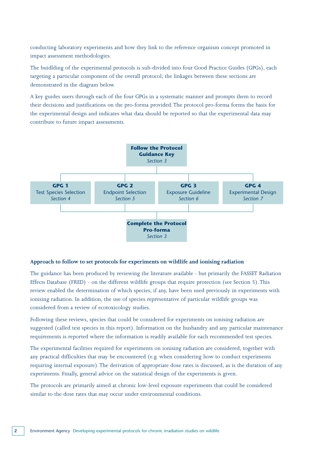conducting laboratory experiments and how they link to the reference organism concept promoted in impact assessment methodologies.

The buidlding of the experimental protocols is sub-divided into four Good Practice Guides (GPGs), each targeting a particular component of the overall protocol; the linkages between these sections are demonstrated in the diagram below.

A key guides users through each of the four GPGs in a systematic manner and prompts them to record their decisions and justifications on the pro-forma provided. The protocol pro-forma forms the basis for the experimental design and indicates what data should be reported so that the experimental data may contribute to future impact assessments.



### **Approach to follow to set protocols for experiments on wildlife and ionising radiation**

The guidance has been produced by reviewing the literature available - but primarily the FASSET Radiation Effects Database (FRED) - on the different wildlife groups that require protection (see Section 5). This review enabled the determination of which species, if any, have been used previously in experiments with ionising radiation. In addition, the use of species representative of particular wildlife groups was considered from a review of ecotoxicology studies.

Following these reviews, species that could be considered for experiments on ionising radiation are suggested (called test species in this report). Information on the husbandry and any particular maintenance requirements is reported where the information is readily available for each recommended test species.

The experimental facilities required for experiments on ionising radiation are considered, together with any practical difficulties that may be encountered (e.g. when considering how to conduct experiments requiring internal exposure). The derivation of appropriate dose rates is discussed, as is the duration of any experiments. Finally, general advice on the statistical design of the experiments is given.

The protocols are primarily aimed at chronic low-level exposure experiments that could be considered similar to the dose rates that may occur under environmental conditions.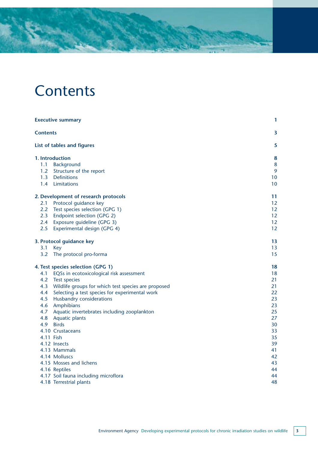# **Contents**

| <b>Executive summary</b> |                                                         | 1                       |
|--------------------------|---------------------------------------------------------|-------------------------|
| <b>Contents</b>          |                                                         | $\overline{\mathbf{3}}$ |
|                          | <b>List of tables and figures</b>                       | 5                       |
|                          | <b>1. Introduction</b>                                  | 8                       |
|                          | 1.1 Background                                          | 8                       |
|                          | 1.2 Structure of the report                             | 9                       |
|                          | 1.3 Definitions                                         | 10                      |
|                          | 1.4 Limitations                                         | 10                      |
|                          | 2. Development of research protocols                    | 11                      |
|                          | 2.1 Protocol guidance key                               | 12                      |
|                          | 2.2 Test species selection (GPG 1)                      | 12                      |
|                          | 2.3 Endpoint selection (GPG 2)                          | 12                      |
|                          | 2.4 Exposure guideline (GPG 3)                          | 12                      |
| 2.5                      | Experimental design (GPG 4)                             | 12                      |
|                          | 3. Protocol guidance key                                | 13                      |
| 3.1                      | Key                                                     | 13                      |
|                          | 3.2 The protocol pro-forma                              | 15                      |
|                          | 4. Test species selection (GPG 1)                       | 18                      |
| 4.1                      | EQSs in ecotoxicological risk assessment                | 18                      |
| 4.2                      | <b>Test species</b>                                     | 21                      |
|                          | 4.3 Wildlife groups for which test species are proposed | 21                      |
| 4.4                      | Selecting a test species for experimental work          | 22                      |
| 4.5                      | Husbandry considerations                                | 23                      |
|                          | 4.6 Amphibians                                          | 23                      |
|                          | 4.7 Aquatic invertebrates including zooplankton         | 25                      |
|                          | 4.8 Aquatic plants                                      | 27                      |
| 4.9                      | <b>Birds</b>                                            | 30                      |
|                          | 4.10 Crustaceans                                        | 33                      |
|                          | 4.11 Fish                                               | 35                      |
|                          | 4.12 Insects                                            | 39                      |
|                          | 4.13 Mammals                                            | 41                      |
|                          | 4.14 Molluscs                                           | 42                      |
|                          | 4.15 Mosses and lichens                                 | 43                      |
|                          | 4.16 Reptiles                                           | 44                      |
|                          | 4.17 Soil fauna including microflora                    | 44                      |
|                          | 4.18 Terrestrial plants                                 | 48                      |
|                          |                                                         |                         |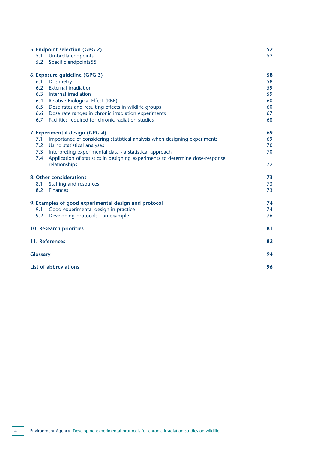|                 | 5. Endpoint selection (GPG 2)                                                 | 52 |
|-----------------|-------------------------------------------------------------------------------|----|
| 5.1             | Umbrella endpoints                                                            | 52 |
| 5.2             | Specific endpoints 55                                                         |    |
|                 | 6. Exposure guideline (GPG 3)                                                 | 58 |
| 6.1             | <b>Dosimetry</b>                                                              | 58 |
| 6.2             | <b>External irradiation</b>                                                   | 59 |
| 6.3             | Internal irradiation                                                          | 59 |
| 6.4             | Relative Biological Effect (RBE)                                              | 60 |
| 6.5             | Dose rates and resulting effects in wildlife groups                           | 60 |
| 6.6             | Dose rate ranges in chronic irradiation experiments                           | 67 |
| 6.7             | Facilities required for chronic radiation studies                             | 68 |
|                 | 7. Experimental design (GPG 4)                                                | 69 |
| 7.1             | Importance of considering statistical analysis when designing experiments     | 69 |
| 7.2             | Using statistical analyses                                                    | 70 |
| 7.3             | Interpreting experimental data - a statistical approach                       | 70 |
| 7.4             | Application of statistics in designing experiments to determine dose-response |    |
|                 | relationships                                                                 | 72 |
|                 | 8. Other considerations                                                       | 73 |
| 8.1             | Staffing and resources                                                        | 73 |
| 8.2             | <b>Finances</b>                                                               | 73 |
|                 | 9. Examples of good experimental design and protocol                          | 74 |
| 9.1             | Good experimental design in practice                                          | 74 |
| 9.2             | Developing protocols - an example                                             | 76 |
|                 | 10. Research priorities                                                       | 81 |
|                 | 11. References                                                                | 82 |
| <b>Glossary</b> |                                                                               | 94 |
|                 | List of abbreviations                                                         | 96 |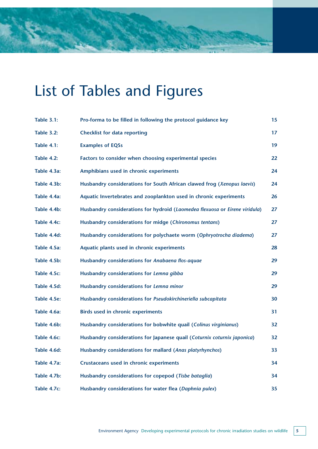# List of Tables and Figures

| <b>Table 3.1:</b> | Pro-forma to be filled in following the protocol guidance key               | 15 |
|-------------------|-----------------------------------------------------------------------------|----|
| <b>Table 3.2:</b> | <b>Checklist for data reporting</b>                                         | 17 |
| <b>Table 4.1:</b> | <b>Examples of EQSs</b>                                                     | 19 |
| <b>Table 4.2:</b> | Factors to consider when choosing experimental species                      | 22 |
| Table 4.3a:       | Amphibians used in chronic experiments                                      | 24 |
| Table 4.3b:       | Husbandry considerations for South African clawed frog (Xenopus laevis)     | 24 |
| Table 4.4a:       | Aquatic Invertebrates and zooplankton used in chronic experiments           | 26 |
| Table 4.4b:       | Husbandry considerations for hydroid (Laomedea flexuosa or Eirene viridula) | 27 |
| Table 4.4c:       | Husbandry considerations for midge (Chironomus tentans)                     | 27 |
| Table 4.4d:       | Husbandry considerations for polychaete worm (Ophryotrocha diadema)         | 27 |
| Table 4.5a:       | Aquatic plants used in chronic experiments                                  | 28 |
| Table 4.5b:       | Husbandry considerations for Anabaena flos-aquae                            | 29 |
| Table 4.5c:       | Husbandry considerations for Lemna gibba                                    | 29 |
| Table 4.5d:       | Husbandry considerations for Lemna minor                                    | 29 |
| Table 4.5e:       | Husbandry considerations for Pseudokirchineriella subcapitata               | 30 |
| Table 4.6a:       | <b>Birds used in chronic experiments</b>                                    | 31 |
| Table 4.6b:       | Husbandry considerations for bobwhite quail (Colinus virginianus)           | 32 |
| Table 4.6c:       | Husbandry considerations for Japanese quail (Coturnix coturnix japonica)    | 32 |
| Table 4.6d:       | Husbandry considerations for mallard (Anas platyrhynchos)                   | 33 |
| Table 4.7a:       | Crustaceans used in chronic experiments                                     | 34 |
| Table 4.7b:       | Husbandry considerations for copepod (Tisbe bataglia)                       | 34 |
| Table 4.7c:       | Husbandry considerations for water flea (Daphnia pulex)                     | 35 |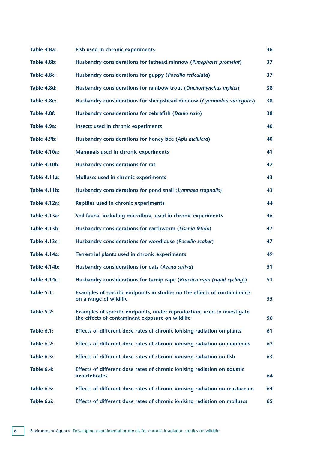| Table 4.8a:         | Fish used in chronic experiments                                                                                           | 36 |
|---------------------|----------------------------------------------------------------------------------------------------------------------------|----|
| Table 4.8b:         | Husbandry considerations for fathead minnow (Pimephales promelas)                                                          | 37 |
| Table 4.8c:         | Husbandry considerations for guppy (Poecilia reticulata)                                                                   | 37 |
| Table 4.8d:         | Husbandry considerations for rainbow trout (Onchorhynchus mykiss)                                                          | 38 |
| Table 4.8e:         | Husbandry considerations for sheepshead minnow (Cyprinodon variegates)                                                     | 38 |
| Table 4.8f:         | Husbandry considerations for zebrafish (Danio rerio)                                                                       | 38 |
| Table 4.9a:         | Insects used in chronic experiments                                                                                        | 40 |
| Table 4.9b:         | Husbandry considerations for honey bee (Apis mellifera)                                                                    | 40 |
| <b>Table 4.10a:</b> | Mammals used in chronic experiments                                                                                        | 41 |
| <b>Table 4.10b:</b> | Husbandry considerations for rat                                                                                           | 42 |
| Table 4.11a:        | Molluscs used in chronic experiments                                                                                       | 43 |
| <b>Table 4.11b:</b> | Husbandry considerations for pond snail (Lymnaea stagnalis)                                                                | 43 |
| <b>Table 4.12a:</b> | Reptiles used in chronic experiments                                                                                       | 44 |
| <b>Table 4.13a:</b> | Soil fauna, including microflora, used in chronic experiments                                                              | 46 |
| <b>Table 4.13b:</b> | Husbandry considerations for earthworm (Eisenia fetida)                                                                    | 47 |
| <b>Table 4.13c:</b> | Husbandry considerations for woodlouse (Pocellio scaber)                                                                   | 47 |
| <b>Table 4.14a:</b> | Terrestrial plants used in chronic experiments                                                                             | 49 |
| <b>Table 4.14b:</b> | Husbandry considerations for oats (Avena sativa)                                                                           | 51 |
| <b>Table 4.14c:</b> | Husbandry considerations for turnip rape (Brassica rapa (rapid cycling))                                                   | 51 |
| <b>Table 5.1:</b>   | Examples of specific endpoints in studies on the effects of contaminants<br>on a range of wildlife                         | 55 |
| <b>Table 5.2:</b>   | Examples of specific endpoints, under reproduction, used to investigate<br>the effects of contaminant exposure on wildlife | 56 |
| <b>Table 6.1:</b>   | Effects of different dose rates of chronic ionising radiation on plants                                                    | 61 |
| <b>Table 6.2:</b>   | Effects of different dose rates of chronic ionising radiation on mammals                                                   | 62 |
| <b>Table 6.3:</b>   | Effects of different dose rates of chronic ionising radiation on fish                                                      | 63 |
| Table 6.4:          | Effects of different dose rates of chronic ionising radiation on aquatic<br><b>invertebrates</b>                           | 64 |
| <b>Table 6.5:</b>   | Effects of different dose rates of chronic ionising radiation on crustaceans                                               | 64 |
| <b>Table 6.6:</b>   | Effects of different dose rates of chronic ionising radiation on molluscs                                                  | 65 |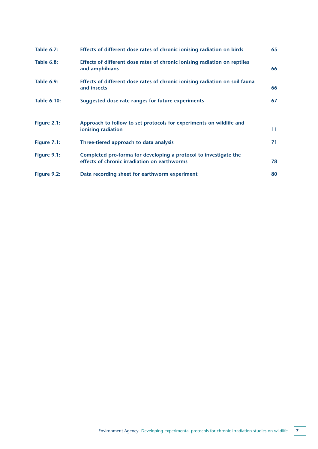| <b>Table 6.7:</b>  | Effects of different dose rates of chronic ionising radiation on birds                                           | 65 |
|--------------------|------------------------------------------------------------------------------------------------------------------|----|
| <b>Table 6.8:</b>  | Effects of different dose rates of chronic ionising radiation on reptiles<br>and amphibians                      | 66 |
| <b>Table 6.9:</b>  | Effects of different dose rates of chronic ionising radiation on soil fauna<br>and insects                       | 66 |
| <b>Table 6.10:</b> | Suggested dose rate ranges for future experiments                                                                | 67 |
| Figure 2.1:        | Approach to follow to set protocols for experiments on wildlife and<br>ionising radiation                        | 11 |
| Figure 7.1:        | Three-tiered approach to data analysis                                                                           | 71 |
| Figure 9.1:        | Completed pro-forma for developing a protocol to investigate the<br>effects of chronic irradiation on earthworms | 78 |
| Figure 9.2:        | Data recording sheet for earthworm experiment                                                                    | 80 |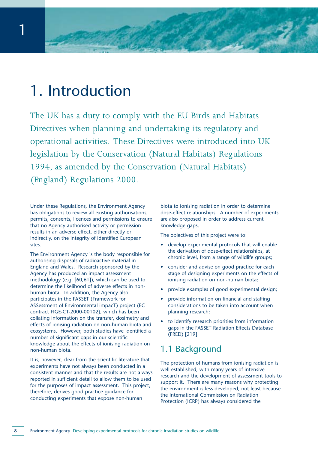# 1. Introduction

The UK has a duty to comply with the EU Birds and Habitats Directives when planning and undertaking its regulatory and operational activities. These Directives were introduced into UK legislation by the Conservation (Natural Habitats) Regulations 1994, as amended by the Conservation (Natural Habitats) (England) Regulations 2000.

Under these Regulations, the Environment Agency has obligations to review all existing authorisations, permits, consents, licences and permissions to ensure that no Agency authorised activity or permission results in an adverse effect, either directly or indirectly, on the integrity of identified European sites.

The Environment Agency is the body responsible for authorising disposals of radioactive material in England and Wales. Research sponsored by the Agency has produced an impact assessment methodology (e.g. [60,61]), which can be used to determine the likelihood of adverse effects in nonhuman biota. In addition, the Agency also participates in the FASSET (Framework for ASSessment of Environmental impacT) project (EC contract FIGE-CT-2000-00102), which has been collating information on the transfer, dosimetry and effects of ionising radiation on non-human biota and ecosystems. However, both studies have identified a number of significant gaps in our scientific knowledge about the effects of ionising radiation on non-human biota.

It is, however, clear from the scientific literature that experiments have not always been conducted in a consistent manner and that the results are not always reported in sufficient detail to allow them to be used for the purposes of impact assessment. This project, therefore, derives good practice guidance for conducting experiments that expose non-human

biota to ionising radiation in order to determine dose-effect relationships. A number of experiments are also proposed in order to address current knowledge gaps.

The objectives of this project were to:

- develop experimental protocols that will enable the derivation of dose-effect relationships, at chronic level, from a range of wildlife groups;
- consider and advise on good practice for each stage of designing experiments on the effects of ionising radiation on non-human biota;
- provide examples of good experimental design;
- provide information on financial and staffing considerations to be taken into account when planning research;
- to identify research priorities from information gaps in the FASSET Radiation Effects Database (FRED) [219].

# 1.1 Background

The protection of humans from ionising radiation is well established, with many years of intensive research and the development of assessment tools to support it. There are many reasons why protecting the environment is less developed, not least because the International Commission on Radiation Protection (ICRP) has always considered the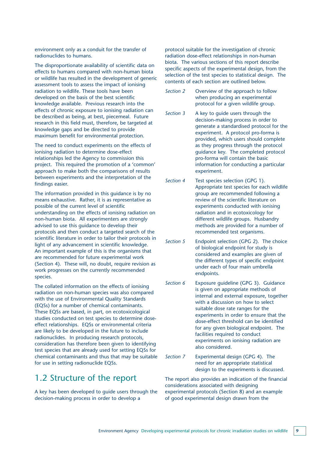environment only as a conduit for the transfer of radionuclides to humans.

The disproportionate availability of scientific data on effects to humans compared with non-human biota or wildlife has resulted in the development of generic assessment tools to assess the impact of ionising radiation to wildlife. These tools have been developed on the basis of the best scientific knowledge available. Previous research into the effects of chronic exposure to ionising radiation can be described as being, at best, piecemeal. Future research in this field must, therefore, be targeted at knowledge gaps and be directed to provide maximum benefit for environmental protection.

The need to conduct experiments on the effects of ionising radiation to determine dose-effect relationships led the Agency to commission this project. This required the promotion of a 'common' approach to make both the comparisons of results between experiments and the interpretation of the findings easier.

The information provided in this guidance is by no means exhaustive. Rather, it is as representative as possible of the current level of scientific understanding on the effects of ionising radiation on non-human biota. All experimenters are strongly advised to use this guidance to develop their protocols and then conduct a targeted search of the scientific literature in order to tailor their protocols in light of any advancement in scientific knowledge. An important example of this is the organisms that are recommended for future experimental work (Section 4). These will, no doubt, require revision as work progresses on the currently recommended species.

The collated information on the effects of ionising radiation on non-human species was also compared with the use of Environmental Quality Standards (EQSs) for a number of chemical contaminants. These EQSs are based, in part, on ecotoxicological studies conducted on test species to determine doseeffect relationships. EQSs or environmental criteria are likely to be developed in the future to include radionuclides. In producing research protocols, consideration has therefore been given to identifying test species that are already used for setting EQSs for chemical contaminants and thus that may be suitable for use in setting radionuclide EQSs.

### 1.2 Structure of the report

A key has been developed to guide users through the decision-making process in order to develop a

protocol suitable for the investigation of chronic radiation dose-effect relationships in non-human biota. The various sections of this report describe specific aspects of the experimental design, from the selection of the test species to statistical design. The contents of each section are outlined below.

- *Section 2* Overview of the approach to follow when producing an experimental protocol for a given wildlife group.
- *Section 3* A key to guide users through the decision-making process in order to generate a standardised protocol for the experiment. A protocol pro-forma is provided, which users should complete as they progress through the protocol guidance key. The completed protocol pro-forma will contain the basic information for conducting a particular experiment.
- *Section 4* Test species selection (GPG 1). Appropriate test species for each wildlife group are recommended following a review of the scientific literature on experiments conducted with ionising radiation and in ecotoxicology for different wildlife groups. Husbandry methods are provided for a number of recommended test organisms.
- *Section 5* Endpoint selection (GPG 2). The choice of biological endpoint for study is considered and examples are given of the different types of specific endpoint under each of four main umbrella endpoints.
- *Section 6* Exposure guideline (GPG 3). Guidance is given on appropriate methods of internal and external exposure, together with a discussion on how to select suitable dose rate ranges for the experiments in order to ensure that the dose-effect threshold can be identified for any given biological endpoint. The facilities required to conduct experiments on ionising radiation are also considered.
- *Section 7* Experimental design (GPG 4). The need for an appropriate statistical design to the experiments is discussed.

The report also provides an indication of the financial considerations associated with designing experimental protocols (Section 8) and an example of good experimental design drawn from the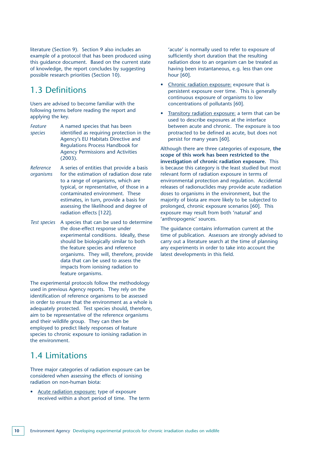literature (Section 9). Section 9 also includes an example of a protocol that has been produced using this guidance document. Based on the current state of knowledge, the report concludes by suggesting possible research priorities (Section 10).

# 1.3 Definitions

Users are advised to become familiar with the following terms before reading the report and applying the key.

- **Feature** A named species that has been *species* identified as requiring protection in the Agency's EU Habitats Directive and Regulations Process Handbook for Agency Permissions and Activities (2003).
- *Reference* A series of entities that provide a basis *organisms* for the estimation of radiation dose rate to a range of organisms, which are typical, or representative, of those in a contaminated environment. These estimates, in turn, provide a basis for assessing the likelihood and degree of radiation effects [122].
- *Test species* A species that can be used to determine the dose-effect response under experimental conditions. Ideally, these should be biologically similar to both the feature species and reference organisms. They will, therefore, provide data that can be used to assess the impacts from ionising radiation to feature organisms.

The experimental protocols follow the methodology used in previous Agency reports. They rely on the identification of reference organisms to be assessed in order to ensure that the environment as a whole is adequately protected. Test species should, therefore, aim to be representative of the reference organisms and their wildlife group. They can then be employed to predict likely responses of feature species to chronic exposure to ionising radiation in the environment.

# 1.4 Limitations

Three major categories of radiation exposure can be considered when assessing the effects of ionising radiation on non-human biota:

• Acute radiation exposure: type of exposure received within a short period of time. The term 'acute' is normally used to refer to exposure of sufficiently short duration that the resulting radiation dose to an organism can be treated as having been instantaneous, e.g. less than one hour [60].

- Chronic radiation exposure: exposure that is persistent exposure over time. This is generally continuous exposure of organisms to low concentrations of pollutants [60].
- Transitory radiation exposure: a term that can be used to describe exposures at the interface between acute and chronic. The exposure is too protracted to be defined as acute, but does not persist for many years [60].

Although there are three categories of exposure, **the scope of this work has been restricted to the investigation of chronic radiation exposure.** This is because this category is the least studied but most relevant form of radiation exposure in terms of environmental protection and regulation. Accidental releases of radionuclides may provide acute radiation doses to organisms in the environment, but the majority of biota are more likely to be subjected to prolonged, chronic exposure scenarios [60]. This exposure may result from both 'natural' and 'anthropogenic' sources.

The guidance contains information current at the time of publication. Assessors are strongly advised to carry out a literature search at the time of planning any experiments in order to take into account the latest developments in this field.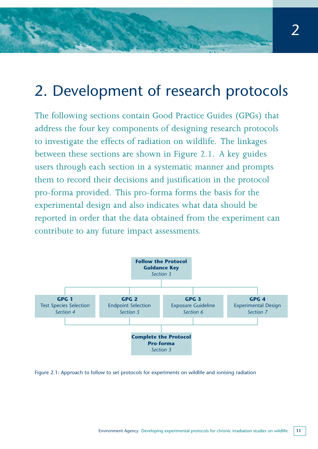# 2. Development of research protocols

The following sections contain Good Practice Guides (GPGs) that address the four key components of designing research protocols to investigate the effects of radiation on wildlife. The linkages between these sections are shown in Figure 2.1. A key guides users through each section in a systematic manner and prompts them to record their decisions and justification in the protocol pro-forma provided. This pro-forma forms the basis for the experimental design and also indicates what data should be reported in order that the data obtained from the experiment can contribute to any future impact assessments.



Figure 2.1: Approach to follow to set protocols for experiments on wildlife and ionising radiation

2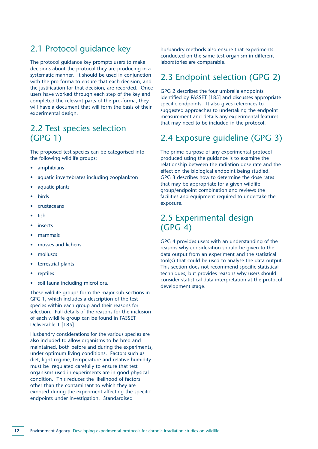# 2.1 Protocol guidance key

The protocol guidance key prompts users to make decisions about the protocol they are producing in a systematic manner. It should be used in conjunction with the pro-forma to ensure that each decision, and the justification for that decision, are recorded. Once users have worked through each step of the key and completed the relevant parts of the pro-forma, they will have a document that will form the basis of their experimental design.

# 2.2 Test species selection (GPG 1)

The proposed test species can be categorised into the following wildlife groups:

- amphibians
- aquatic invertebrates including zooplankton
- aquatic plants
- birds
- crustaceans
- fish
- **insects**
- mammals
- mosses and lichens
- molluscs
- terrestrial plants
- reptiles
- soil fauna including microflora.

These wildlife groups form the major sub-sections in GPG 1, which includes a description of the test species within each group and their reasons for selection. Full details of the reasons for the inclusion of each wildlife group can be found in FASSET Deliverable 1 [185].

Husbandry considerations for the various species are also included to allow organisms to be bred and maintained, both before and during the experiments, under optimum living conditions. Factors such as diet, light regime, temperature and relative humidity must be regulated carefully to ensure that test organisms used in experiments are in good physical condition. This reduces the likelihood of factors other than the contaminant to which they are exposed during the experiment affecting the specific endpoints under investigation. Standardised

husbandry methods also ensure that experiments conducted on the same test organism in different laboratories are comparable.

# 2.3 Endpoint selection (GPG 2)

GPG 2 describes the four umbrella endpoints identified by FASSET [185] and discusses appropriate specific endpoints. It also gives references to suggested approaches to undertaking the endpoint measurement and details any experimental features that may need to be included in the protocol.

# 2.4 Exposure guideline (GPG 3)

The prime purpose of any experimental protocol produced using the guidance is to examine the relationship between the radiation dose rate and the effect on the biological endpoint being studied. GPG 3 describes how to determine the dose rates that may be appropriate for a given wildlife group/endpoint combination and reviews the facilities and equipment required to undertake the exposure.

## 2.5 Experimental design (GPG 4)

GPG 4 provides users with an understanding of the reasons why consideration should be given to the data output from an experiment and the statistical tool(s) that could be used to analyse the data output. This section does not recommend specific statistical techniques, but provides reasons why users should consider statistical data interpretation at the protocol development stage.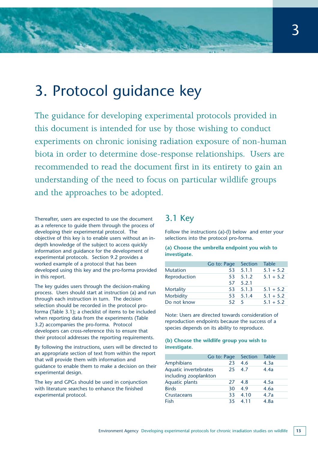# 3. Protocol guidance key

The guidance for developing experimental protocols provided in this document is intended for use by those wishing to conduct experiments on chronic ionising radiation exposure of non-human biota in order to determine dose-response relationships. Users are recommended to read the document first in its entirety to gain an understanding of the need to focus on particular wildlife groups and the approaches to be adopted.

Thereafter, users are expected to use the document as a reference to guide them through the process of developing their experimental protocol. The objective of this key is to enable users without an indepth knowledge of the subject to access quickly information and guidance for the development of experimental protocols. Section 9.2 provides a worked example of a protocol that has been developed using this key and the pro-forma provided in this report.

The key guides users through the decision-making process. Users should start at instruction (a) and run through each instruction in turn. The decision selection should be recorded in the protocol proforma (Table 3.1); a checklist of items to be included when reporting data from the experiments (Table 3.2) accompanies the pro-forma. Protocol developers can cross-reference this to ensure that their protocol addresses the reporting requirements.

By following the instructions, users will be directed to an appropriate section of text from within the report that will provide them with information and guidance to enable them to make a decision on their experimental design.

The key and GPGs should be used in conjunction with literature searches to enhance the finished experimental protocol.

## 3.1 Key

Follow the instructions (a)-(l) below and enter your selections into the protocol pro-forma.

### **(a) Choose the umbrella endpoint you wish to investigate.**

|                 | Go to: Page Section |          | <b>Table</b> |
|-----------------|---------------------|----------|--------------|
| <b>Mutation</b> |                     | 53 5.1.1 | $5.1 + 5.2$  |
| Reproduction    |                     | 53 5.1.2 | $5.1 + 5.2$  |
|                 |                     | 57 5.2.1 |              |
| Mortality       |                     | 53 5.1.3 | $5.1 + 5.2$  |
| Morbidity       |                     | 53 5.1.4 | $5.1 + 5.2$  |
| Do not know     | $52 \quad 5$        |          | $5.1 + 5.2$  |

Note: Users are directed towards consideration of reproduction endpoints because the success of a species depends on its ability to reproduce.

### **(b) Choose the wildlife group you wish to investigate.**

|                                                | Go to: Page | Section | <b>Table</b> |
|------------------------------------------------|-------------|---------|--------------|
| Amphibians                                     | 23          | 4.6     | 4.3a         |
| Aquatic invertebrates<br>including zooplankton | 25          | 47      | 4.4a         |
| <b>Aquatic plants</b>                          | 27          | 4.8     | 4.5a         |
| <b>Birds</b>                                   | 30          | 49      | 4.6a         |
| <b>Crustaceans</b>                             | 33          | 4.10    | 4.7a         |
| Fish                                           | 35          | 4 1 1   | 4.8a         |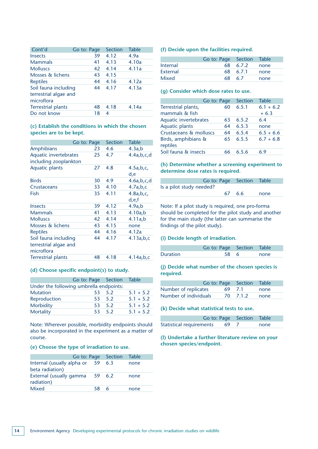| Cont'd                                                      | Go to: Page | <b>Section</b> | <b>Table</b> |
|-------------------------------------------------------------|-------------|----------------|--------------|
| <b>Insects</b>                                              | 39          | 4.12           | 4.9a         |
| <b>Mammals</b>                                              | 41          | 4.13           | 4.10a        |
| <b>Molluscs</b>                                             | 42          | 4.14           | 4.11a        |
| Mosses & lichens                                            | 43          | 4.15           |              |
| <b>Reptiles</b>                                             | 44          | 4.16           | 4.12a        |
| Soil fauna including<br>terrestrial algae and<br>microflora | 44          | 4.17           | 4.13a        |
| <b>Terrestrial plants</b>                                   | 48          | 4.18           | 4.14a        |
| Do not know                                                 | 18          | 4              |              |

### **(c) Establish the conditions in which the chosen species are to be kept.**

|                           | Go to: Page     | Section | <b>Table</b>   |
|---------------------------|-----------------|---------|----------------|
| <b>Amphibians</b>         | 23              | 4.6     | 4.3a,b         |
| Aquatic invertebrates     | 25              | 4.7     | 4.4a,b,c,d     |
| including zooplankton     |                 |         |                |
| <b>Aquatic plants</b>     | 27              | 4.8     | 4.5a,b,c       |
|                           |                 |         | d.e            |
| <b>Birds</b>              | 30              | 4.9     | 4.6a,b,c,d     |
| Crustaceans               | 33 <sup>2</sup> | 4.10    | 4.7a,b,c       |
| Fish                      | 35              | 4.11    | 4.8a,b,c       |
|                           |                 |         | d,e,f          |
| <b>Insects</b>            | 39              | 4.12    | 4.9a,b         |
| <b>Mammals</b>            | 41              | 4.13    | 4.10a,b        |
| <b>Molluscs</b>           | 42              | 4.14    | 4.11a,b        |
| Mosses & lichens          | 43              | 4.15    | none           |
| <b>Reptiles</b>           | 44              | 4.16    | 4.12a          |
| Soil fauna including      | 44              | 4.17    | 4.13a,b,c      |
| terrestrial algae and     |                 |         |                |
| microflora                |                 |         |                |
| <b>Terrestrial plants</b> | 48              | 4.18    | $4.14a$ , b, c |
|                           |                 |         |                |

### **(d) Choose specific endpoint(s) to study.**

|                                         | Go to: Page Section Table |        |             |
|-----------------------------------------|---------------------------|--------|-------------|
| Under the following umbrella endpoints: |                           |        |             |
| <b>Mutation</b>                         |                           | 53 5.2 | $5.1 + 5.2$ |
| Reproduction                            |                           | 53 5.2 | $5.1 + 5.2$ |
| Morbidity                               |                           | 53 5.2 | $5.1 + 5.2$ |
| Mortality                               |                           | 53 5.2 | $5.1 + 5.2$ |

Note: Wherever possible, morbidity endpoints should also be incorporated in the experiment as a matter of course.

#### **(e) Choose the type of irradiation to use.**

|                                               |        | Go to: Page Section | <b>Table</b> |
|-----------------------------------------------|--------|---------------------|--------------|
| Internal (usually alpha or<br>beta radiation) | - 59   | 6.3                 | none         |
| External (usually gamma<br>radiation)         | 59 6.2 |                     | none         |
| Mixed                                         | 58     | 6                   | none         |

### **(f) Decide upon the facilities required.**

|          | Go to: Page Section Table |               |      |
|----------|---------------------------|---------------|------|
| Internal |                           | 68 6.7.2 none |      |
| External |                           | 68 6.7.1      | none |
| Mixed    |                           | 68 6.7        | none |

### **(g) Consider which dose rates to use.**

|                                       | Go to: Page | Section | <b>Table</b>          |
|---------------------------------------|-------------|---------|-----------------------|
| Terrestrial plants,<br>mammals & fish | 60          | 6.5.1   | $6.1 + 6.2$<br>$+6.3$ |
| Aquatic invertebrates                 | 63          | 6.5.2   | 6.4                   |
| <b>Aquatic plants</b>                 | 64          | 6.5.3   | none                  |
| Crustaceans & molluscs                | 64          | 6.5.4   | $6.5 + 6.6$           |
| Birds, amphibians &<br>reptiles       | 65          | 6.5.5   | $6.7 + 6.8$           |
| Soil fauna & insects                  |             | 6.5.6   | 6 ዓ                   |

### **(h) Determine whether a screening experiment to determine dose rates is required.**

|                          |        | <b>Go to: Page Section Table</b> |      |
|--------------------------|--------|----------------------------------|------|
| Is a pilot study needed? |        |                                  |      |
|                          | 67 6.6 |                                  | none |

Note: If a pilot study is required, one pro-forma should be completed for the pilot study and another for the main study (the latter can summarise the findings of the pilot study).

### **(i) Decide length of irradiation.**

|                 | Go to: Page Section Table |      |
|-----------------|---------------------------|------|
| <b>Duration</b> | 58 6                      | none |

### **(j) Decide what number of the chosen species is required.**

|                       |        | <b>Go to: Page Section Table</b> |      |
|-----------------------|--------|----------------------------------|------|
| Number of replicates  | 69 7.1 |                                  | none |
| Number of individuals |        | 70 7.1.2                         | none |

#### **(k) Decide what statistical tests to use.**

|                             | Go to: Page Section Table |      |  |
|-----------------------------|---------------------------|------|--|
| Statistical requirements 69 |                           | none |  |

### **(l) Undertake a further literature review on your chosen species/endpoint.**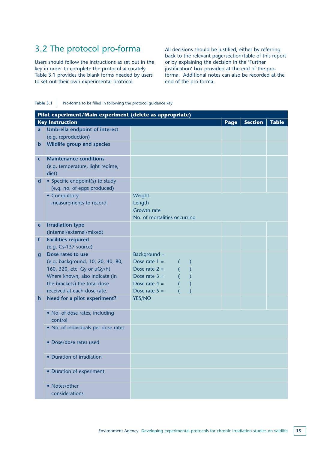# 3.2 The protocol pro-forma

Users should follow the instructions as set out in the key in order to complete the protocol accurately. Table 3.1 provides the blank forms needed by users to set out their own experimental protocol.

All decisions should be justified, either by referring back to the relevant page/section/table of this report or by explaining the decision in the 'Further justification' box provided at the end of the proforma. Additional notes can also be recorded at the end of the pro-forma.

**Table 3.1** Pro-forma to be filled in following the protocol guidance key

|                  | Pilot experiment/Main experiment (delete as appropriate) |                                                               |      |                |              |
|------------------|----------------------------------------------------------|---------------------------------------------------------------|------|----------------|--------------|
|                  | <b>Key Instruction</b>                                   |                                                               | Page | <b>Section</b> | <b>Table</b> |
| a                | <b>Umbrella endpoint of interest</b>                     |                                                               |      |                |              |
|                  | (e.g. reproduction)                                      |                                                               |      |                |              |
| $\mathbf b$      | <b>Wildlife group and species</b>                        |                                                               |      |                |              |
|                  |                                                          |                                                               |      |                |              |
| C                | <b>Maintenance conditions</b>                            |                                                               |      |                |              |
|                  | (e.g. temperature, light regime,                         |                                                               |      |                |              |
|                  | diet)                                                    |                                                               |      |                |              |
| d                | • Specific endpoint(s) to study                          |                                                               |      |                |              |
|                  | (e.g. no. of eggs produced)                              |                                                               |      |                |              |
|                  | • Compulsory                                             | Weight<br>Length                                              |      |                |              |
|                  | measurements to record                                   | <b>Growth rate</b>                                            |      |                |              |
|                  |                                                          | No. of mortalities occurring                                  |      |                |              |
| e                | <b>Irradiation type</b>                                  |                                                               |      |                |              |
|                  | (internal/external/mixed)                                |                                                               |      |                |              |
| $\mathbf{f}$     | <b>Facilities required</b>                               |                                                               |      |                |              |
|                  | $(e.g. Cs-137 source)$                                   |                                                               |      |                |              |
| $\boldsymbol{g}$ | Dose rates to use                                        | Background =                                                  |      |                |              |
|                  | (e.g. background, 10, 20, 40, 80,                        | Dose rate $1 =$<br>$\lambda$                                  |      |                |              |
|                  | 160, 320, etc. Gy or µGy/h)                              | $\overline{\phantom{a}}$<br>$\left($<br>Dose rate $2 =$       |      |                |              |
|                  | Where known, also indicate (in                           | $\overline{C}$<br>$\overline{\phantom{0}}$<br>Dose rate $3 =$ |      |                |              |
|                  | the brackets) the total dose                             | $\overline{\phantom{0}}$<br>Dose rate $4 =$                   |      |                |              |
|                  | received at each dose rate.                              | Dose rate $5 =$                                               |      |                |              |
| h                | Need for a pilot experiment?                             | YES/NO                                                        |      |                |              |
|                  |                                                          |                                                               |      |                |              |
|                  | • No. of dose rates, including                           |                                                               |      |                |              |
|                  | control                                                  |                                                               |      |                |              |
|                  | • No. of individuals per dose rates                      |                                                               |      |                |              |
|                  | • Dose/dose rates used                                   |                                                               |      |                |              |
|                  |                                                          |                                                               |      |                |              |
|                  | • Duration of irradiation                                |                                                               |      |                |              |
|                  |                                                          |                                                               |      |                |              |
|                  | • Duration of experiment                                 |                                                               |      |                |              |
|                  |                                                          |                                                               |      |                |              |
|                  | • Notes/other                                            |                                                               |      |                |              |
|                  | considerations                                           |                                                               |      |                |              |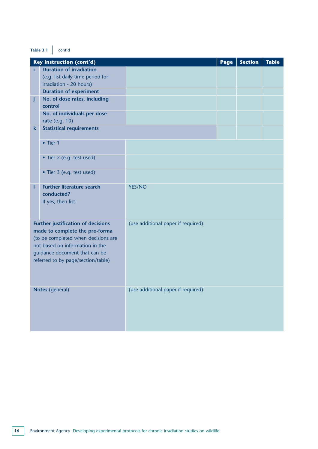### **Table 3.1** cont'd

|    | <b>Key Instruction (cont'd)</b>                                     |                                    | Page | <b>Section</b> | <b>Table</b> |
|----|---------------------------------------------------------------------|------------------------------------|------|----------------|--------------|
| i. | <b>Duration of irradiation</b>                                      |                                    |      |                |              |
|    | (e.g. list daily time period for                                    |                                    |      |                |              |
|    | irradiation - 20 hours)                                             |                                    |      |                |              |
|    | <b>Duration of experiment</b>                                       |                                    |      |                |              |
| j  | No. of dose rates, including<br>control                             |                                    |      |                |              |
|    | No. of individuals per dose                                         |                                    |      |                |              |
|    | rate (e.g. 10)                                                      |                                    |      |                |              |
| k  | <b>Statistical requirements</b>                                     |                                    |      |                |              |
|    |                                                                     |                                    |      |                |              |
|    | $\bullet$ Tier 1                                                    |                                    |      |                |              |
|    |                                                                     |                                    |      |                |              |
|    | • Tier 2 (e.g. test used)                                           |                                    |      |                |              |
|    |                                                                     |                                    |      |                |              |
|    | • Tier 3 (e.g. test used)                                           |                                    |      |                |              |
| ı  | <b>Further literature search</b>                                    | YES/NO                             |      |                |              |
|    | conducted?                                                          |                                    |      |                |              |
|    | If yes, then list.                                                  |                                    |      |                |              |
|    |                                                                     |                                    |      |                |              |
|    |                                                                     |                                    |      |                |              |
|    | Further justification of decisions                                  | (use additional paper if required) |      |                |              |
|    | made to complete the pro-forma                                      |                                    |      |                |              |
|    | (to be completed when decisions are                                 |                                    |      |                |              |
|    | not based on information in the                                     |                                    |      |                |              |
|    | guidance document that can be<br>referred to by page/section/table) |                                    |      |                |              |
|    |                                                                     |                                    |      |                |              |
|    |                                                                     |                                    |      |                |              |
|    |                                                                     |                                    |      |                |              |
|    | Notes (general)                                                     | (use additional paper if required) |      |                |              |
|    |                                                                     |                                    |      |                |              |
|    |                                                                     |                                    |      |                |              |
|    |                                                                     |                                    |      |                |              |
|    |                                                                     |                                    |      |                |              |
|    |                                                                     |                                    |      |                |              |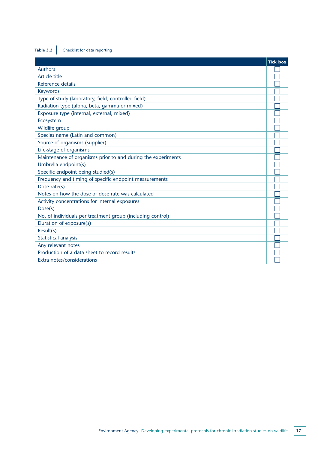# **Table 3.2** Checklist for data reporting

|                                                              | <b>Tick box</b> |
|--------------------------------------------------------------|-----------------|
| <b>Authors</b>                                               |                 |
| Article title                                                |                 |
| Reference details                                            |                 |
| <b>Keywords</b>                                              |                 |
| Type of study (laboratory, field, controlled field)          |                 |
| Radiation type (alpha, beta, gamma or mixed)                 |                 |
| Exposure type (internal, external, mixed)                    |                 |
| Ecosystem                                                    |                 |
| Wildlife group                                               |                 |
| Species name (Latin and common)                              |                 |
| Source of organisms (supplier)                               |                 |
| Life-stage of organisms                                      |                 |
| Maintenance of organisms prior to and during the experiments |                 |
| Umbrella endpoint(s)                                         |                 |
| Specific endpoint being studied(s)                           |                 |
| Frequency and timing of specific endpoint measurements       |                 |
| Dose rate(s)                                                 |                 |
| Notes on how the dose or dose rate was calculated            |                 |
| Activity concentrations for internal exposures               |                 |
| Dose(s)                                                      |                 |
| No. of individuals per treatment group (including control)   |                 |
| Duration of exposure(s)                                      |                 |
| Result(s)                                                    |                 |
| <b>Statistical analysis</b>                                  |                 |
| Any relevant notes                                           |                 |
| Production of a data sheet to record results                 |                 |
| Extra notes/considerations                                   |                 |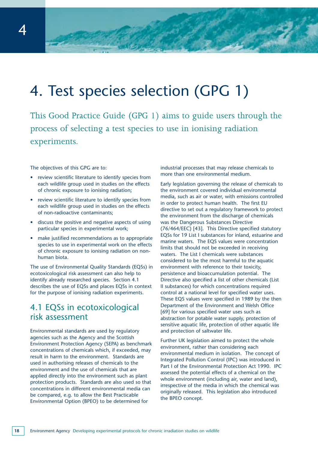# 4. Test species selection (GPG 1)

This Good Practice Guide (GPG 1) aims to guide users through the process of selecting a test species to use in ionising radiation experiments.

The objectives of this GPG are to:

- review scientific literature to identify species from each wildlife group used in studies on the effects of chronic exposure to ionising radiation;
- review scientific literature to identify species from each wildlife group used in studies on the effects of non-radioactive contaminants;
- discuss the positive and negative aspects of using particular species in experimental work;
- make justified recommendations as to appropriate species to use in experimental work on the effects of chronic exposure to ionising radiation on nonhuman biota.

The use of Environmental Quality Standards (EQSs) in ecotoxicological risk assessment can also help to identify already researched species. Section 4.1 describes the use of EQSs and places EQSs in context for the purpose of ionising radiation experiments.

# 4.1 EQSs in ecotoxicological risk assessment

Environmental standards are used by regulatory agencies such as the Agency and the Scottish Environment Protection Agency (SEPA) as benchmark concentrations of chemicals which, if exceeded, may result in harm to the environment. Standards are used in authorising releases of chemicals to the environment and the use of chemicals that are applied directly into the environment such as plant protection products. Standards are also used so that concentrations in different environmental media can be compared, e.g. to allow the Best Practicable Environmental Option (BPEO) to be determined for

industrial processes that may release chemicals to more than one environmental medium.

Early legislation governing the release of chemicals to the environment covered individual environmental media, such as air or water, with emissions controlled in order to protect human health. The first EU directive to set out a regulatory framework to protect the environment from the discharge of chemicals was the Dangerous Substances Directive (76/464/EEC) [43]. This Directive specified statutory EQSs for 19 List I substances for inland, estuarine and marine waters. The EQS values were concentration limits that should not be exceeded in receiving waters. The List I chemicals were substances considered to be the most harmful to the aquatic environment with reference to their toxicity, persistence and bioaccumulation potential. The Directive also specified a list of other chemicals (List II substances) for which concentrations required control at a national level for specified water uses. These EQS values were specified in 1989 by the then Department of the Environment and Welsh Office [69] for various specified water uses such as abstraction for potable water supply, protection of sensitive aquatic life, protection of other aquatic life and protection of saltwater life.

Further UK legislation aimed to protect the whole environment, rather than considering each environmental medium in isolation. The concept of Integrated Pollution Control (IPC) was introduced in Part I of the Environmental Protection Act 1990. IPC assessed the potential effects of a chemical on the whole environment (including air, water and land), irrespective of the media in which the chemical was originally released. This legislation also introduced the BPEO concept.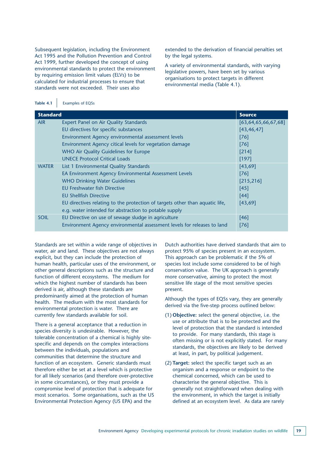Subsequent legislation, including the Environment Act 1995 and the Pollution Prevention and Control Act 1999, further developed the concept of using environmental standards to protect the environment by requiring emission limit values (ELVs) to be calculated for industrial processes to ensure that standards were not exceeded. Their uses also

extended to the derivation of financial penalties set by the legal systems.

A variety of environmental standards, with varying legislative powers, have been set by various organisations to protect targets in different environmental media (Table 4.1).

 $\mathbf{r}$ 

| <b>Standard</b> | <b>Source</b>                                                                |                          |
|-----------------|------------------------------------------------------------------------------|--------------------------|
| <b>AIR</b>      | <b>Expert Panel on Air Quality Standards</b>                                 | [63, 64, 65, 66, 67, 68] |
|                 | EU directives for specific substances                                        | [43, 46, 47]             |
|                 | Environment Agency environmental assessment levels                           | $[76]$                   |
|                 | Environment Agency citical levels for vegetation damage                      | [76]                     |
|                 | <b>WHO Air Quality Guidelines for Europe</b>                                 | $[214]$                  |
|                 | <b>UNECE Protocol Critical Loads</b>                                         | [197]                    |
| <b>WATER</b>    | List 1 Environmental Quality Standards                                       | [43, 69]                 |
|                 | EA Environment Agency Environmental Assessment Levels                        | [76]                     |
|                 | <b>WHO Drinking Water Guidelines</b>                                         | [215, 216]               |
|                 | <b>EU Freshwater fish Directive</b>                                          | [45]                     |
|                 | <b>EU Shellfish Directive</b>                                                | [44]                     |
|                 | EU directives relating to the protection of targets other than aquatic life, | [43, 69]                 |
|                 | e.g. water intended for abstraction to potable supply                        |                          |
| <b>SOIL</b>     | EU Directive on use of sewage sludge in agriculture                          | [46]                     |
|                 | Environment Agency environmental assessment levels for releases to land      | $[76]$                   |

Standards are set within a wide range of objectives in water, air and land. These objectives are not always explicit, but they can include the protection of human health, particular uses of the environment, or other general descriptions such as the structure and function of different ecosystems. The medium for which the highest number of standards has been derived is air, although these standards are predominantly aimed at the protection of human health. The medium with the most standards for environmental protection is water. There are currently few standards available for soil.

There is a general acceptance that a reduction in species diversity is undesirable. However, the tolerable concentration of a chemical is highly sitespecific and depends on the complex interactions between the individuals, populations and communities that determine the structure and function of an ecosystem. Generic standards must therefore either be set at a level which is protective for all likely scenarios (and therefore over-protective in some circumstances), or they must provide a compromise level of protection that is adequate for most scenarios. Some organisations, such as the US Environmental Protection Agency (US EPA) and the

Dutch authorities have derived standards that aim to protect 95% of species present in an ecosystem. This approach can be problematic if the 5% of species lost include some considered to be of high conservation value. The UK approach is generally more conservative, aiming to protect the most sensitive life stage of the most sensitive species present.

Although the types of EQSs vary, they are generally derived via the five-step process outlined below:

- (1) **Objective:** select the general objective, i.e. the use or attribute that is to be protected and the level of protection that the standard is intended to provide. For many standards, this stage is often missing or is not explicitly stated. For many standards, the objectives are likely to be derived at least, in part, by political judgement.
- (2) **Target:** select the specific target such as an organism and a response or endpoint to the chemical concerned, which can be used to characterise the general objective. This is generally not straightforward when dealing with the environment, in which the target is initially defined at an ecosystem level. As data are rarely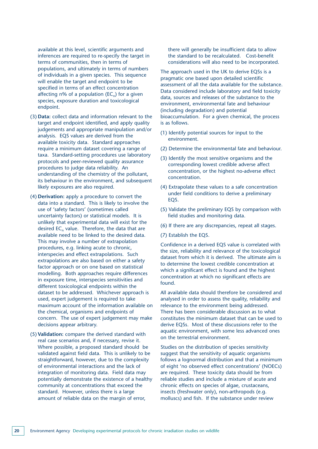available at this level, scientific arguments and inferences are required to re-specify the target in terms of communities, then in terms of populations, and ultimately in terms of numbers of individuals in a given species. This sequence will enable the target and endpoint to be specified in terms of an effect concentration affecting n% of a population ( $EC<sub>n</sub>$ ) for a given species, exposure duration and toxicological endpoint.

- (3) **Data:** collect data and information relevant to the target and endpoint identified, and apply quality judgements and appropriate manipulation and/or analysis. EQS values are derived from the available toxicity data. Standard approaches require a minimum dataset covering a range of taxa. Standard-setting procedures use laboratory protocols and peer-reviewed quality assurance procedures to judge data reliability. An understanding of the chemistry of the pollutant, its behaviour in the environment, and subsequent likely exposures are also required.
- (4) **Derivation:** apply a procedure to convert the data into a standard. This is likely to involve the use of 'safety factors' (sometimes called uncertainty factors) or statistical models. It is unlikely that experimental data will exist for the desired  $EC_n$  value. Therefore, the data that are available need to be linked to the desired data. This may involve a number of extrapolation procedures, e.g. linking acute to chronic, interspecies and effect extrapolations. Such extrapolations are also based on either a safety factor approach or on one based on statistical modelling. Both approaches require differences in exposure time, interspecies sensitivities and different toxicological endpoints within the dataset to be addressed. Whichever approach is used, expert judgement is required to take maximum account of the information available on the chemical, organisms and endpoints of concern. The use of expert judgement may make decisions appear arbitrary.
- (5) **Validation:** compare the derived standard with real case scenarios and, if necessary, revise it. Where possible, a proposed standard should be validated against field data. This is unlikely to be straightforward, however, due to the complexity of environmental interactions and the lack of integration of monitoring data. Field data may potentially demonstrate the existence of a healthy community at concentrations that exceed the standard. However, unless there is a large amount of reliable data on the margin of error,

there will generally be insufficient data to allow the standard to be recalculated. Cost-benefit considerations will also need to be incorporated.

The approach used in the UK to derive EQSs is a pragmatic one based upon detailed scientific assessment of all the data available for the substance. Data considered include laboratory and field toxicity data, sources and releases of the substance to the environment, environmental fate and behaviour (including degradation) and potential bioaccumulation. For a given chemical, the process is as follows.

- (1) Identify potential sources for input to the environment.
- (2) Determine the environmental fate and behaviour.
- (3) Identify the most sensitive organisms and the corresponding lowest credible adverse affect concentration, or the highest no-adverse effect concentration.
- (4) Extrapolate these values to a safe concentration under field conditions to derive a preliminary EQS.
- (5) Validate the preliminary EQS by comparison with field studies and monitoring data.
- (6) If there are any discrepancies, repeat all stages.
- (7) Establish the EQS.

Confidence in a derived EQS value is correlated with the size, reliability and relevance of the toxicological dataset from which it is derived. The ultimate aim is to determine the lowest credible concentration at which a significant effect is found and the highest concentration at which no significant effects are found.

All available data should therefore be considered and analysed in order to assess the quality, reliability and relevance to the environment being addressed. There has been considerable discussion as to what constitutes the minimum dataset that can be used to derive EQSs. Most of these discussions refer to the aquatic environment, with some less advanced ones on the terrestrial environment.

Studies on the distribution of species sensitivity suggest that the sensitivity of aquatic organisms follows a lognormal distribution and that a minimum of eight 'no observed effect concentrations' (NOECs) are required. These toxicity data should be from reliable studies and include a mixture of acute and chronic effects on species of algae, crustaceans, insects (freshwater only), non-arthropods (e.g. molluscs) and fish. If the substance under review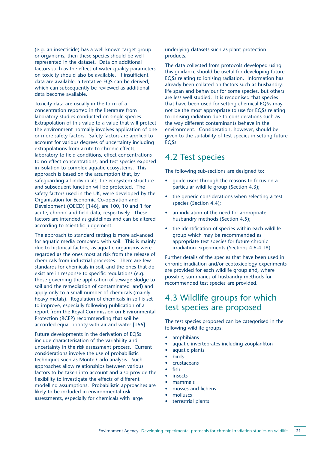(e.g. an insecticide) has a well-known target group or organisms, then these species should be well represented in the dataset. Data on additional factors such as the effect of water quality parameters on toxicity should also be available. If insufficient data are available, a tentative EQS can be derived, which can subsequently be reviewed as additional data become available.

Toxicity data are usually in the form of a concentration reported in the literature from laboratory studies conducted on single species. Extrapolation of this value to a value that will protect the environment normally involves application of one or more safety factors. Safety factors are applied to account for various degrees of uncertainty including extrapolations from acute to chronic effects, laboratory to field conditions, effect concentrations to no-effect concentrations, and test species exposed in isolation to complex aquatic ecosystems. This approach is based on the assumption that, by safeguarding all individuals, the ecosystem structure and subsequent function will be protected. The safety factors used in the UK, were developed by the Organisation for Economic Co-operation and Development (OECD) [146], are 100, 10 and 1 for acute, chronic and field data, respectively. These factors are intended as guidelines and can be altered according to scientific judgement.

The approach to standard setting is more advanced for aquatic media compared with soil. This is mainly due to historical factors, as aquatic organisms were regarded as the ones most at risk from the release of chemicals from industrial processes. There are few standards for chemicals in soil, and the ones that do exist are in response to specific regulations (e.g. those governing the application of sewage sludge to soil and the remediation of contaminated land) and apply only to a small number of chemicals (mainly heavy metals). Regulation of chemicals in soil is set to improve, especially following publication of a report from the Royal Commission on Environmental Protection (RCEP) recommending that soil be accorded equal priority with air and water [166].

Future developments in the derivation of EQSs include characterisation of the variability and uncertainty in the risk assessment process. Current considerations involve the use of probabilistic techniques such as Monte Carlo analysis. Such approaches allow relationships between various factors to be taken into account and also provide the flexibility to investigate the effects of different modelling assumptions. Probabilistic approaches are likely to be included in environmental risk assessments, especially for chemicals with large

underlying datasets such as plant protection products.

The data collected from protocols developed using this guidance should be useful for developing future EQSs relating to ionising radiation. Information has already been collated on factors such as husbandry, life span and behaviour for some species, but others are less well studied. It is recognised that species that have been used for setting chemical EQSs may not be the most appropriate to use for EQSs relating to ionising radiation due to considerations such as the way different contaminants behave in the environment. Consideration, however, should be given to the suitability of test species in setting future EQSs.

### 4.2 Test species

The following sub-sections are designed to:

- guide users through the reasons to focus on a particular wildlife group (Section 4.3);
- the generic considerations when selecting a test species (Section 4.4);
- an indication of the need for appropriate husbandry methods (Section 4.5);
- the identification of species within each wildlife group which may be recommended as appropriate test species for future chronic irradiation experiments (Sections 4.6-4.18).

Further details of the species that have been used in chronic irradiation and/or ecotoxicology experiments are provided for each wildlife group and, where possible, summaries of husbandry methods for recommended test species are provided.

# 4.3 Wildlife groups for which test species are proposed

The test species proposed can be categorised in the following wildlife groups:

- amphibians
- aquatic invertebrates including zooplankton
- aquatic plants
- **birds** 
	- crustaceans
	- fish
	- insects
	- mammals
	- mosses and lichens
	- molluscs
	- terrestrial plants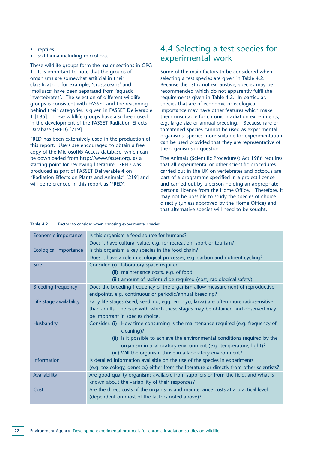- **reptiles**
- soil fauna including microflora.

These wildlife groups form the major sections in GPG 1. It is important to note that the groups of organisms are somewhat artificial in their classification, for example, 'crustaceans' and 'molluscs' have been separated from 'aquatic invertebrates'. The selection of different wildlife groups is consistent with FASSET and the reasoning behind their categories is given in FASSET Deliverable 1 [185]. These wildlife groups have also been used in the development of the FASSET Radiation Effects Database (FRED) [219].

FRED has been extensively used in the production of this report. Users are encouraged to obtain a free copy of the Microsoft® Access database, which can be downloaded from http://www.fasset.org, as a starting point for reviewing literature. FRED was produced as part of FASSET Deliverable 4 on "Radiation Effects on Plants and Animals" [219] and will be referenced in this report as 'FRED'.

# 4.4 Selecting a test species for experimental work

Some of the main factors to be considered when selecting a test species are given in Table 4.2. Because the list is not exhaustive, species may be recommended which do not apparently fulfil the requirements given in Table 4.2. In particular, species that are of economic or ecological importance may have other features which make them unsuitable for chronic irradiation experiments, e.g. large size or annual breeding. Because rare or threatened species cannot be used as experimental organisms, species more suitable for experimentation can be used provided that they are representative of the organisms in question.

The Animals (Scientific Procedures) Act 1986 requires that all experimental or other scientific procedures carried out in the UK on vertebrates and octopus are part of a programme specified in a project licence and carried out by a person holding an appropriate personal licence from the Home Office. Therefore, it may not be possible to study the species of choice directly (unless approved by the Home Office) and that alternative species will need to be sought.

### **Table 4.2** Factors to consider when choosing experimental species

| Economic importance          | Is this organism a food source for humans?                                                |
|------------------------------|-------------------------------------------------------------------------------------------|
|                              | Does it have cultural value, e.g. for recreation, sport or tourism?                       |
| <b>Ecological importance</b> | Is this organism a key species in the food chain?                                         |
|                              | Does it have a role in ecological processes, e.g. carbon and nutrient cycling?            |
| <b>Size</b>                  | Consider: (i) laboratory space required                                                   |
|                              | maintenance costs, e.g. of food<br>(ii)                                                   |
|                              | (iii) amount of radionuclide required (cost, radiological safety).                        |
| <b>Breeding frequency</b>    | Does the breeding frequency of the organism allow measurement of reproductive             |
|                              | endpoints, e.g. continuous or periodic/annual breeding?                                   |
| Life-stage availability      | Early life-stages (seed, seedling, egg, embryo, larva) are often more radiosensitive      |
|                              | than adults. The ease with which these stages may be obtained and observed may            |
|                              | be important in species choice.                                                           |
| Husbandry                    | Consider: (i) How time-consuming is the maintenance required (e.g. frequency of           |
|                              | cleaning)?                                                                                |
|                              | (ii) Is it possible to achieve the environmental conditions required by the               |
|                              | organism in a laboratory environment (e.g. temperature, light)?                           |
|                              | (iii) Will the organism thrive in a laboratory environment?                               |
| <b>Information</b>           | Is detailed information available on the use of the species in experiments                |
|                              | (e.g. toxicology, genetics) either from the literature or directly from other scientists? |
| Availability                 | Are good quality organisms available from suppliers or from the field, and what is        |
|                              | known about the variability of their responses?                                           |
| Cost                         | Are the direct costs of the organisms and maintenance costs at a practical level          |
|                              | (dependent on most of the factors noted above)?                                           |
|                              |                                                                                           |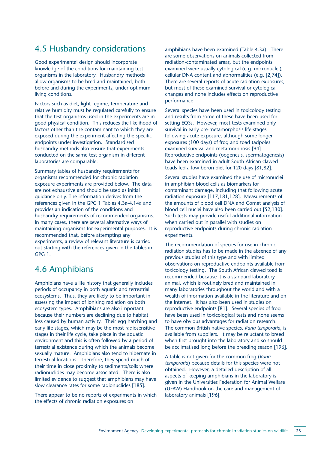# 4.5 Husbandry considerations

Good experimental design should incorporate knowledge of the conditions for maintaining test organisms in the laboratory. Husbandry methods allow organisms to be bred and maintained, both before and during the experiments, under optimum living conditions.

Factors such as diet, light regime, temperature and relative humidity must be regulated carefully to ensure that the test organisms used in the experiments are in good physical condition. This reduces the likelihood of factors other than the contaminant to which they are exposed during the experiment affecting the specific endpoints under investigation. Standardised husbandry methods also ensure that experiments conducted on the same test organism in different laboratories are comparable.

Summary tables of husbandry requirements for organisms recommended for chronic radiation exposure experiments are provided below. The data are not exhaustive and should be used as initial guidance only. The information derives from the references given in the GPG 1 Tables 4.3a-4.14a and provides an indication of the conditions and husbandry requirements of recommended organisms. In many cases, there are several alternative ways of maintaining organisms for experimental purposes. It is recommended that, before attempting any experiments, a review of relevant literature is carried out starting with the references given in the tables in GPG 1.

### 4.6 Amphibians

Amphibians have a life history that generally includes periods of occupancy in both aquatic and terrestrial ecosystems. Thus, they are likely to be important in assessing the impact of ionising radiation on both ecosystem types. Amphibians are also important because their numbers are declining due to habitat loss caused by human activity. Their egg hatching and early life stages, which may be the most radiosensitive stages in their life cycle, take place in the aquatic environment and this is often followed by a period of terrestrial existence during which the animals become sexually mature. Amphibians also tend to hibernate in terrestrial locations. Therefore, they spend much of their time in close proximity to sediments/soils where radionuclides may become associated. There is also limited evidence to suggest that amphibians may have slow clearance rates for some radionuclides [185].

There appear to be no reports of experiments in which the effects of chronic radiation exposures on

amphibians have been examined (Table 4.3a). There are some observations on animals collected from radiation-contaminated areas, but the endpoints examined were usually cytological (e.g. micronuclei), cellular DNA content and abnormalities (e.g. [2,74]). There are several reports of acute radiation exposures, but most of these examined survival or cytological changes and none includes effects on reproductive performance.

Several species have been used in toxicology testing and results from some of these have been used for setting EQSs. However, most tests examined only survival in early pre-metamorphosis life-stages following acute exposure, although some longer exposures (100 days) of frog and toad tadpoles examined survival and metamorphosis [94]. Reproductive endpoints (oogenesis, spermatogenesis) have been examined in adult South African clawed toads fed a low boron diet for 120 days [81,82].

Several studies have examined the use of micronuclei in amphibian blood cells as biomarkers for contaminant damage, including that following acute radiation exposure [117,181,128]. Measurements of the amounts of blood cell DNA and Comet analysis of blood cell nuclei have also been carried out [52,130]. Such tests may provide useful additional information when carried out in parallel with studies on reproductive endpoints during chronic radiation experiments.

The recommendation of species for use in chronic radiation studies has to be made in the absence of any previous studies of this type and with limited observations on reproductive endpoints available from toxicology testing. The South African clawed toad is recommended because it is a standard laboratory animal, which is routinely bred and maintained in many laboratories throughout the world and with a wealth of information available in the literature and on the Internet. It has also been used in studies on reproductive endpoints [81]. Several species of frog have been used in toxicological tests and none seems to have obvious advantages for radiation research. The common British native species, *Rana temporaria*, is available from suppliers. It may be reluctant to breed when first brought into the laboratory and so should be acclimatised long before the breeding season [196].

A table is not given for the common frog (*Rana temporaria*) because details for this species were not obtained. However, a detailed description of all aspects of keeping amphibians in the laboratory is given in the Universities Federation for Animal Welfare (UFAW) Handbook on the care and management of laboratory animals [196].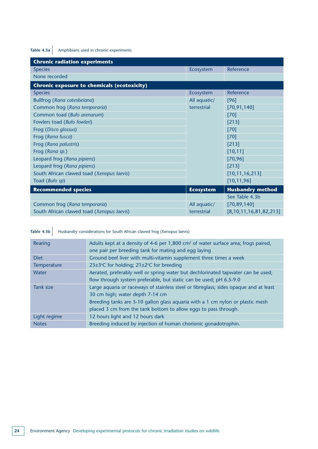## Table 4.3a Amphibians used in chronic experiments

| <b>Chronic radiation experiments</b>               |                  |                              |
|----------------------------------------------------|------------------|------------------------------|
| <b>Species</b>                                     | Ecosystem        | Reference                    |
| None recorded                                      |                  |                              |
| <b>Chronic exposure to chemicals (ecotoxicity)</b> |                  |                              |
| <b>Species</b>                                     | Ecosystem        | Reference                    |
| Bullfrog (Rana catesbeiana)                        | All aquatic/     | [96]                         |
| Common frog (Rana temporaria)                      | terrestrial      | [70, 91, 140]                |
| Common toad (Bufo arenarum)                        |                  | [70]                         |
| Fowlers toad (Bufo fowleri)                        |                  | [213]                        |
| Frog (Disco glossus)                               |                  | $[70]$                       |
| Frog (Rana fusca)                                  |                  | $[70]$                       |
| Frog (Rana palustris)                              |                  | $[213]$                      |
| Frog (Rana sp.)                                    |                  | [10, 11]                     |
| Leopard frog (Rana pipiens)                        |                  | [70, 96]                     |
| Leopard frog (Rana pipiens)                        |                  | [213]                        |
| South African clawed toad (Xenopus laevis)         |                  | [10, 11, 16, 213]            |
| Toad (Bufo sp)                                     |                  | [10, 11, 96]                 |
| <b>Recommended species</b>                         | <b>Ecosystem</b> | <b>Husbandry method</b>      |
|                                                    |                  | See Table 4.3b               |
| Common frog (Rana temporaria)                      | All aquatic/     | [70, 89, 140]                |
| South African clawed toad (Xenopus laevis)         | terrestrial      | [8, 10, 11, 16, 81, 82, 213] |

**Table 4.3b** Husbandry considerations for South African clawed frog (Xenopus laevis)

| Rearing                                                                                            | Adults kept at a density of 4-6 per 1,800 cm <sup>2</sup> of water surface area; frogs paired,<br>one pair per breeding tank for mating and egg laying |  |
|----------------------------------------------------------------------------------------------------|--------------------------------------------------------------------------------------------------------------------------------------------------------|--|
| <b>Diet</b>                                                                                        | Ground beef liver with multi-vitamin supplement three times a week                                                                                     |  |
| Temperature                                                                                        | 23±3°C for holding; 21±2°C for breeding                                                                                                                |  |
| Water                                                                                              | Aerated, preferably well or spring water but dechlorinated tapwater can be used;                                                                       |  |
|                                                                                                    | flow through system preferable, but static can be used; pH 6.5-9.0                                                                                     |  |
| Large aquaria or raceways of stainless steel or fibreglass; sides opaque and at least<br>Tank size |                                                                                                                                                        |  |
|                                                                                                    | 30 cm high; water depth 7-14 cm                                                                                                                        |  |
|                                                                                                    | Breeding tanks are 5-10 gallon glass aquaria with a 1 cm nylon or plastic mesh                                                                         |  |
|                                                                                                    | placed 3 cm from the tank bottom to allow eggs to pass through.                                                                                        |  |
| Light regime                                                                                       | 12 hours light and 12 hours dark                                                                                                                       |  |
| <b>Notes</b>                                                                                       | Breeding induced by injection of human chorionic gonadotrophin.                                                                                        |  |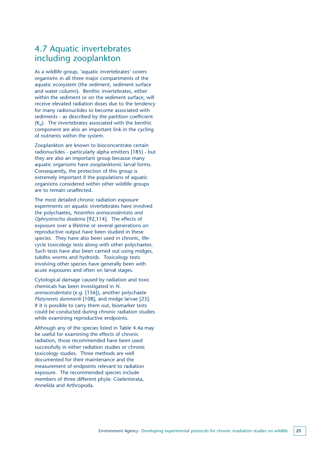## 4.7 Aquatic invertebrates including zooplankton

As a wildlife group, 'aquatic invertebrates' covers organisms in all three major compartments of the aquatic ecosystem (the sediment, sediment surface and water column). Benthic invertebrates, either within the sediment or on the sediment surface, will receive elevated radiation doses due to the tendency for many radionuclides to become associated with sediments - as described by the partition coefficient  $(K_d)$ . The invertebrates associated with the benthic component are also an important link in the cycling of nutrients within the system.

Zooplankton are known to bioconcentrate certain radionuclides - particularly alpha emitters [185] - but they are also an important group because many aquatic organisms have zooplanktonic larval forms. Consequently, the protection of this group is extremely important if the populations of aquatic organisms considered within other wildlife groups are to remain unaffected.

The most detailed chronic radiation exposure experiments on aquatic invertebrates have involved the polychaetes, *Neanthes arenaceodentata and Ophryotrocha diadema* [92,114]. The effects of exposure over a lifetime or several generations on reproductive output have been studied in these species. They have also been used in chronic, lifecycle toxicology tests along with other polychaetes. Such tests have also been carried out using midges, tubifex worms and hydroids. Toxicology tests involving other species have generally been with acute exposures and often on larval stages.

Cytological damage caused by radiation and toxic chemicals has been investigated in *N. arenaceodentata* (e.g. [156]), another polychaete *Platynereis dummerili* [108], and midge larvae [23]. If it is possible to carry them out, biomarker tests could be conducted during chronic radiation studies while examining reproductive endpoints.

Although any of the species listed in Table 4.4a may be useful for examining the effects of chronic radiation, those recommended have been used successfully in either radiation studies or chronic toxicology studies. Three methods are well documented for their maintenance and the measurement of endpoints relevant to radiation exposure. The recommended species include members of three different phyla: Coelenterata, Annelida and Arthropoda.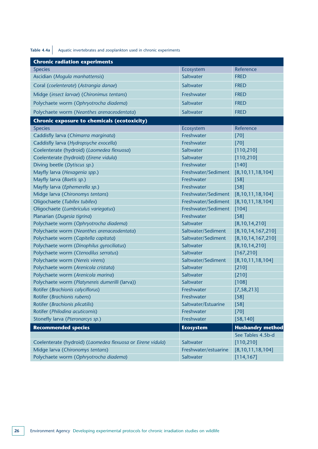**Table 4.4a** Aquatic invertebrates and zooplankton used in chronic experiments

| <b>Chronic radiation experiments</b>                        |                      |                         |
|-------------------------------------------------------------|----------------------|-------------------------|
| <b>Species</b>                                              | Ecosystem            | Reference               |
| Ascidian (Mogula manhattensis)                              | Saltwater            | <b>FRED</b>             |
| Coral (coelenterate) (Astrangia danae)                      | Saltwater            | <b>FRED</b>             |
| Midge (insect larvae) (Chironimus tentans)                  | Freshwater           | <b>FRED</b>             |
| Polychaete worm (Ophryotrocha diadema)                      | Saltwater            | <b>FRED</b>             |
| Polychaete worm (Neanthes arenaceodentata)                  | Saltwater            | <b>FRED</b>             |
| <b>Chronic exposure to chemicals (ecotoxicity)</b>          |                      |                         |
| <b>Species</b>                                              | Ecosystem            | Reference               |
| Caddisfly larva (Chimarra marginata)                        | Freshwater           | $[70]$                  |
| Caddisfly larva (Hydropsyche exocella)                      | Freshwater           | $[70]$                  |
| Coelenterate (hydroid) (Laomedea flexuosa)                  | Saltwater            | [110, 210]              |
| Coelenterate (hydroid) (Eirene vidula)                      | Saltwater            | [110, 210]              |
| Diving beetle (Dytiscus sp.)                                | Freshwater           | $[140]$                 |
| Mayfly larva (Hexagenia spp.)                               | Freshwater/Sediment  | [8, 10, 11, 18, 104]    |
| Mayfly larva (Baetis sp.)                                   | Freshwater           | $[58]$                  |
| Mayfly larva (Ephemerella sp.)                              | Freshwater           | $[58]$                  |
| Midge larva (Chironomys tentans)                            | Freshwater/Sediment  | [8, 10, 11, 18, 104]    |
| Oligochaete (Tubifex tubifex)                               | Freshwater/Sediment  | [8, 10, 11, 18, 104]    |
| Oligochaete (Lumbriculus variegatus)                        | Freshwater/Sediment  | $[104]$                 |
| Planarian (Dugesia tigrina)                                 | Freshwater           | $[58]$                  |
| Polychaete worm (Ophryotrocha diadema)                      | Saltwater            | [8, 10, 14, 210]        |
| Polychaete worm (Neanthes arenaceodentata)                  | Saltwater/Sediment   | [8, 10, 14, 167, 210]   |
| Polychaete worm (Capitella capitata)                        | Saltwater/Sediment   | [8, 10, 14, 167, 210]   |
| Polychaete worm (Dinophilus gyrociliatus)                   | Saltwater            | [8, 10, 14, 210]        |
| Polychaete worm (Ctenodilus serratus)                       | Saltwater            | [167, 210]              |
| Polychaete worm (Nereis virens)                             | Saltwater/Sediment   | [8, 10, 11, 18, 104]    |
| Polychaete worm (Arenicola cristata)                        | Saltwater            | $[210]$                 |
| Polychaete worm (Arenicola marina)                          | Saltwater            | $[210]$                 |
| Polychaete worm (Platynereis dumerilli (larva))             | Saltwater            | [108]                   |
| Rotifer (Brachionis calyciflorus)                           | Freshwater           | [7, 58, 213]            |
| Rotifer (Brachionis rubens)                                 | Freshwater           | [58]                    |
| Rotifer (Brachionis plicatilis)                             | Saltwater/Estuarine  | $[58]$                  |
| Rotifer (Philodina acuticornis)                             | Freshwater           | $[70]$                  |
| Stonefly larva (Pteronarcys sp.)                            | Freshwater           | [58, 140]               |
| <b>Recommended species</b>                                  | <b>Ecosystem</b>     | <b>Husbandry method</b> |
|                                                             |                      | See Tables 4.5b-d       |
| Coelenterate (hydroid) (Laomedea flexuosa or Eirene vidula) | Saltwater            | [110, 210]              |
| Midge larva (Chironomys tentans)                            | Freshwater/estuarine | [8, 10, 11, 18, 104]    |
| Polychaete worm (Ophryotrocha diadema)                      | Saltwater            | [114, 167]              |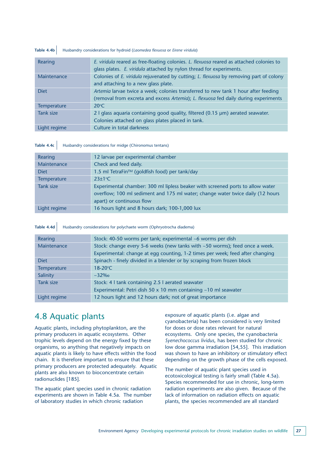### **Table 4.4b** Husbandry considerations for hydroid (*Laomedea flexuosa* or *Eirene viridula*)

| Rearing            | E. viridula reared as free-floating colonies. L. flexuosa reared as attached colonies to<br>glass plates. E. viridula attached by nylon thread for experiments.           |
|--------------------|---------------------------------------------------------------------------------------------------------------------------------------------------------------------------|
| Maintenance        | Colonies of E. viridula rejuvenated by cutting; L. flexuosa by removing part of colony<br>and attaching to a new glass plate.                                             |
| <b>Diet</b>        | Artemia larvae twice a week; colonies transferred to new tank 1 hour after feeding<br>(removal from excreta and excess Artemia); L. flexuosa fed daily during experiments |
| <b>Temperature</b> | $20^{\circ}$ C                                                                                                                                                            |
| Tank size          | 2 I glass aquaria containing good quality, filtered (0.15 µm) aerated seawater.<br>Colonies attached on glass plates placed in tank.                                      |
| Light regime       | Culture in total darkness                                                                                                                                                 |

Table 4.4c | Husbandry considerations for midge (Chironomus tentans)

| Rearing            | 12 larvae per experimental chamber                                                                                                                                                            |
|--------------------|-----------------------------------------------------------------------------------------------------------------------------------------------------------------------------------------------|
| Maintenance        | Check and feed daily.                                                                                                                                                                         |
| <b>Diet</b>        | 1.5 ml TetraFin™ (goldfish food) per tank/day                                                                                                                                                 |
| <b>Temperature</b> | $23 \pm 1$ °C                                                                                                                                                                                 |
| Tank size          | Experimental chamber: 300 ml lipless beaker with screened ports to allow water<br>overflow; 100 ml sediment and 175 ml water; change water twice daily (12 hours<br>apart) or continuous flow |
| Light regime       | 16 hours light and 8 hours dark; 100-1,000 lux                                                                                                                                                |

#### Table 4.4d Husbandry considerations for polychaete worm (Ophryotrocha diadema)

| Rearing      | Stock: 40-50 worms per tank; experimental ~6 worms per dish                   |  |
|--------------|-------------------------------------------------------------------------------|--|
| Maintenance  | Stock: change every 5-6 weeks (new tanks with ~50 worms); feed once a week.   |  |
|              | Experimental: change at egg counting, 1-2 times per week; feed after changing |  |
| <b>Diet</b>  | Spinach - finely divided in a blender or by scraping from frozen block        |  |
| Temperature  | 18-20°C                                                                       |  |
| Salinity     | $~232\%$                                                                      |  |
| Tank size    | Stock: 4 I tank containing 2.5 I aerated seawater                             |  |
|              | Experimental: Petri dish 50 x 10 mm containing ~10 ml seawater                |  |
| Light regime | 12 hours light and 12 hours dark; not of great importance                     |  |

## 4.8 Aquatic plants

Aquatic plants, including phytoplankton, are the primary producers in aquatic ecosystems. Other trophic levels depend on the energy fixed by these organisms, so anything that negatively impacts on aquatic plants is likely to have effects within the food chain. It is therefore important to ensure that these primary producers are protected adequately. Aquatic plants are also known to bioconcentrate certain radionuclides [185].

The aquatic plant species used in chronic radiation experiments are shown in Table 4.5a. The number of laboratory studies in which chronic radiation

exposure of aquatic plants (i.e. algae and cyanobacteria) has been considered is very limited for doses or dose rates relevant for natural ecosystems. Only one species, the cyanobacteria *Syenechococcus lividus*, has been studied for chronic low dose gamma irradiation [54,55]. This irradiation was shown to have an inhibitory or stimulatory effect depending on the growth phase of the cells exposed.

The number of aquatic plant species used in ecotoxicological testing is fairly small (Table 4.5a). Species recommended for use in chronic, long-term radiation experiments are also given. Because of the lack of information on radiation effects on aquatic plants, the species recommended are all standard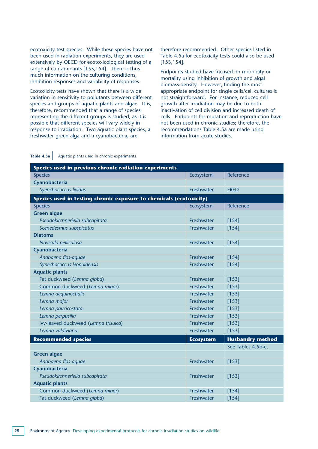ecotoxicity test species. While these species have not been used in radiation experiments, they are used extensively by OECD for ecotoxicological testing of a range of contaminants [153,154]. There is thus much information on the culturing conditions, inhibition responses and variability of responses.

Ecotoxicity tests have shown that there is a wide variation in sensitivity to pollutants between different species and groups of aquatic plants and algae. It is, therefore, recommended that a range of species representing the different groups is studied, as it is possible that different species will vary widely in response to irradiation. Two aquatic plant species, a freshwater green alga and a cyanobacteria, are

therefore recommended. Other species listed in Table 4.5a for ecotoxicity tests could also be used [153,154].

Endpoints studied have focused on morbidity or mortality using inhibition of growth and algal biomass density. However, finding the most appropriate endpoint for single cells/cell cultures is not straightforward. For instance, reduced cell growth after irradiation may be due to both inactivation of cell division and increased death of cells. Endpoints for mutation and reproduction have not been used in chronic studies; therefore, the recommendations Table 4.5a are made using information from acute studies.

| Table 4.5a   Aquatic plants used in chronic experiments |
|---------------------------------------------------------|

| Species used in previous chronic radiation experiments              |                  |                         |  |
|---------------------------------------------------------------------|------------------|-------------------------|--|
| <b>Species</b>                                                      | Ecosystem        | Reference               |  |
| Cyanobacteria                                                       |                  |                         |  |
| Syenchococcus lividus                                               | Freshwater       | <b>FRED</b>             |  |
| Species used in testing chronic exposure to chemicals (ecotoxicity) |                  |                         |  |
| <b>Species</b>                                                      | Ecosystem        | Reference               |  |
| <b>Green algae</b>                                                  |                  |                         |  |
| Pseudokirchneriella subcapitata                                     | Freshwater       | $[154]$                 |  |
| Scenedesmus subspicatus                                             | Freshwater       | $[154]$                 |  |
| <b>Diatoms</b>                                                      |                  |                         |  |
| Navicula pelliculosa                                                | Freshwater       | $[154]$                 |  |
| Cyanobacteria                                                       |                  |                         |  |
| Anabaena flos-aquae                                                 | Freshwater       | $[154]$                 |  |
| Synechococcus leopoldensis                                          | Freshwater       | $[154]$                 |  |
| <b>Aquatic plants</b>                                               |                  |                         |  |
| Fat duckweed (Lemna gibba)                                          | Freshwater       | [153]                   |  |
| Common duckweed (Lemna minor)                                       | Freshwater       | [153]                   |  |
| Lemna aequinoctialis                                                | Freshwater       | [153]                   |  |
| Lemna major                                                         | Freshwater       | [153]                   |  |
| Lemna paucicostata                                                  | Freshwater       | [153]                   |  |
| Lemna perpusilla                                                    | Freshwater       | [153]                   |  |
| Ivy-leaved duckweed (Lemna trisulca)                                | Freshwater       | [153]                   |  |
| Lemna valdiviana                                                    | Freshwater       | [153]                   |  |
| <b>Recommended species</b>                                          | <b>Ecosystem</b> | <b>Husbandry method</b> |  |
|                                                                     |                  | See Tables 4.5b-e.      |  |
| <b>Green algae</b>                                                  |                  |                         |  |
| Anabaena flos-aquae                                                 | Freshwater       | [153]                   |  |
| Cyanobacteria                                                       |                  |                         |  |
| Pseudokirchneriella subcapitata                                     | Freshwater       | [153]                   |  |
| <b>Aquatic plants</b>                                               |                  |                         |  |
| Common duckweed (Lemna minor)                                       | Freshwater       | $[154]$                 |  |
| Fat duckweed (Lemna gibba)                                          | Freshwater       | $[154]$                 |  |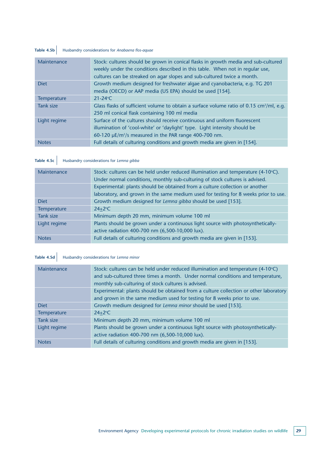### **Table 4.5b** Husbandry considerations for *Anabaena flos-aquae*

| Maintenance  | Stock: cultures should be grown in conical flasks in growth media and sub-cultured<br>weekly under the conditions described in this table. When not in regular use,<br>cultures can be streaked on agar slopes and sub-cultured twice a month. |
|--------------|------------------------------------------------------------------------------------------------------------------------------------------------------------------------------------------------------------------------------------------------|
| <b>Diet</b>  | Growth medium designed for freshwater algae and cyanobacteria, e.g. TG 201<br>media (OECD) or AAP media (US EPA) should be used [154].                                                                                                         |
| Temperature  | $21 - 24$ °C                                                                                                                                                                                                                                   |
| Tank size    | Glass flasks of sufficient volume to obtain a surface volume ratio of 0.15 $\text{cm}^2/\text{ml}$ , e.g.<br>250 ml conical flask containing 100 ml media                                                                                      |
| Light regime | Surface of the cultures should receive continuous and uniform fluorescent<br>illumination of 'cool-white' or 'daylight' type. Light intensity should be<br>60-120 $\mu$ E/m <sup>2</sup> /s measured in the PAR range 400-700 nm.              |
| <b>Notes</b> | Full details of culturing conditions and growth media are given in [154].                                                                                                                                                                      |

### **Table 4.5c** Husbandry considerations for *Lemna gibba*

| Maintenance  | Stock: cultures can be held under reduced illumination and temperature $(4-10^{\circ}C)$ .<br>Under normal conditions, monthly sub-culturing of stock cultures is advised. |
|--------------|----------------------------------------------------------------------------------------------------------------------------------------------------------------------------|
|              | Experimental: plants should be obtained from a culture collection or another                                                                                               |
|              | laboratory, and grown in the same medium used for testing for 8 weeks prior to use.                                                                                        |
| <b>Diet</b>  | Growth medium designed for Lemna gibba should be used [153].                                                                                                               |
| Temperature  | $24+2$ <sup>o</sup> C                                                                                                                                                      |
| Tank size    | Minimum depth 20 mm, minimum volume 100 ml                                                                                                                                 |
| Light regime | Plants should be grown under a continuous light source with photosynthetically-                                                                                            |
|              | active radiation 400-700 nm (6,500-10,000 lux).                                                                                                                            |
| <b>Notes</b> | Full details of culturing conditions and growth media are given in [153].                                                                                                  |

### **Table 4.5d** Husbandry considerations for *Lemna minor*

| Maintenance  | Stock: cultures can be held under reduced illumination and temperature $(4-10^{\circ}C)$<br>and sub-cultured three times a month. Under normal conditions and temperature,<br>monthly sub-culturing of stock cultures is advised. |
|--------------|-----------------------------------------------------------------------------------------------------------------------------------------------------------------------------------------------------------------------------------|
|              | Experimental: plants should be obtained from a culture collection or other laboratory                                                                                                                                             |
|              | and grown in the same medium used for testing for 8 weeks prior to use.                                                                                                                                                           |
| <b>Diet</b>  | Growth medium designed for Lemna minor should be used [153].                                                                                                                                                                      |
| Temperature  | $24+2$ <sup>o</sup> C                                                                                                                                                                                                             |
| Tank size    | Minimum depth 20 mm, minimum volume 100 ml                                                                                                                                                                                        |
| Light regime | Plants should be grown under a continuous light source with photosynthetically-                                                                                                                                                   |
|              | active radiation 400-700 nm (6,500-10,000 lux).                                                                                                                                                                                   |
| <b>Notes</b> | Full details of culturing conditions and growth media are given in [153].                                                                                                                                                         |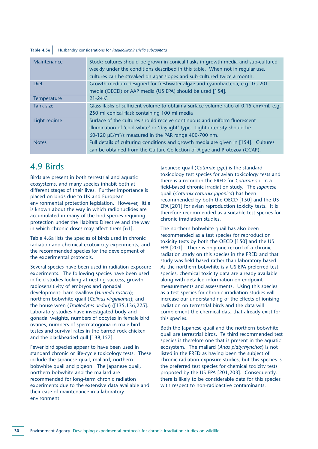#### **Table 4.5e** Husbandry considerations for *Pseudokirchineriella subcapitata*

| Maintenance      | Stock: cultures should be grown in conical flasks in growth media and sub-cultured<br>weekly under the conditions described in this table. When not in regular use,<br>cultures can be streaked on agar slopes and sub-cultured twice a month. |  |  |
|------------------|------------------------------------------------------------------------------------------------------------------------------------------------------------------------------------------------------------------------------------------------|--|--|
| <b>Diet</b>      | Growth medium designed for freshwater algae and cyanobacteria, e.g. TG 201                                                                                                                                                                     |  |  |
|                  | media (OECD) or AAP media (US EPA) should be used [154].                                                                                                                                                                                       |  |  |
| Temperature      | $21 - 24$ °C                                                                                                                                                                                                                                   |  |  |
| <b>Tank size</b> | Glass flasks of sufficient volume to obtain a surface volume ratio of 0.15 $\text{cm}^2/\text{ml}$ , e.g.                                                                                                                                      |  |  |
|                  | 250 ml conical flask containing 100 ml media                                                                                                                                                                                                   |  |  |
| Light regime     | Surface of the cultures should receive continuous and uniform fluorescent                                                                                                                                                                      |  |  |
|                  | illumination of 'cool-white' or 'daylight' type. Light intensity should be                                                                                                                                                                     |  |  |
|                  | 60-120 $\mu$ E/m <sup>2</sup> /s measured in the PAR range 400-700 nm.                                                                                                                                                                         |  |  |
| <b>Notes</b>     | Full details of culturing conditions and growth media are given in [154]. Cultures                                                                                                                                                             |  |  |
|                  | can be obtained from the Culture Collection of Algae and Protozoa (CCAP).                                                                                                                                                                      |  |  |

### 4.9 Birds

Birds are present in both terrestrial and aquatic ecosystems, and many species inhabit both at different stages of their lives. Further importance is placed on birds due to UK and European environmental protection legislation. However, little is known about the way in which radionuclides are accumulated in many of the bird species requiring protection under the Habitats Directive and the way in which chronic doses may affect them [61].

Table 4.6a lists the species of birds used in chronic radiation and chemical ecotoxicity experiments, and the recommended species for the development of the experimental protocols.

Several species have been used in radiation exposure experiments. The following species have been used in field studies looking at nesting success, growth, radiosensitivity of embryos and gonadal development: barn swallow (*Hirundo rustica*); northern bobwhite quail (*Colinus virginianus*); and the house wren (*Troglodytes aedon*) ([135,136,225]. Laboratory studies have investigated body and gonadal weights, numbers of oocytes in female bird ovaries, numbers of spermatogonia in male bird testes and survival rates in the barred rock chicken and the blackheaded gull [138,157].

Fewer bird species appear to have been used in standard chronic or life-cycle toxicology tests. These include the Japanese quail, mallard, northern bobwhite quail and pigeon. The Japanese quail, northern bobwhite and the mallard are recommended for long-term chronic radiation experiments due to the extensive data available and their ease of maintenance in a laboratory environment.

Japanese quail (*Coturnix spp.*) is the standard toxicology test species for avian toxicology tests and there is a record in the FRED for *Coturnix* sp. in a field-based chronic irradiation study. The *Japanese* quail (*Coturnix coturnix japonica*) has been recommended by both the OECD [150] and the US EPA [201] for avian reproduction toxicity tests. It is therefore recommended as a suitable test species for chronic irradiation studies.

The northern bobwhite quail has also been recommended as a test species for reproduction toxicity tests by both the OECD [150] and the US EPA [201]. There is only one record of a chronic radiation study on this species in the FRED and that study was field-based rather than laboratory-based. As the northern bobwhite is a US EPA preferred test species, chemical toxicity data are already available along with detailed information on endpoint measurements and assessments. Using this species as a test species for chronic irradiation studies will increase our understanding of the effects of ionising radiation on terrestrial birds and the data will complement the chemical data that already exist for this species.

Both the Japanese quail and the northern bobwhite quail are terrestrial birds. Te third recommended test species is therefore one that is present in the aquatic ecosystem. The mallard (*Anas platyrhynchos*) is not listed in the FRED as having been the subject of chronic radiation exposure studies, but this species is the preferred test species for chemical toxicity tests proposed by the US EPA [201,203]. Consequently, there is likely to be considerable data for this species with respect to non-radioactive contaminants.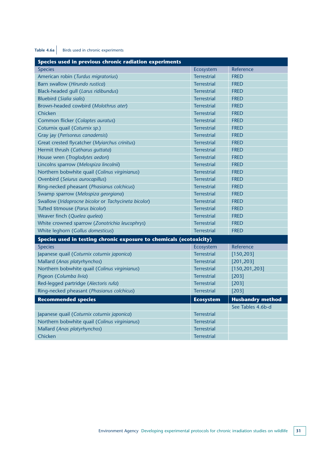### Table 4.6a Birds used in chronic experiments

| Species used in previous chronic radiation experiments              |                    |                         |  |
|---------------------------------------------------------------------|--------------------|-------------------------|--|
| <b>Species</b>                                                      | Ecosystem          | Reference               |  |
| American robin (Turdus migratorius)                                 | <b>Terrestrial</b> | <b>FRED</b>             |  |
| Barn swallow (Hirundo rustica)                                      | <b>Terrestrial</b> | <b>FRED</b>             |  |
| Black-headed gull (Larus ridibundus)                                | <b>Terrestrial</b> | <b>FRED</b>             |  |
| <b>Bluebird (Sialia sialis)</b>                                     | <b>Terrestrial</b> | <b>FRED</b>             |  |
| Brown-headed cowbird (Molothrus ater)                               | <b>Terrestrial</b> | <b>FRED</b>             |  |
| Chicken                                                             | <b>Terrestrial</b> | <b>FRED</b>             |  |
| Common flicker (Colaptes auratus)                                   | <b>Terrestrial</b> | <b>FRED</b>             |  |
| Coturnix quail (Coturnix sp.)                                       | <b>Terrestrial</b> | <b>FRED</b>             |  |
| Gray jay (Perisoreus canadensis)                                    | <b>Terrestrial</b> | <b>FRED</b>             |  |
| Great crested flycatcher (Myiarchus crinitus)                       | <b>Terrestrial</b> | <b>FRED</b>             |  |
| Hermit thrush (Catharus guttata)                                    | <b>Terrestrial</b> | <b>FRED</b>             |  |
| House wren (Troglodytes aedon)                                      | <b>Terrestrial</b> | <b>FRED</b>             |  |
| Lincolns sparrow (Melospiza lincolnii)                              | <b>Terrestrial</b> | <b>FRED</b>             |  |
| Northern bobwhite quail (Colinus virginianus)                       | <b>Terrestrial</b> | <b>FRED</b>             |  |
| Ovenbird (Seiurus aurocapillus)                                     | <b>Terrestrial</b> | <b>FRED</b>             |  |
| Ring-necked pheasant (Phasianus colchicus)                          | <b>Terrestrial</b> | <b>FRED</b>             |  |
| Swamp sparrow (Melospiza georgiana)                                 | <b>Terrestrial</b> | <b>FRED</b>             |  |
| Swallow (Iridoprocne bicolor or Tachycineta bicolor)                | <b>Terrestrial</b> | <b>FRED</b>             |  |
| Tufted titmouse (Parus bicolor)                                     | <b>Terrestrial</b> | <b>FRED</b>             |  |
| Weaver finch (Quelea quelea)                                        | <b>Terrestrial</b> | <b>FRED</b>             |  |
| White crowned sparrow (Zonotrichia leucophrys)                      | <b>Terrestrial</b> | <b>FRED</b>             |  |
| White leghorn (Gallus domesticus)                                   | <b>Terrestrial</b> | <b>FRED</b>             |  |
| Species used in testing chronic exposure to chemicals (ecotoxicity) |                    |                         |  |
| <b>Species</b>                                                      | Ecosystem          | Reference               |  |
| Japanese quail (Coturnix coturnix japonica)                         | <b>Terrestrial</b> | [150, 203]              |  |
| Mallard (Anas platyrhynchos)                                        | <b>Terrestrial</b> | [201, 203]              |  |
| Northern bobwhite quail (Colinus virginianus)                       | <b>Terrestrial</b> | [150, 201, 203]         |  |
| Pigeon (Columba livia)                                              | <b>Terrestrial</b> | [203]                   |  |
| Red-legged partridge (Alectoris rufa)                               | <b>Terrestrial</b> | $[203]$                 |  |
| Ring-necked pheasant (Phasianus colchicus)                          | <b>Terrestrial</b> | $[203]$                 |  |
| <b>Recommended species</b>                                          | <b>Ecosystem</b>   | <b>Husbandry method</b> |  |
|                                                                     |                    | See Tables 4.6b-d       |  |
| Japanese quail (Coturnix coturnix japonica)                         | <b>Terrestrial</b> |                         |  |
| Northern bobwhite quail (Colinus virginianus)                       | <b>Terrestrial</b> |                         |  |
| Mallard (Anas platyrhynchos)                                        | <b>Terrestrial</b> |                         |  |
| Chicken                                                             | <b>Terrestrial</b> |                         |  |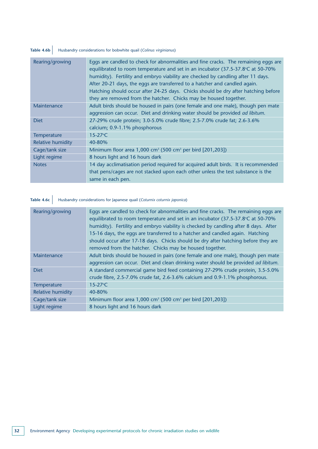## Table 4.6b Husbandry considerations for bobwhite quail (*Colinus virginianus*)

| Eggs are candled to check for abnormalities and fine cracks. The remaining eggs are<br>equilibrated to room temperature and set in an incubator (37.5-37.8°C at 50-70%<br>humidity). Fertility and embryo viability are checked by candling after 11 days. |
|------------------------------------------------------------------------------------------------------------------------------------------------------------------------------------------------------------------------------------------------------------|
| After 20-21 days, the eggs are transferred to a hatcher and candled again.                                                                                                                                                                                 |
| Hatching should occur after 24-25 days. Chicks should be dry after hatching before<br>they are removed from the hatcher. Chicks may be housed together.                                                                                                    |
| Adult birds should be housed in pairs (one female and one male), though pen mate<br>aggression can occur. Diet and drinking water should be provided ad libitum.                                                                                           |
| 27-29% crude protein; 3.0-5.0% crude fibre; 2.5-7.0% crude fat; 2.6-3.6%                                                                                                                                                                                   |
| calcium; 0.9-1.1% phosphorous                                                                                                                                                                                                                              |
| $15-27$ °C                                                                                                                                                                                                                                                 |
| 40-80%                                                                                                                                                                                                                                                     |
| Minimum floor area 1,000 cm <sup>3</sup> (500 cm <sup>3</sup> per bird [201,203])                                                                                                                                                                          |
| 8 hours light and 16 hours dark                                                                                                                                                                                                                            |
| 14 day acclimatisation period required for acquired adult birds. It is recommended                                                                                                                                                                         |
| that pens/cages are not stacked upon each other unless the test substance is the                                                                                                                                                                           |
| same in each pen.                                                                                                                                                                                                                                          |
|                                                                                                                                                                                                                                                            |

# **Table 4.6c** Husbandry considerations for Japanese quail (*Coturnix coturnix japonica*)

| Rearing/growing          | Eggs are candled to check for abnormalities and fine cracks. The remaining eggs are<br>equilibrated to room temperature and set in an incubator (37.5-37.8°C at 50-70%<br>humidity). Fertility and embryo viability is checked by candling after 8 days. After<br>15-16 days, the eggs are transferred to a hatcher and candled again. Hatching<br>should occur after 17-18 days. Chicks should be dry after hatching before they are<br>removed from the hatcher. Chicks may be housed together. |
|--------------------------|---------------------------------------------------------------------------------------------------------------------------------------------------------------------------------------------------------------------------------------------------------------------------------------------------------------------------------------------------------------------------------------------------------------------------------------------------------------------------------------------------|
| Maintenance              | Adult birds should be housed in pairs (one female and one male), though pen mate<br>aggression can occur. Diet and clean drinking water should be provided ad libitum.                                                                                                                                                                                                                                                                                                                            |
| <b>Diet</b>              | A standard commercial game bird feed containing 27-29% crude protein, 3.5-5.0%<br>crude fibre, 2.5-7.0% crude fat, 2.6-3.6% calcium and 0.9-1.1% phosphorous.                                                                                                                                                                                                                                                                                                                                     |
| <b>Temperature</b>       | $15 - 27$ °C                                                                                                                                                                                                                                                                                                                                                                                                                                                                                      |
| <b>Relative humidity</b> | 40-80%                                                                                                                                                                                                                                                                                                                                                                                                                                                                                            |
| Cage/tank size           | Minimum floor area 1,000 cm <sup>3</sup> (500 cm <sup>3</sup> per bird [201,203])                                                                                                                                                                                                                                                                                                                                                                                                                 |
| Light regime             | 8 hours light and 16 hours dark                                                                                                                                                                                                                                                                                                                                                                                                                                                                   |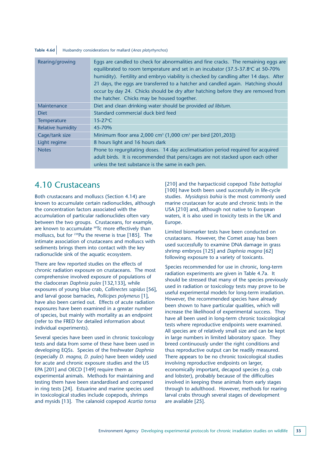### **Table 4.6d** Husbandry considerations for mallard (*Anas platyrhynchos*)

| Rearing/growing          | Eggs are candled to check for abnormalities and fine cracks. The remaining eggs are<br>equilibrated to room temperature and set in an incubator $(37.5-37.8^{\circ}C \text{ at } 50\text{-}70\%$<br>humidity). Fertility and embryo viability is checked by candling after 14 days. After<br>21 days, the eggs are transferred to a hatcher and candled again. Hatching should<br>occur by day 24. Chicks should be dry after hatching before they are removed from<br>the hatcher. Chicks may be housed together. |
|--------------------------|--------------------------------------------------------------------------------------------------------------------------------------------------------------------------------------------------------------------------------------------------------------------------------------------------------------------------------------------------------------------------------------------------------------------------------------------------------------------------------------------------------------------|
| Maintenance              | Diet and clean drinking water should be provided ad libitum.                                                                                                                                                                                                                                                                                                                                                                                                                                                       |
| <b>Diet</b>              | Standard commercial duck bird feed                                                                                                                                                                                                                                                                                                                                                                                                                                                                                 |
| Temperature              | $15 - 27$ °C                                                                                                                                                                                                                                                                                                                                                                                                                                                                                                       |
| <b>Relative humidity</b> | 45-70%                                                                                                                                                                                                                                                                                                                                                                                                                                                                                                             |
| Cage/tank size           | Minimum floor area 2,000 cm <sup>3</sup> (1,000 cm <sup>3</sup> per bird [201,203])                                                                                                                                                                                                                                                                                                                                                                                                                                |
| Light regime             | 8 hours light and 16 hours dark                                                                                                                                                                                                                                                                                                                                                                                                                                                                                    |
| <b>Notes</b>             | Prone to regurgitating doses. 14 day acclimatisation period required for acquired<br>adult birds. It is recommended that pens/cages are not stacked upon each other<br>unless the test substance is the same in each pen.                                                                                                                                                                                                                                                                                          |

### 4.10 Crustaceans

Both crustaceans and molluscs (Section 4.14) are known to accumulate certain radionuclides, although the concentration factors associated with the accumulation of particular radionuclides often vary between the two groups. Crustaceans, for example, are known to accumulate <sup>99</sup>Tc more effectively than molluscs, but for 239Pu the reverse is true [185]. The intimate association of crustaceans and molluscs with sediments brings them into contact with the key radionuclide sink of the aquatic ecosystem.

There are few reported studies on the effects of chronic radiation exposure on crustaceans. The most comprehensive involved exposure of populations of the cladoceran *Daphnia pulex* [132,133], while exposures of young blue crab, *Callinectes sapidus* [56], and larval goose barnacles, *Pollicipes polymerus* [1], have also been carried out. Effects of acute radiation exposures have been examined in a greater number of species, but mainly with mortality as an endpoint (refer to the FRED for detailed information about individual experiments).

Several species have been used in chronic toxicology tests and data from some of these have been used in developing EQSs. Species of the freshwater *Daphnia* (especially *D. magna, D. pulex*) have been widely used for acute and chronic exposure studies and the US EPA [201] and OECD [149] require them as experimental animals. Methods for maintaining and testing them have been standardised and compared in ring tests [24]. Estuarine and marine species used in toxicological studies include copepods, shrimps and mysids [13]. The calanoid copepod *Acartia tonsa*

[210] and the harpacticoid copepod *Tisbe battagliai* [100] have both been used successfully in life-cycle studies. *Mysidopsis bahia* is the most commonly used marine crustacean for acute and chronic tests in the USA [210] and, although not native to European waters, it is also used in toxicity tests in the UK and Europe.

Limited biomarker tests have been conducted on crustaceans. However, the Comet assay has been used successfully to examine DNA damage in grass shrimp embryos [125] and *Daphnia magna* [62] following exposure to a variety of toxicants.

Species recommended for use in chronic, long-term radiation experiments are given in Table 4.7a. It should be stressed that many of the species previously used in radiation or toxicology tests may prove to be useful experimental models for long-term irradiation. However, the recommended species have already been shown to have particular qualities, which will increase the likelihood of experimental success. They have all been used in long-term chronic toxicological tests where reproductive endpoints were examined. All species are of relatively small size and can be kept in large numbers in limited laboratory space. They breed continuously under the right conditions and thus reproductive output can be readily measured. There appears to be no chronic toxicological studies involving reproductive endpoints on larger, economically important, decapod species (e.g. crab and lobster), probably because of the difficulties involved in keeping these animals from early stages through to adulthood. However, methods for rearing larval crabs through several stages of development are available [25].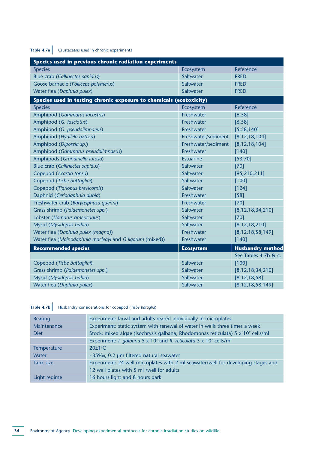# Table 4.7a Crustaceans used in chronic experiments

| Species used in previous chronic radiation experiments              |                     |                         |  |  |
|---------------------------------------------------------------------|---------------------|-------------------------|--|--|
| <b>Species</b>                                                      | Ecosystem           | Reference               |  |  |
| Blue crab (Callinectes sapidus)                                     | Saltwater           | <b>FRED</b>             |  |  |
| Goose barnacle (Polliceps polymerus)                                | Saltwater           | <b>FRED</b>             |  |  |
| Water flea (Daphnia pulex)                                          | Saltwater           | <b>FRED</b>             |  |  |
| Species used in testing chronic exposure to chemicals (ecotoxicity) |                     |                         |  |  |
| <b>Species</b>                                                      | Ecosystem           | Reference               |  |  |
| Amphipod (Gammarus lacustris)                                       | Freshwater          | [6, 58]                 |  |  |
| Amphipod (G. fasciatus)                                             | Freshwater          | [6, 58]                 |  |  |
| Amphipod (G. pseudolimnaeus)                                        | Freshwater          | [5, 58, 140]            |  |  |
| Amphipod (Hyallela azteca)                                          | Freshwater/sediment | [8, 12, 18, 104]        |  |  |
| Amphipod (Diporeia sp.)                                             | Freshwater/sediment | [8, 12, 18, 104]        |  |  |
| Amphipod (Gammarus pseudolimnaeus)                                  | Freshwater          | [140]                   |  |  |
| Amphipods (Grandiriella lutosa)                                     | <b>Estuarine</b>    | [53, 70]                |  |  |
| <b>Blue crab (Callinectes sapidus)</b>                              | Saltwater           | $[70]$                  |  |  |
| Copepod (Acartia tonsa)                                             | Saltwater           | [95, 210, 211]          |  |  |
| Copepod (Tisbe battagliai)                                          | Saltwater           | [100]                   |  |  |
| Copepod (Tigriopus brevicornis)                                     | Saltwater           | [124]                   |  |  |
| Daphnid (Ceriodaphnia dubia)                                        | Freshwater          | $[58]$                  |  |  |
| Freshwater crab (Barytelphusa querini)                              | Freshwater          | $[70]$                  |  |  |
| Grass shrimp (Palaemonetes spp.)                                    | Saltwater           | [8, 12, 18, 34, 210]    |  |  |
| Lobster (Homarus americanus)                                        | Saltwater           | $[70]$                  |  |  |
| Mysid (Mysidopsis bahia)                                            | Saltwater           | [8, 12, 18, 210]        |  |  |
| Water flea (Daphnia pulex (magna))                                  | Freshwater          | [8, 12, 18, 58, 149]    |  |  |
| Water flea (Moinodaphnia macleayi and G.ligorum (mixed))            | Freshwater          | [140]                   |  |  |
| <b>Recommended species</b>                                          | <b>Ecosystem</b>    | <b>Husbandry method</b> |  |  |
|                                                                     |                     | See Tables 4.7b & c.    |  |  |
| Copepod (Tisbe battagliai)                                          | Saltwater           | [100]                   |  |  |
| Grass shrimp (Palaemonetes spp.)                                    | Saltwater           | [8, 12, 18, 34, 210]    |  |  |
| Mysid (Mysidopsis bahia)                                            | Saltwater           | [8, 12, 18, 58]         |  |  |
| Water flea (Daphnia pulex)                                          | Saltwater           | [8, 12, 18, 58, 149]    |  |  |

# **Table 4.7b** Husbandry considerations for copepod (*Tisbe bataglia*)

| Rearing            | Experiment: larval and adults reared individually in microplates.                                       |
|--------------------|---------------------------------------------------------------------------------------------------------|
| Maintenance        | Experiment: static system with renewal of water in wells three times a week                             |
| <b>Diet</b>        | Stock: mixed algae (Isochrysis galbana, Rhodomonas reticulata) 5 x 10 <sup>7</sup> cells/ml             |
|                    | Experiment: <i>I. galbana</i> 5 x 10 <sup>7</sup> and <i>R. reticulata</i> 3 x 10 <sup>7</sup> cells/ml |
| <b>Temperature</b> | $20\pm1$ °C                                                                                             |
| Water              | ~35‰, 0.2 µm filtered natural seawater                                                                  |
| Tank size          | Experiment: 24 well microplates with 2 ml seawater/well for developing stages and                       |
|                    | 12 well plates with 5 ml /well for adults                                                               |
| Light regime       | 16 hours light and 8 hours dark                                                                         |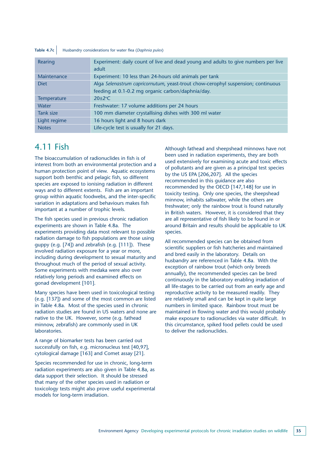#### **Table 4.7c** Husbandry considerations for water flea (*Daphnia pulex*)

| Rearing            | Experiment: daily count of live and dead young and adults to give numbers per live<br>adult                                           |
|--------------------|---------------------------------------------------------------------------------------------------------------------------------------|
| Maintenance        | Experiment: 10 less than 24-hours old animals per tank                                                                                |
| <b>Diet</b>        | Alga Selenastrum capricornutum, yeast-trout chow-cerophyl suspension; continuous<br>feeding at 0.1-0.2 mg organic carbon/daphnia/day. |
| <b>Temperature</b> | $20+2$ °C                                                                                                                             |
| Water              | Freshwater: 17 volume additions per 24 hours                                                                                          |
| Tank size          | 100 mm diameter crystallising dishes with 300 ml water                                                                                |
| Light regime       | 16 hours light and 8 hours dark                                                                                                       |
| <b>Notes</b>       | Life-cycle test is usually for 21 days.                                                                                               |

### 4.11 Fish

The bioaccumulation of radionuclides in fish is of interest from both an environmental protection and a human protection point of view. Aquatic ecosystems support both benthic and pelagic fish, so different species are exposed to ionising radiation in different ways and to different extents. Fish are an important group within aquatic foodwebs, and the inter-specific variation in adaptations and behaviours makes fish important at a number of trophic levels.

The fish species used in previous chronic radiation experiments are shown in Table 4.8a. The experiments providing data most relevant to possible radiation damage to fish populations are those using guppy (e.g. [74]) and zebrafish (e.g. [111]). These involved radiation exposure for a year or more, including during development to sexual maturity and throughout much of the period of sexual activity. Some experiments with medaka were also over relatively long periods and examined effects on gonad development [101].

Many species have been used in toxicological testing (e.g. [137]) and some of the most common are listed in Table 4.8a. Most of the species used in chronic radiation studies are found in US waters and none are native to the UK. However, some (e.g. fathead minnow, zebrafish) are commonly used in UK laboratories.

A range of biomarker tests has been carried out successfully on fish, e.g. micronucleus test [40,97], cytological damage [163] and Comet assay [21].

Species recommended for use in chronic, long-term radiation experiments are also given in Table 4.8a, as data support their selection. It should be stressed that many of the other species used in radiation or toxicology tests might also prove useful experimental models for long-term irradiation.

Although fathead and sheepshead minnows have not been used in radiation experiments, they are both used extensively for examining acute and toxic effects of pollutants and are given as a principal test species by the US EPA [206,207]. All the species recommended in this guidance are also recommended by the OECD [147,148] for use in toxicity testing. Only one species, the sheepshead minnow, inhabits saltwater, while the others are freshwater; only the rainbow trout is found naturally in British waters. However, it is considered that they are all representative of fish likely to be found in or around Britain and results should be applicable to UK species.

All recommended species can be obtained from scientific suppliers or fish hatcheries and maintained and bred easily in the laboratory. Details on husbandry are referenced in Table 4.8a. With the exception of rainbow trout (which only breeds annually), the recommended species can be bred continuously in the laboratory enabling irradiation of all life-stages to be carried out from an early age and reproductive activity to be measured readily. They are relatively small and can be kept in quite large numbers in limited space. Rainbow trout must be maintained in flowing water and this would probably make exposure to radionuclides via water difficult. In this circumstance, spiked food pellets could be used to deliver the radionuclides.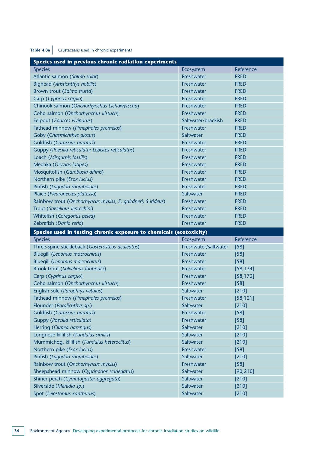### Table 4.8a Crustaceans used in chronic experiments

| Species used in previous chronic radiation experiments              |                      |             |  |  |
|---------------------------------------------------------------------|----------------------|-------------|--|--|
| <b>Species</b>                                                      | Ecosystem            | Reference   |  |  |
| Atlantic salmon (Salmo salar)                                       | Freshwater           | <b>FRED</b> |  |  |
| <b>Bighead (Aristichthys nobilis)</b>                               | Freshwater           | <b>FRED</b> |  |  |
| Brown trout (Salmo trutta)                                          | Freshwater           | <b>FRED</b> |  |  |
| Carp (Cyprinus carpio)                                              | Freshwater           | <b>FRED</b> |  |  |
| Chinook salmon (Onchorhynchus tschawytscha)                         | Freshwater           | <b>FRED</b> |  |  |
| Coho salmon (Onchorhynchus kistuch)                                 | Freshwater           | <b>FRED</b> |  |  |
| Eelpout (Zoarces viviparus)                                         | Saltwater/brackish   | <b>FRED</b> |  |  |
| Fathead minnow (Pimephales promelas)                                | Freshwater           | <b>FRED</b> |  |  |
| Goby (Chasmichthys glosus)                                          | Saltwater            | <b>FRED</b> |  |  |
| Goldfish (Carassius auratus)                                        | Freshwater           | <b>FRED</b> |  |  |
| Guppy (Poecilia reticulata; Lebistes reticulatus)                   | Freshwater           | <b>FRED</b> |  |  |
| Loach (Misgurnis fossilis)                                          | Freshwater           | <b>FRED</b> |  |  |
| Medaka (Oryzias latipes)                                            | Freshwater           | <b>FRED</b> |  |  |
| Mosquitofish (Gambusia affinis)                                     | Freshwater           | <b>FRED</b> |  |  |
| Northern pike (Esox lucius)                                         | Freshwater           | <b>FRED</b> |  |  |
| Pinfish (Lagodon rhomboides)                                        | Freshwater           | <b>FRED</b> |  |  |
| Plaice (Pleuronectes platessa)                                      | Saltwater            | <b>FRED</b> |  |  |
| Rainbow trout (Onchorhyncus mykiss; S. gairdneri, S irideus)        | Freshwater           | <b>FRED</b> |  |  |
| Trout (Salvelinus leprechini)                                       | Freshwater           | <b>FRED</b> |  |  |
| Whitefish (Coregonus peled)                                         | Freshwater           | <b>FRED</b> |  |  |
| Zebrafish (Danio rerio)                                             | Freshwater           | <b>FRED</b> |  |  |
|                                                                     |                      |             |  |  |
| Species used in testing chronic exposure to chemicals (ecotoxicity) |                      |             |  |  |
| <b>Species</b>                                                      | Ecosystem            | Reference   |  |  |
| Three-spine stickleback (Gasterosteus aculeatus)                    | Freshwater/saltwater | $[58]$      |  |  |
| <b>Bluegill (Lepomus macrochirus)</b>                               | Freshwater           | $[58]$      |  |  |
| <b>Bluegill (Lepomus macrochirus)</b>                               | Freshwater           | $[58]$      |  |  |
| <b>Brook trout (Salvelinus fontinalis)</b>                          | Freshwater           | [58, 134]   |  |  |
| Carp (Cyprinus carpio)                                              | Freshwater           | [58, 172]   |  |  |
| Coho salmon (Onchorhynchus kistuch)                                 | Freshwater           | $[58]$      |  |  |
| English sole (Parophrys vetulus)                                    | Saltwater            | $[210]$     |  |  |
| Fathead minnow (Pimephales promelas)                                | Freshwater           | [58, 121]   |  |  |
| Flounder (Paralichthys sp.)                                         | Saltwater            | $[210]$     |  |  |
| Goldfish (Carassius auratus)                                        | Freshwater           | $[58]$      |  |  |
| Guppy (Poecilia reticulata)                                         | Freshwater           | $[58]$      |  |  |
| Herring (Clupea harengus)                                           | Saltwater            | [210]       |  |  |
| Longnose killifish (Fundulus similis)                               | Saltwater            | [210]       |  |  |
| Mummichog, killifish (Fundulus heteroclitus)                        | Saltwater            | [210]       |  |  |
| Northern pike (Esox lucius)                                         | Freshwater           | $[58]$      |  |  |
| Pinfish (Lagodon rhomboides)                                        | Saltwater            | $[210]$     |  |  |
| Rainbow trout (Onchorhyncus mykiss)                                 | Freshwater           | $[58]$      |  |  |
| Sheepshead minnow (Cyprinodon variegatus)                           | Saltwater            | [90, 210]   |  |  |
| Shiner perch (Cymatogaster aggregata)                               | Saltwater            | $[210]$     |  |  |
| Silverside (Menidia sp.)                                            | Saltwater            | $[210]$     |  |  |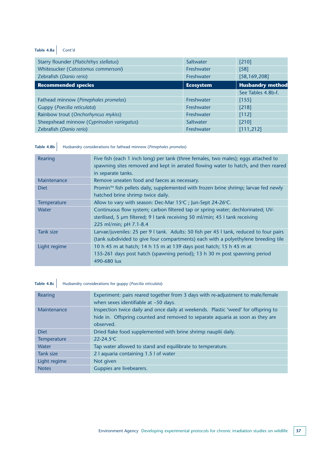### Table 4.8a Cont'd

| Starry flounder (Platichthys stellatus)   | Saltwater        | [210]                   |
|-------------------------------------------|------------------|-------------------------|
| Whitesucker (Catostomus commersoni)       | Freshwater       | $[58]$                  |
| Zebrafish (Danio rerio)                   | Freshwater       | [58, 169, 208]          |
| <b>Recommended species</b>                | <b>Ecosystem</b> | <b>Husbandry method</b> |
|                                           |                  | See Tables 4.8b-f.      |
| Fathead minnow (Pimephales promelas)      | Freshwater       | [155]                   |
| Guppy (Poecilia reticulata)               | Freshwater       | $[218]$                 |
| Rainbow trout (Onchorhyncus mykiss)       | Freshwater       | [112]                   |
| Sheepshead minnow (Cyprinodon variegatus) | Saltwater        | [210]                   |
| Zebrafish (Danio rerio)                   | Freshwater       | [111, 212]              |

Table 4.8b Husbandry considerations for fathead minnow (*Pimephales promelas*)

| Five fish (each 1 inch long) per tank (three females, two males); eggs attached to<br>spawning sites removed and kept in aerated flowing water to hatch, and then reared<br>in separate tanks. |
|------------------------------------------------------------------------------------------------------------------------------------------------------------------------------------------------|
| Remove uneaten food and faeces as necessary.                                                                                                                                                   |
| Promin™ fish pellets daily, supplemented with frozen brine shrimp; larvae fed newly                                                                                                            |
| hatched brine shrimp twice daily.                                                                                                                                                              |
| Allow to vary with season: Dec-Mar 15°C ; Jun-Sept 24-26°C.                                                                                                                                    |
| Continuous flow system; carbon filtered tap or spring water; dechlorinated; UV-                                                                                                                |
| sterilised, 5 um filtered; 9 I tank receiving 50 ml/min; 45 I tank receiving                                                                                                                   |
| 225 ml/min; pH 7.1-8.4                                                                                                                                                                         |
| Larvae/juveniles: 25 per 9 I tank. Adults: 50 fish per 45 I tank, reduced to four pairs                                                                                                        |
| (tank subdivided to give four compartments) each with a polyethylene breeding tile                                                                                                             |
| 10 h 45 m at hatch; 14 h 15 m at 139 days post hatch; 15 h 45 m at                                                                                                                             |
| 155-261 days post hatch (spawning period); 13 h 30 m post spawning period                                                                                                                      |
| 490-680 lux                                                                                                                                                                                    |
|                                                                                                                                                                                                |

## **Table 4.8c** Husbandry considerations for guppy (*Poecilia reticulata*)

| Rearing      | Experiment: pairs reared together from 3 days with re-adjustment to male/female<br>when sexes identifiable at $~50$ days.                                            |
|--------------|----------------------------------------------------------------------------------------------------------------------------------------------------------------------|
| Maintenance  | Inspection twice daily and once daily at weekends. Plastic 'weed' for offspring to<br>hide in. Offspring counted and removed to separate aquaria as soon as they are |
|              | observed.                                                                                                                                                            |
| <b>Diet</b>  | Dried flake food supplemented with brine shrimp nauplii daily.                                                                                                       |
| Temperature  | $22 - 24.5$ °C                                                                                                                                                       |
| Water        | Tap water allowed to stand and equilibrate to temperature.                                                                                                           |
| Tank size    | 2   aquaria containing 1.5   of water                                                                                                                                |
| Light regime | Not given                                                                                                                                                            |
| <b>Notes</b> | Guppies are livebearers.                                                                                                                                             |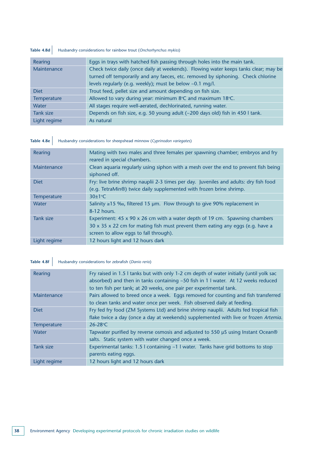### Table 4.8d Husbandry considerations for rainbow trout (*Onchorhynchus mykiss*)

| Rearing      | Eggs in trays with hatched fish passing through holes into the main tank.           |  |  |
|--------------|-------------------------------------------------------------------------------------|--|--|
| Maintenance  | Check twice daily (once daily at weekends). Flowing water keeps tanks clear; may be |  |  |
|              | turned off temporarily and any faeces, etc. removed by siphoning. Check chlorine    |  |  |
|              | levels regularly (e.g. weekly); must be below ~0.1 mg/l.                            |  |  |
| <b>Diet</b>  | Trout feed, pellet size and amount depending on fish size.                          |  |  |
| Temperature  | Allowed to vary during year: minimum 8°C and maximum 18°C.                          |  |  |
| Water        | All stages require well-aerated, dechlorinated, running water.                      |  |  |
| Tank size    | Depends on fish size, e.g. 50 young adult (~200 days old) fish in 450 l tank.       |  |  |
| Light regime | As natural                                                                          |  |  |

### **Table 4.8e** Husbandry considerations for sheepshead minnow (*Cyprinodon variegates*)

| Rearing      | Mating with two males and three females per spawning chamber; embryos and fry<br>reared in special chambers.                                                                                                       |
|--------------|--------------------------------------------------------------------------------------------------------------------------------------------------------------------------------------------------------------------|
| Maintenance  | Clean aquaria regularly using siphon with a mesh over the end to prevent fish being<br>siphoned off.                                                                                                               |
| <b>Diet</b>  | Fry: live brine shrimp nauplii 2-3 times per day. Juveniles and adults: dry fish food<br>(e.g. TetraMin®) twice daily supplemented with frozen brine shrimp.                                                       |
| Temperature  | $30\pm1$ °C                                                                                                                                                                                                        |
| Water        | Salinity ≥15 ‰, filtered 15 µm. Flow through to give 90% replacement in<br>8-12 hours.                                                                                                                             |
| Tank size    | Experiment: 45 x 90 x 26 cm with a water depth of 19 cm. Spawning chambers<br>$30 \times 35 \times 22$ cm for mating fish must prevent them eating any eggs (e.g. have a<br>screen to allow eggs to fall through). |
| Light regime | 12 hours light and 12 hours dark                                                                                                                                                                                   |

### **Table 4.8f** Husbandry considerations for zebrafish (*Danio rerio*)

| Rearing          | Fry raised in 1.5 I tanks but with only 1-2 cm depth of water initially (until yolk sac<br>absorbed) and then in tanks containing $\sim$ 50 fish in 1 l water. At 12 weeks reduced<br>to ten fish per tank; at 20 weeks, one pair per experimental tank. |
|------------------|----------------------------------------------------------------------------------------------------------------------------------------------------------------------------------------------------------------------------------------------------------|
| Maintenance      | Pairs allowed to breed once a week. Eggs removed for counting and fish transferred<br>to clean tanks and water once per week. Fish observed daily at feeding.                                                                                            |
| <b>Diet</b>      | Fry fed fry food (ZM Systems Ltd) and brine shrimp nauplii. Adults fed tropical fish<br>flake twice a day (once a day at weekends) supplemented with live or frozen Artemia.                                                                             |
| Temperature      | $26 - 28$ °C                                                                                                                                                                                                                                             |
| Water            | Tapwater purified by reverse osmosis and adjusted to 550 µS using Instant Ocean®<br>salts. Static system with water changed once a week.                                                                                                                 |
| <b>Tank size</b> | Experimental tanks: 1.5 I containing $\sim$ 1 I water. Tanks have grid bottoms to stop<br>parents eating eggs.                                                                                                                                           |
| Light regime     | 12 hours light and 12 hours dark                                                                                                                                                                                                                         |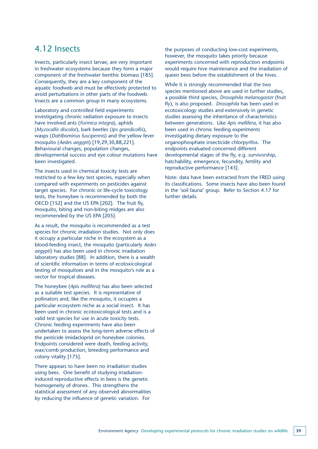### 4.12 Insects

Insects, particularly insect larvae, are very important in freshwater ecosystems because they form a major component of the freshwater benthic biomass [185]. Consequently, they are a key component of the aquatic foodweb and must be effectively protected to avoid perturbations in other parts of the foodweb. Insects are a common group in many ecosystems.

Laboratory and controlled field experiments investigating chronic radiation exposure to insects have involved ants (*Formica integra*), aphids (*Myzocallis discolor*), bark beetles (*Ips grandicollis*), wasps (*Dahlbominus fuscipennis*) and the yellow fever mosquito (*Aedes aegypti*) [19,29,30,88,221]. Behavioural changes, population changes, developmental success and eye colour mutations have been investigated.

The insects used in chemical toxicity tests are restricted to a few key test species, especially when compared with experiments on pesticides against target species. For chronic or life-cycle toxicology tests, the honeybee is recommended by both the OECD [152] and the US EPA [202]. The fruit fly, mosquito, biting and non-biting midges are also recommended by the US EPA [205].

As a result, the mosquito is recommended as a test species for chronic irradiation studies. Not only does it occupy a particular niche in the ecosystem as a blood-feeding insect, the mosquito (particularly *Aedes aegypti*) has also been used in chronic irradiation laboratory studies [88]. In addition, there is a wealth of scientific information in terms of ecotoxicological testing of mosquitoes and in the mosquito's role as a vector for tropical diseases.

The honeybee (*Apis mellifera*) has also been selected as a suitable test species. It is representative of pollinators and, like the mosquito, it occupies a particular ecosystem niche as a social insect. It has been used in chronic ecotoxicological tests and is a valid test species for use in acute toxicity tests. Chronic feeding experiments have also been undertaken to assess the long-term adverse effects of the pesticide imidacloprid on honeybee colonies. Endpoints considered were death, feeding activity, wax/comb production, breeding performance and colony vitality [175].

There appears to have been no irradiation studies using bees. One benefit of studying irradiationinduced reproductive effects in bees is the genetic homogeneity of drones. This strengthens the statistical assessment of any observed abnormalities by reducing the influence of genetic variation. For

the purposes of conducting low-cost experiments, however, the mosquito takes priority because experiments concerned with reproduction endpoints would require hive maintenance and the irradiation of queen bees before the establishment of the hives.

While it is strongly recommended that the two species mentioned above are used in further studies, a possible third species, *Drosophila melanogaster* (fruit fly), is also proposed. *Drosophila* has been used in ecotoxicology studies and extensively in genetic studies assessing the inheritance of characteristics between generations. Like *Apis mellifera*, it has also been used in chronic feeding experiments investigating dietary exposure to the organophosphate insecticide chlorpyrifos. The endpoints evaluated concerned different developmental stages of the fly, e.g. survivorship, hatchability, emergence, fecundity, fertility and reproductive performance [143].

Note: data have been extracted from the FRED using its classifications. Some insects have also been found in the 'soil fauna' group. Refer to Section 4.17 for further details.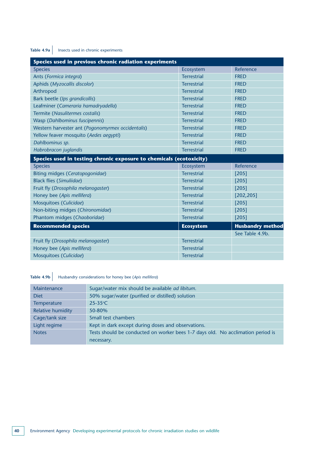### **Table 4.9a** Insects used in chronic experiments

| Species used in previous chronic radiation experiments              |                    |                         |  |
|---------------------------------------------------------------------|--------------------|-------------------------|--|
| <b>Species</b>                                                      | Ecosystem          | Reference               |  |
| Ants (Formica integra)                                              | <b>Terrestrial</b> | <b>FRED</b>             |  |
| Aphids (Myzocallis discolor)                                        | <b>Terrestrial</b> | <b>FRED</b>             |  |
| Arthropod                                                           | <b>Terrestrial</b> | <b>FRED</b>             |  |
| Bark beetle (Ips grandicollis)                                      | <b>Terrestrial</b> | <b>FRED</b>             |  |
| Leafminer (Cameraria hamadryadella)                                 | <b>Terrestrial</b> | <b>FRED</b>             |  |
| Termite (Nasulitermes costalis)                                     | <b>Terrestrial</b> | <b>FRED</b>             |  |
| Wasp (Dahlbominus fuscipennis)                                      | <b>Terrestrial</b> | <b>FRED</b>             |  |
| Western harvester ant (Pogonomyrmex occidentalis)                   | <b>Terrestrial</b> | <b>FRED</b>             |  |
| Yellow feaver mosquito (Aedes aegypti)                              | <b>Terrestrial</b> | <b>FRED</b>             |  |
| Dahlbominus sp.                                                     | <b>Terrestrial</b> | <b>FRED</b>             |  |
| Habrobracon juglandis                                               | <b>Terrestrial</b> | <b>FRED</b>             |  |
| Species used in testing chronic exposure to chemicals (ecotoxicity) |                    |                         |  |
| <b>Species</b>                                                      | Ecosystem          | Reference               |  |
| Biting midges (Ceratopogonidae)                                     | <b>Terrestrial</b> | [205]                   |  |
| <b>Black flies (Simuliidae)</b>                                     | <b>Terrestrial</b> | [205]                   |  |
| Fruit fly (Drosophila melanogaster)                                 | <b>Terrestrial</b> | [205]                   |  |
| Honey bee (Apis mellifera)                                          | <b>Terrestrial</b> | [202, 205]              |  |
| Mosquitoes (Culicidae)                                              | <b>Terrestrial</b> | [205]                   |  |
| Non-biting midges (Chironomidae)                                    | <b>Terrestrial</b> | $[205]$                 |  |
| Phantom midges (Chaoboridae)                                        | <b>Terrestrial</b> | $[205]$                 |  |
| <b>Recommended species</b>                                          | <b>Ecosystem</b>   | <b>Husbandry method</b> |  |
|                                                                     |                    | See Table 4.9b.         |  |
| Fruit fly (Drosophila melanogaster)                                 | <b>Terrestrial</b> |                         |  |
| Honey bee (Apis mellifera)                                          | <b>Terrestrial</b> |                         |  |
| Mosquitoes (Culicidae)                                              | <b>Terrestrial</b> |                         |  |

## **Table 4.9b** Husbandry considerations for honey bee (*Apis mellifera*)

| Maintenance              | Sugar/water mix should be available ad libitum.                                 |
|--------------------------|---------------------------------------------------------------------------------|
| <b>Diet</b>              | 50% sugar/water (purified or distilled) solution                                |
| <b>Temperature</b>       | $25-35$ °C                                                                      |
| <b>Relative humidity</b> | 50-80%                                                                          |
| Cage/tank size           | Small test chambers                                                             |
| Light regime             | Kept in dark except during doses and observations.                              |
| <b>Notes</b>             | Tests should be conducted on worker bees 1-7 days old. No acclimation period is |
|                          | necessary.                                                                      |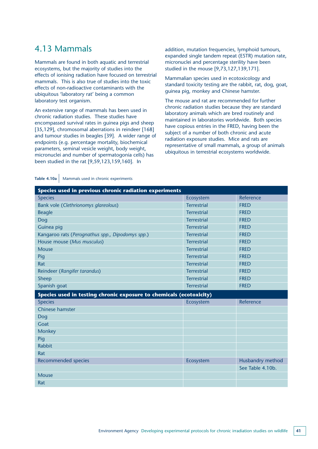### 4.13 Mammals

Mammals are found in both aquatic and terrestrial ecosystems, but the majority of studies into the effects of ionising radiation have focused on terrestrial mammals. This is also true of studies into the toxic effects of non-radioactive contaminants with the ubiquitous 'laboratory rat' being a common laboratory test organism.

An extensive range of mammals has been used in chronic radiation studies. These studies have encompassed survival rates in guinea pigs and sheep [35,129], chromosomal aberrations in reindeer [168] and tumour studies in beagles [39]. A wider range of endpoints (e.g. percentage mortality, biochemical parameters, seminal vesicle weight, body weight, micronuclei and number of spermatogonia cells) has been studied in the rat [9,59,123,159,160]. In

addition, mutation frequencies, lymphoid tumours, expanded single tandem repeat (ESTR) mutation rate, micronuclei and percentage sterility have been studied in the mouse [9,73,127,139,171].

Mammalian species used in ecotoxicology and standard toxicity testing are the rabbit, rat, dog, goat, guinea pig, monkey and Chinese hamster.

The mouse and rat are recommended for further chronic radiation studies because they are standard laboratory animals which are bred routinely and maintained in laboratories worldwide. Both species have copious entries in the FRED, having been the subject of a number of both chronic and acute radiation exposure studies. Mice and rats are representative of small mammals, a group of animals ubiquitous in terrestrial ecosystems worldwide.

| Table 4.10a $\vert$ Mammals used in chronic experiments |  |
|---------------------------------------------------------|--|
|---------------------------------------------------------|--|

| Species used in previous chronic radiation experiments              |                    |                  |  |
|---------------------------------------------------------------------|--------------------|------------------|--|
| <b>Species</b>                                                      | Ecosystem          | Reference        |  |
| Bank vole (Clethrionomys glareolous)                                | <b>Terrestrial</b> | <b>FRFD</b>      |  |
| <b>Beagle</b>                                                       | <b>Terrestrial</b> | <b>FRED</b>      |  |
| Dog                                                                 | <b>Terrestrial</b> | <b>FRED</b>      |  |
| Guinea pig                                                          | <b>Terrestrial</b> | <b>FRED</b>      |  |
| Kangaroo rats (Perognathus spp., Dipodomys spp.)                    | <b>Terrestrial</b> | <b>FRED</b>      |  |
| House mouse (Mus musculus)                                          | <b>Terrestrial</b> | <b>FRED</b>      |  |
| Mouse                                                               | <b>Terrestrial</b> | <b>FRED</b>      |  |
| Pig                                                                 | <b>Terrestrial</b> | <b>FRED</b>      |  |
| Rat                                                                 | <b>Terrestrial</b> | <b>FRED</b>      |  |
| Reindeer (Rangifer tarandus)                                        | <b>Terrestrial</b> | <b>FRED</b>      |  |
| Sheep                                                               | <b>Terrestrial</b> | <b>FRED</b>      |  |
| Spanish goat                                                        | <b>Terrestrial</b> | <b>FRED</b>      |  |
| Species used in testing chronic exposure to chemicals (ecotoxicity) |                    |                  |  |
| <b>Species</b>                                                      | Ecosystem          | Reference        |  |
| Chinese hamster                                                     |                    |                  |  |
| Dog                                                                 |                    |                  |  |
| Goat                                                                |                    |                  |  |
| Monkey                                                              |                    |                  |  |
| Pig                                                                 |                    |                  |  |
| <b>Rabbit</b>                                                       |                    |                  |  |
| Rat                                                                 |                    |                  |  |
| <b>Recommended species</b>                                          | Ecosystem          | Husbandry method |  |
|                                                                     |                    | See Table 4.10b. |  |
| <b>Mouse</b>                                                        |                    |                  |  |
| Rat                                                                 |                    |                  |  |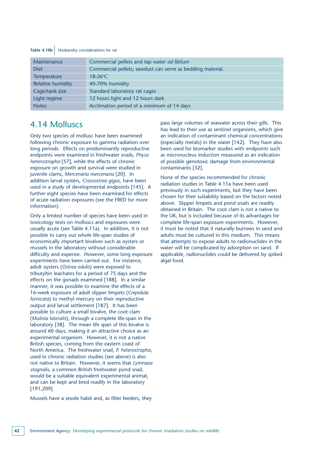#### Table 4.10b Husbandry considerations for rat

| Maintenance              | Commercial pellets and tap water ad libitum                |
|--------------------------|------------------------------------------------------------|
| <b>Diet</b>              | Commercial pellets; sawdust can serve as bedding material. |
| Temperature              | $18-26$ °C                                                 |
| <b>Relative humidity</b> | 40-70% humidity                                            |
| Cage/tank size           | Standard laboratory rat cages                              |
| Light regime             | 12 hours light and 12 hours dark                           |
| <b>Notes</b>             | Acclimation period of a minimum of 14 days                 |

### 4.14 Molluscs

Only two species of mollusc have been examined following chronic exposure to gamma radiation over long periods. Effects on predominantly reproductive endpoints were examined in freshwater snails, *Physa heterostropha* [57], while the effects of chronic exposure on growth and survival were studied in juvenile clams, *Mercenaria mercenaria* [20]. In addition larval oysters, *Crassostrea gigas*, have been used in a study of developmental endpoints [145]. A further eight species have been examined for effects of acute radiation exposures (see the FRED for more information).

Only a limited number of species have been used in toxicology tests on molluscs and exposures were usually acute (see Table 4.11a). In addition, it is not possible to carry out whole life-span studies of economically important bivalves such as oysters or mussels in the laboratory without considerable difficulty and expense. However, some long exposure experiments have been carried out. For instance, adult oysters (*Ostrea edulis*) were exposed to tributyltin leachates for a period of 75 days and the effects on the gonads examined [188]. In a similar manner, it was possible to examine the effects of a 16-week exposure of adult slipper limpets (*Crepidula fornicata*) to methyl mercury on their reproductive output and larval settlement [187]. It has been possible to culture a small bivalve, the coot clam (*Mulinia lateralis*), through a complete life-span in the laboratory [38]. The mean life span of this bivalve is around 60 days, making it an attractive choice as an experimental organism. However, it is not a native British species, coming from the eastern coast of North America. The freshwater snail, *P. heterostropha*, used in chronic radiation studies (see above) is also not native to Britain. However, it seems that *Lymnaea stagnalis*, a common British freshwater pond snail, would be a suitable equivalent experimental animal. and can be kept and bred readily in the laboratory [191,209].

Mussels have a sessile habit and, as filter feeders, they

pass large volumes of seawater across their gills. This has lead to their use as sentinel organisms, which give an indication of contaminant chemical concentrations (especially metals) in the water [142]. They have also been used for biomarker studies with endpoints such as micronucleus induction measured as an indication of possible genotoxic damage from environmental contaminants [32].

None of the species recommended for chronic radiation studies in Table 4.11a have been used previously in such experiments, but they have been chosen for their suitability based on the factors noted above. Slipper limpets and pond snails are readily obtained in Britain. The coot clam is not a native to the UK, but is included because of its advantages for complete life-span exposure experiments. However, it must be noted that it naturally burrows in sand and adults must be cultured in this medium. This means that attempts to expose adults to radionuclides in the water will be complicated by adsorption on sand. If applicable, radionuclides could be delivered by spiked algal food.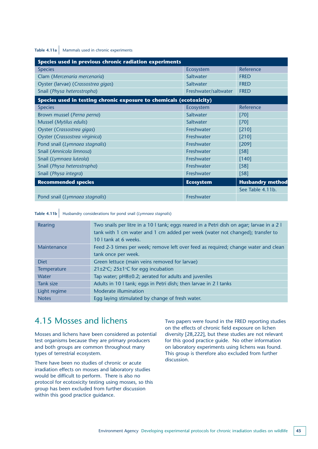#### Table 4.11a Mammals used in chronic experiments

| Species used in previous chronic radiation experiments              |                      |                         |
|---------------------------------------------------------------------|----------------------|-------------------------|
| <b>Species</b>                                                      | Ecosystem            | Reference               |
| Clam (Mercenaria mercenaria)                                        | Saltwater            | <b>FRED</b>             |
| Oyster (larvae) (Crassostrea gigas)                                 | Saltwater            | <b>FRED</b>             |
| Snail (Physa heterostropha)                                         | Freshwater/saltwater | <b>FRED</b>             |
| Species used in testing chronic exposure to chemicals (ecotoxicity) |                      |                         |
| <b>Species</b>                                                      | Ecosystem            | Reference               |
| Brown mussel (Perna perna)                                          | Saltwater            | [70]                    |
| Mussel (Mytilus edulis)                                             | Saltwater            | $[70]$                  |
| Oyster (Crassostrea gigas)                                          | Freshwater           | [210]                   |
| Oyster (Crassostrea virginica)                                      | Freshwater           | [210]                   |
| Pond snail (Lymnaea stagnalis)                                      | Freshwater           | [209]                   |
| Snail (Amnicola limnosa)                                            | Freshwater           | $[58]$                  |
| Snail (Lymnaea luteola)                                             | Freshwater           | [140]                   |
| Snail (Physa heterostropha)                                         | Freshwater           | $[58]$                  |
| Snail (Physa integra)                                               | Freshwater           | [58]                    |
| <b>Recommended species</b>                                          | <b>Ecosystem</b>     | <b>Husbandry method</b> |
|                                                                     |                      | See Table 4.11b.        |
| Pond snail (Lymnaea stagnalis)                                      | Freshwater           |                         |

**Table 4.11b** Husbandry considerations for pond snail (*Lymnaea stagnalis*)

| Rearing      | Two snails per litre in a 10 I tank; eggs reared in a Petri dish on agar; larvae in a 2 I<br>tank with 1 cm water and 1 cm added per week (water not changed); transfer to<br>10 I tank at 6 weeks. |
|--------------|-----------------------------------------------------------------------------------------------------------------------------------------------------------------------------------------------------|
| Maintenance  | Feed 2-3 times per week; remove left over feed as required; change water and clean                                                                                                                  |
|              | tank once per week.                                                                                                                                                                                 |
| <b>Diet</b>  | Green lettuce (main veins removed for larvae)                                                                                                                                                       |
| Temperature  | 21±2 $°C$ ; 25±1 $°C$ for egg incubation                                                                                                                                                            |
| <b>Water</b> | Tap water; pH8±0.2; aerated for adults and juveniles                                                                                                                                                |
| Tank size    | Adults in 10 I tank; eggs in Petri dish; then larvae in 2 I tanks                                                                                                                                   |
| Light regime | Moderate illumination                                                                                                                                                                               |
| <b>Notes</b> | Egg laying stimulated by change of fresh water.                                                                                                                                                     |
|              |                                                                                                                                                                                                     |

### 4.15 Mosses and lichens

Mosses and lichens have been considered as potential test organisms because they are primary producers and both groups are common throughout many types of terrestrial ecosystem.

There have been no studies of chronic or acute irradiation effects on mosses and laboratory studies would be difficult to perform. There is also no protocol for ecotoxicity testing using mosses, so this group has been excluded from further discussion within this good practice guidance.

Two papers were found in the FRED reporting studies on the effects of chronic field exposure on lichen diversity [28,222], but these studies are not relevant for this good practice guide. No other information on laboratory experiments using lichens was found. This group is therefore also excluded from further discussion.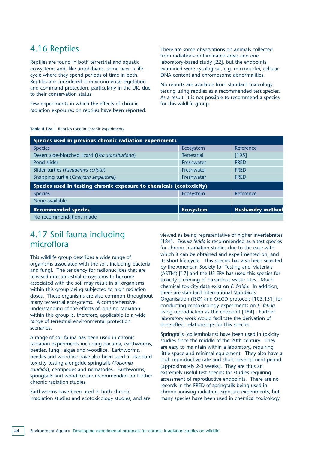### 4.16 Reptiles

Reptiles are found in both terrestrial and aquatic ecosystems and, like amphibians, some have a lifecycle where they spend periods of time in both. Reptiles are considered in environmental legislation and command protection, particularly in the UK, due to their conservation status.

Few experiments in which the effects of chronic radiation exposures on reptiles have been reported. There are some observations on animals collected from radiation-contaminated areas and one laboratory-based study [22], but the endpoints examined were cytological, e.g. micronuclei, cellular DNA content and chromosome abnormalities.

No reports are available from standard toxicology testing using reptiles as a recommended test species. As a result, it is not possible to recommend a species for this wildlife group.

|  |  | Table 4.12a   Reptiles used in chronic experiments |
|--|--|----------------------------------------------------|
|--|--|----------------------------------------------------|

| Species used in previous chronic radiation experiments              |                    |                         |
|---------------------------------------------------------------------|--------------------|-------------------------|
| <b>Species</b>                                                      | Ecosystem          | Reference               |
| Desert side-blotched lizard (Uta stansburiana)                      | <b>Terrestrial</b> | $[195]$                 |
| Pond slider                                                         | Freshwater         | <b>FRED</b>             |
| Slider turtles (Pseudemys scripta)                                  | Freshwater         | <b>FRED</b>             |
| Snapping turtle (Chelydra serpentine)                               | Freshwater         | <b>FRED</b>             |
| Species used in testing chronic exposure to chemicals (ecotoxicity) |                    |                         |
| <b>Species</b>                                                      | Ecosystem          | Reference               |
| None available                                                      |                    |                         |
| <b>Recommended species</b>                                          | <b>Ecosystem</b>   | <b>Husbandry method</b> |
| No recommendations made                                             |                    |                         |

### 4.17 Soil fauna including microflora

This wildlife group describes a wide range of organisms associated with the soil, including bacteria and fungi. The tendency for radionuclides that are released into terrestrial ecosystems to become associated with the soil may result in all organisms within this group being subjected to high radiation doses. These organisms are also common throughout many terrestrial ecosystems. A comprehensive understanding of the effects of ionising radiation within this group is, therefore, applicable to a wide range of terrestrial environmental protection scenarios.

A range of soil fauna has been used in chronic radiation experiments including bacteria, earthworms, beetles, fungi, algae and woodlice. Earthworms, beetles and woodlice have also been used in standard toxicity testing alongside springtails (*Folsomia candida*), centipedes and nematodes. Earthworms, springtails and woodlice are recommended for further chronic radiation studies.

Earthworms have been used in both chronic irradiation studies and ecotoxicology studies, and are viewed as being representative of higher invertebrates [184]. *Eisenia fetida* is recommended as a test species for chronic irradiation studies due to the ease with which it can be obtained and experimented on, and its short life-cycle. This species has also been selected by the American Society for Testing and Materials (ASTM) [17] and the US EPA has used this species for toxicity screening of hazardous waste sites. Much chemical toxicity data exist on *E. fetida*. In addition, there are standard International Standards Organisation (ISO) and OECD protocols [105,151] for conducting ecotoxicology experiments on *E. fetida*, using reproduction as the endpoint [184]. Further laboratory work would facilitate the derivation of dose-effect relationships for this species.

Springtails (collembolans) have been used in toxicity studies since the middle of the 20th century. They are easy to maintain within a laboratory, requiring little space and minimal equipment. They also have a high reproductive rate and short development period (approximately 2-3 weeks). They are thus an extremely useful test species for studies requiring assessment of reproductive endpoints. There are no records in the FRED of springtails being used in chronic ionising radiation exposure experiments, but many species have been used in chemical toxicology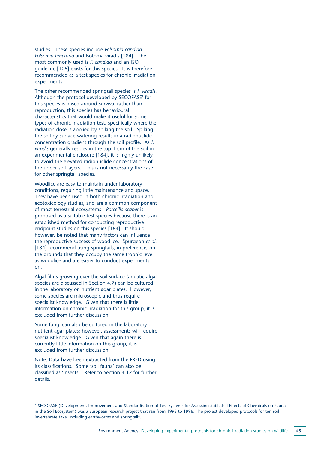studies. These species include *Folsomia candida*, *Folsomia fimetaria* and Isotoma viradis [184]. The most commonly used is *F. candida* and an ISO guideline [106] exists for this species. It is therefore recommended as a test species for chronic irradiation experiments.

The other recommended springtail species is *I. viradis*. Although the protocol developed by SECOFASE<sup>1</sup> for this species is based around survival rather than reproduction, this species has behavioural characteristics that would make it useful for some types of chronic irradiation test, specifically where the radiation dose is applied by spiking the soil. Spiking the soil by surface watering results in a radionuclide concentration gradient through the soil profile. As *I. viradis* generally resides in the top 1 cm of the soil in an experimental enclosure [184], it is highly unlikely to avoid the elevated radionuclide concentrations of the upper soil layers. This is not necessarily the case for other springtail species.

Woodlice are easy to maintain under laboratory conditions, requiring little maintenance and space. They have been used in both chronic irradiation and ecotoxicology studies, and are a common component of most terrestrial ecosystems. *Porcellio scaber* is proposed as a suitable test species because there is an established method for conducting reproductive endpoint studies on this species [184]. It should, however, be noted that many factors can influence the reproductive success of woodlice. Spurgeon *et al*. [184] recommend using springtails, in preference, on the grounds that they occupy the same trophic level as woodlice and are easier to conduct experiments on.

Algal films growing over the soil surface (aquatic algal species are discussed in Section 4.7) can be cultured in the laboratory on nutrient agar plates. However, some species are microscopic and thus require specialist knowledge. Given that there is little information on chronic irradiation for this group, it is excluded from further discussion.

Some fungi can also be cultured in the laboratory on nutrient agar plates; however, assessments will require specialist knowledge. Given that again there is currently little information on this group, it is excluded from further discussion.

Note: Data have been extracted from the FRED using its classifications. Some 'soil fauna' can also be classified as 'insects'. Refer to Section 4.12 for further details.

<sup>1</sup> SECOFASE (Development, Improvement and Standardisation of Test Systems for Assessing Sublethal Effects of Chemicals on Fauna in the Soil Ecosystem) was a European research project that ran from 1993 to 1996. The project developed protocols for ten soil invertebrate taxa, including earthworms and springtails.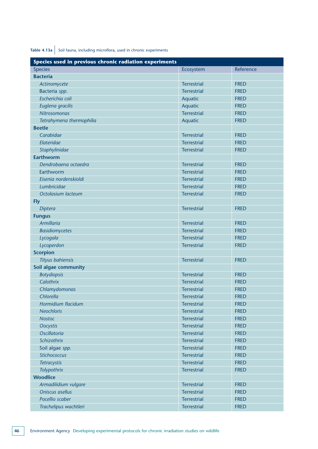**Table 4.13a** Soil fauna, including microflora, used in chronic experiments

| Species used in previous chronic radiation experiments |                    |             |
|--------------------------------------------------------|--------------------|-------------|
| <b>Species</b>                                         | Ecosystem          | Reference   |
| <b>Bacteria</b>                                        |                    |             |
| Actinomycete                                           | <b>Terrestrial</b> | <b>FRED</b> |
| Bacteria spp.                                          | <b>Terrestrial</b> | <b>FRED</b> |
| Escherichia coli                                       | Aquatic            | <b>FRED</b> |
| Euglena gracilis                                       | Aquatic            | <b>FRED</b> |
| <b>Nitrosomonas</b>                                    | <b>Terrestrial</b> | <b>FRED</b> |
| Tetrahymena thermophilia                               | Aquatic            | <b>FRED</b> |
| <b>Beetle</b>                                          |                    |             |
| Carabidae                                              | <b>Terrestrial</b> | <b>FRED</b> |
| Elateridae                                             | <b>Terrestrial</b> | <b>FRED</b> |
| Staphylinidae                                          | <b>Terrestrial</b> | <b>FRED</b> |
| <b>Earthworm</b>                                       |                    |             |
| Dendrobaena octaedra                                   | <b>Terrestrial</b> | <b>FRED</b> |
| Earthworm                                              | <b>Terrestrial</b> | <b>FRED</b> |
| Eisenia nordenskioldi                                  | <b>Terrestrial</b> | <b>FRED</b> |
| Lumbricidae                                            | <b>Terrestrial</b> | <b>FRED</b> |
| Octolasium lacteum                                     | <b>Terrestrial</b> | <b>FRED</b> |
| <b>Fly</b>                                             |                    |             |
| <b>Diptera</b>                                         | <b>Terrestrial</b> | <b>FRED</b> |
| <b>Fungus</b>                                          |                    |             |
| <b>Armillaria</b>                                      | <b>Terrestrial</b> | <b>FRED</b> |
| <b>Basidiomycetes</b>                                  | <b>Terrestrial</b> | <b>FRED</b> |
| Lycogala                                               | <b>Terrestrial</b> | <b>FRED</b> |
| Lycoperdon                                             | <b>Terrestrial</b> | <b>FRED</b> |
| <b>Scorpion</b>                                        |                    |             |
| <b>Tityus bahiensis</b>                                | <b>Terrestrial</b> | <b>FRED</b> |
| Soil algae community                                   |                    |             |
| <b>Botydiopsis</b>                                     | <b>Terrestrial</b> | <b>FRED</b> |
| Calothrix                                              | <b>Terrestrial</b> | <b>FRED</b> |
| Chlamydomonas                                          | <b>Terrestrial</b> | <b>FRED</b> |
| Chlorella                                              | <b>Terrestrial</b> | <b>FRED</b> |
| Hormidium flacidum                                     | <b>Terrestrial</b> | <b>FRED</b> |
| <b>Neochloris</b>                                      | <b>Terrestrial</b> | <b>FRED</b> |
| <b>Nostoc</b>                                          | <b>Terrestrial</b> | <b>FRED</b> |
| <b>Oocystis</b>                                        | <b>Terrestrial</b> | <b>FRED</b> |
| <b>Oscillatoria</b>                                    | <b>Terrestrial</b> | <b>FRED</b> |
| Schizothrix                                            | <b>Terrestrial</b> | <b>FRED</b> |
| Soil algae spp.                                        | <b>Terrestrial</b> | <b>FRED</b> |
| Stichococcus                                           | <b>Terrestrial</b> | <b>FRED</b> |
| <b>Tetracystis</b>                                     | <b>Terrestrial</b> | <b>FRED</b> |
| Tolypothrix                                            | <b>Terrestrial</b> | <b>FRED</b> |
| <b>Woodlice</b>                                        |                    |             |
| Armadilidium vulgare                                   | <b>Terrestrial</b> | <b>FRED</b> |
| Oniscus asellus                                        | <b>Terrestrial</b> | <b>FRED</b> |
| Pocellio scaber                                        | <b>Terrestrial</b> | <b>FRED</b> |
| Trachelipus wachtleri                                  | <b>Terrestrial</b> | <b>FRED</b> |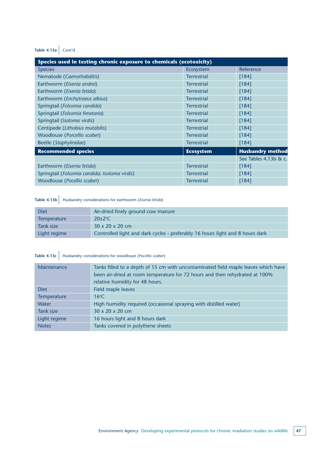### **Table 4.13a** Cont'd

| Species used in testing chronic exposure to chemicals (ecotoxicity) |                    |                         |
|---------------------------------------------------------------------|--------------------|-------------------------|
| <b>Species</b>                                                      | Ecosystem          | Reference               |
| Nematode (Caenorhabditis)                                           | <b>Terrestrial</b> | $[184]$                 |
| Earthworm (Eisenia andrei)                                          | <b>Terrestrial</b> | $[184]$                 |
| Earthworm (Eisenia fetida)                                          | <b>Terrestrial</b> | [184]                   |
| Earthworm (Enchytraeus albius)                                      | <b>Terrestrial</b> | [184]                   |
| Springtail (Folsomia candida)                                       | <b>Terrestrial</b> | $[184]$                 |
| Springtail (Folsomia fimetaria)                                     | <b>Terrestrial</b> | $[184]$                 |
| Springtail (Isotoma virdis)                                         | <b>Terrestrial</b> | $[184]$                 |
| Centipede (Lithobius mutabilis)                                     | <b>Terrestrial</b> | $[184]$                 |
| Woodlouse (Porcellio scaber)                                        | <b>Terrestrial</b> | [184]                   |
| Beetle (Staphylinidae)                                              | <b>Terrestrial</b> | $[184]$                 |
| <b>Recommended species</b>                                          | <b>Ecosystem</b>   | <b>Husbandry method</b> |
|                                                                     |                    | See Tables 4.13b & c.   |
| Earthworm (Eisenia fetida)                                          | <b>Terrestrial</b> | $[184]$                 |
| Springtail (Folsomia candida; Isotoma virdis)                       | <b>Terrestrial</b> | $[184]$                 |
| Woodlouse (Pocellio scaber)                                         | <b>Terrestrial</b> | $[184]$                 |

## **Table 4.13b** Husbandry considerations for earthworm (*Eisenia fetida*)

| <b>Diet</b>        | Air-dried finely ground cow manure                                            |
|--------------------|-------------------------------------------------------------------------------|
| <b>Temperature</b> | $20 \pm 2$ °C                                                                 |
| Tank size          | $30 \times 20 \times 20$ cm                                                   |
| Light regime       | Controlled light and dark cycles - preferably 16 hours light and 8 hours dark |

### **Table 4.13c** Husbandry considerations for woodlouse (*Pocellio scaber*)

| Maintenance  | Tanks filled to a depth of 15 cm with uncontaminated field maple leaves which have<br>been air-dried at room temperature for 72 hours and then rehydrated at 100%<br>relative humidity for 48 hours. |
|--------------|------------------------------------------------------------------------------------------------------------------------------------------------------------------------------------------------------|
| <b>Diet</b>  | Field maple leaves                                                                                                                                                                                   |
| Temperature  | $16^{\circ}$ C                                                                                                                                                                                       |
| Water        | High humidity required (occasional spraying with distilled water)                                                                                                                                    |
| Tank size    | $30 \times 20 \times 20$ cm                                                                                                                                                                          |
| Light regime | 16 hours light and 8 hours dark                                                                                                                                                                      |
| <b>Notes</b> | Tanks covered in polythene sheets                                                                                                                                                                    |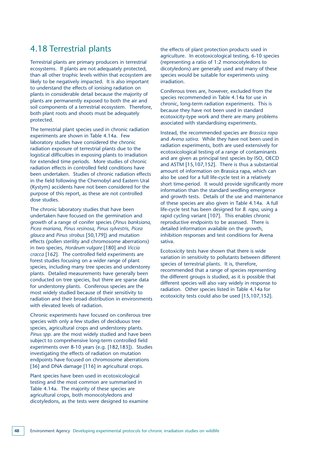### 4.18 Terrestrial plants

Terrestrial plants are primary producers in terrestrial ecosystems. If plants are not adequately protected, than all other trophic levels within that ecosystem are likely to be negatively impacted. It is also important to understand the effects of ionising radiation on plants in considerable detail because the majority of plants are permanently exposed to both the air and soil components of a terrestrial ecosystem. Therefore, both plant roots and shoots must be adequately protected.

The terrestrial plant species used in chronic radiation experiments are shown in Table 4.14a. Few laboratory studies have considered the chronic radiation exposure of terrestrial plants due to the logistical difficulties in exposing plants to irradiation for extended time periods. More studies of chronic radiation effects in controlled field conditions have been undertaken. Studies of chronic radiation effects in the field following the Chernobyl and Eastern Ural (Kystym) accidents have not been considered for the purpose of this report, as these are not controlled dose studies.

The chronic laboratory studies that have been undertaken have focused on the germination and growth of a range of conifer species (*Pinus banksiana, Picea mariana, Pinus resinosa, Pinus sylvestris, Picea glauca* and *Pinus strobus* [50,179]) and mutation effects (pollen sterility and chromosome aberrations) in two species, *Hordeum vulgare* [180] and *Viccia cracca* [162]. The controlled field experiments are forest studies focusing on a wider range of plant species, including many tree species and understorey plants. Detailed measurements have generally been conducted on tree species, but there are sparse data for understorey plants. Coniferous species are the most widely studied because of their sensitivity to radiation and their broad distribution in environments with elevated levels of radiation.

Chronic experiments have focused on coniferous tree species with only a few studies of deciduous tree species, agricultural crops and understorey plants. *Pinus spp.* are the most widely studied and have been subject to comprehensive long-term controlled field experiments over 8-10 years (e.g. [182,183]). Studies investigating the effects of radiation on mutation endpoints have focused on chromosome aberrations [36] and DNA damage [116] in agricultural crops.

Plant species have been used in ecotoxicological testing and the most common are summarised in Table 4.14a. The majority of these species are agricultural crops, both monocotyledons and dicotyledons, as the tests were designed to examine the effects of plant protection products used in agriculture. In ecotoxicological testing, 6-10 species (representing a ratio of 1:2 monocotyledons to dicotyledons) are generally used and many of these species would be suitable for experiments using irradiation.

Coniferous trees are, however, excluded from the species recommended in Table 4.14a for use in chronic, long-term radiation experiments. This is because they have not been used in standard ecotoxicity-type work and there are many problems associated with standardising experiments.

Instead, the recommended species are *Brassica rapa* and *Avena sativa*. While they have not been used in radiation experiments, both are used extensively for ecotoxicological testing of a range of contaminants and are given as principal test species by ISO, OECD and ASTM [15,107,152]. There is thus a substantial amount of information on Brassica rapa, which can also be used for a full life-cycle test in a relatively short time-period. It would provide significantly more information than the standard seedling emergence and growth tests. Details of the use and maintenance of these species are also given in Table 4.14a. A full life-cycle test has been designed for *B. rapa*, using a rapid cycling variant [107]. This enables chronic reproductive endpoints to be assessed. There is detailed information available on the growth, inhibition responses and test conditions for Avena sativa.

Ecotoxicity tests have shown that there is wide variation in sensitivity to pollutants between different species of terrestrial plants. It is, therefore, recommended that a range of species representing the different groups is studied, as it is possible that different species will also vary widely in response to radiation. Other species listed in Table 4.14a for ecotoxicity tests could also be used [15,107,152].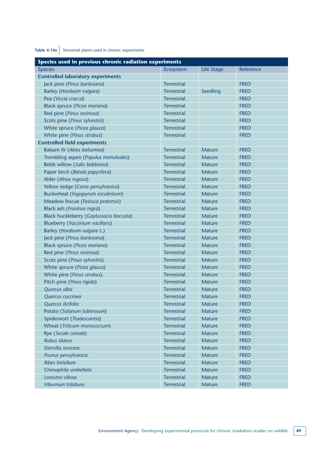### Table 4.14a Terrestrial plants used in chronic experiments

| Species used in previous chronic radiation experiments |                    |               |             |
|--------------------------------------------------------|--------------------|---------------|-------------|
| <b>Species</b>                                         | Ecosystem          | Life Stage    | Reference   |
| <b>Controlled laboratory experiments</b>               |                    |               |             |
| Jack pine (Pinus banksiana)                            | <b>Terrestrial</b> |               | <b>FRED</b> |
| Barley (Hordeum vulgare)                               | <b>Terrestrial</b> | Seedling      | <b>FRED</b> |
| Pea (Viccia cracca)                                    | <b>Terrestrial</b> |               | <b>FRED</b> |
| Black spruce (Picea mariana)                           | <b>Terrestrial</b> |               | <b>FRED</b> |
| Red pine (Pinus resinosa)                              | <b>Terrestrial</b> |               | <b>FRED</b> |
| Scots pine (Pinus sylvestris)                          | <b>Terrestrial</b> |               | <b>FRED</b> |
| White spruce (Picea glauca)                            | <b>Terrestrial</b> |               | <b>FRED</b> |
| White pine (Pinus strobus)                             | <b>Terrestrial</b> |               | <b>FRED</b> |
| <b>Controlled field experiments</b>                    |                    |               |             |
| Balsam fir (Abies balsamea)                            | <b>Terrestrial</b> | <b>Mature</b> | <b>FRED</b> |
| Trembling aspen (Populus tremuloides)                  | <b>Terrestrial</b> | <b>Mature</b> | <b>FRED</b> |
| Bebb willow (Salix bebbiana)                           | <b>Terrestrial</b> | <b>Mature</b> | <b>FRED</b> |
| Paper birch (Betula papyrifera)                        | <b>Terrestrial</b> | <b>Mature</b> | <b>FRED</b> |
| Alder (Alnus rugosa)                                   | <b>Terrestrial</b> | <b>Mature</b> | <b>FRED</b> |
| Yellow sedge (Carex pensylvanica)                      | <b>Terrestrial</b> | <b>Mature</b> | <b>FRED</b> |
| Buckwheat (Fagopyrum esculentum)                       | <b>Terrestrial</b> | <b>Mature</b> | <b>FRED</b> |
| Meadow fescue (Festuca pratensis)                      | <b>Terrestrial</b> | <b>Mature</b> | <b>FRED</b> |
| Black ash (Fraxinus nigra)                             | <b>Terrestrial</b> | <b>Mature</b> | <b>FRED</b> |
| Black huckleberry (Gaylussacia baccata)                | <b>Terrestrial</b> | <b>Mature</b> | <b>FRED</b> |
| <b>Blueberry (Vaccinium vacillans)</b>                 | <b>Terrestrial</b> | <b>Mature</b> | <b>FRED</b> |
| Barley (Hordeum vulgare L.)                            | <b>Terrestrial</b> | <b>Mature</b> | <b>FRED</b> |
| Jack pine (Pinus banksiana)                            | <b>Terrestrial</b> | <b>Mature</b> | <b>FRED</b> |
| Black spruce (Picea mariana)                           | <b>Terrestrial</b> | <b>Mature</b> | <b>FRED</b> |
| Red pine (Pinus resinosa)                              | <b>Terrestrial</b> | <b>Mature</b> | <b>FRED</b> |
| Scots pine (Pinus sylvestris)                          | <b>Terrestrial</b> | <b>Mature</b> | <b>FRED</b> |
| White spruce (Picea glauca)                            | <b>Terrestrial</b> | <b>Mature</b> | <b>FRED</b> |
| White pine (Pinus strobus).                            | <b>Terrestrial</b> | <b>Mature</b> | <b>FRED</b> |
| Pitch pine (Pinus rigida)                              | <b>Terrestrial</b> | <b>Mature</b> | <b>FRED</b> |
| Quercus alba                                           | <b>Terrestrial</b> | <b>Mature</b> | <b>FRED</b> |
| Quercus coccinea                                       | <b>Terrestrial</b> | Mature        | <b>FRED</b> |
| Quercus ilicifolia                                     | <b>Terrestrial</b> | <b>Mature</b> | <b>FRED</b> |
| Potato (Solanum tuberosum)                             | <b>Terrestrial</b> | <b>Mature</b> | <b>FRED</b> |
| Spiderwort (Tradescantia)                              | <b>Terrestrial</b> | <b>Mature</b> | <b>FRED</b> |
| Wheat (Triticum monococcum)                            | <b>Terrestrial</b> | <b>Mature</b> | <b>FRED</b> |
| Rye (Secale cereale)                                   | <b>Terrestrial</b> | <b>Mature</b> | <b>FRED</b> |
| Rubus idaeus                                           | <b>Terrestrial</b> | <b>Mature</b> | <b>FRED</b> |
| Diervilla ionicera                                     | <b>Terrestrial</b> | <b>Mature</b> | <b>FRED</b> |
| Prunus pensylvanica                                    | <b>Terrestrial</b> | <b>Mature</b> | <b>FRED</b> |
| <b>Ribes hirtellum</b>                                 | <b>Terrestrial</b> | <b>Mature</b> | <b>FRED</b> |
| Chimaphila umbellata                                   | <b>Terrestrial</b> | <b>Mature</b> | <b>FRED</b> |
| Lonicera villosa                                       | <b>Terrestrial</b> | <b>Mature</b> | <b>FRED</b> |
| Viburnum trilobum                                      | <b>Terrestrial</b> | <b>Mature</b> | <b>FRED</b> |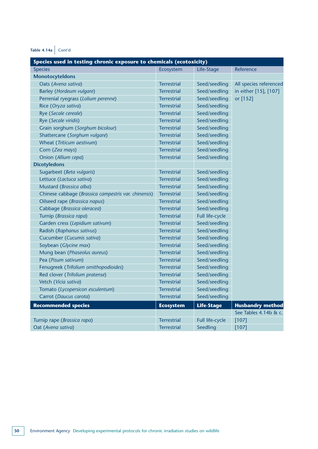**Table 4.14a** Cont'd

| Species used in testing chronic exposure to chemicals (ecotoxicity) |                    |                   |                         |
|---------------------------------------------------------------------|--------------------|-------------------|-------------------------|
| <b>Species</b>                                                      | Ecosystem          | Life-Stage        | Reference               |
| <b>Monotocyteldons</b>                                              |                    |                   |                         |
| Oats (Avena sativa)                                                 | <b>Terrestrial</b> | Seed/seedling     | All species referenced  |
| Barley (Hordeum vulgare)                                            | <b>Terrestrial</b> | Seed/seedling     | in either [15], [107]   |
| Perrenial ryegrass (Lolium perenne)                                 | <b>Terrestrial</b> | Seed/seedling     | or [152]                |
| Rice (Oryza sativa)                                                 | <b>Terrestrial</b> | Seed/seedling     |                         |
| Rye (Secale cereale)                                                | <b>Terrestrial</b> | Seed/seedling     |                         |
| Rye (Secale viridis)                                                | <b>Terrestrial</b> | Seed/seedling     |                         |
| Grain sorghum (Sorghum bicolour)                                    | <b>Terrestrial</b> | Seed/seedling     |                         |
| Shattercane (Sorghum vulgare)                                       | <b>Terrestrial</b> | Seed/seedling     |                         |
| Wheat (Triticum aestivum)                                           | <b>Terrestrial</b> | Seed/seedling     |                         |
| Corn (Zea mays)                                                     | <b>Terrestrial</b> | Seed/seedling     |                         |
| Onion (Allium cepa)                                                 | <b>Terrestrial</b> | Seed/seedling     |                         |
| <b>Dicotyledons</b>                                                 |                    |                   |                         |
| Sugarbeet (Beta vulgaris)                                           | <b>Terrestrial</b> | Seed/seedling     |                         |
| Lettuce (Lactuca sativa)                                            | <b>Terrestrial</b> | Seed/seedling     |                         |
| Mustard (Brassica alba)                                             | <b>Terrestrial</b> | Seed/seedling     |                         |
| Chinese cabbage (Brassica campestris var. chinensis)                | <b>Terrestrial</b> | Seed/seedling     |                         |
| Oilseed rape (Brassica napus)                                       | <b>Terrestrial</b> | Seed/seedling     |                         |
| Cabbage (Brassica oleracea)                                         | <b>Terrestrial</b> | Seed/seedling     |                         |
| Turnip (Brassica rapa)                                              | <b>Terrestrial</b> | Full life-cycle   |                         |
| Garden cress (Lepidium sativum)                                     | <b>Terrestrial</b> | Seed/seedling     |                         |
| Radish (Raphanus sativus)                                           | <b>Terrestrial</b> | Seed/seedling     |                         |
| Cucumber (Cucumis sativa)                                           | <b>Terrestrial</b> | Seed/seedling     |                         |
| Soybean (Glycine max)                                               | <b>Terrestrial</b> | Seed/seedling     |                         |
| Mung bean (Phaseolus aureus)                                        | <b>Terrestrial</b> | Seed/seedling     |                         |
| Pea (Pisum sativum)                                                 | <b>Terrestrial</b> | Seed/seedling     |                         |
| Fenugreek (Trifolium ornithopodioides)                              | <b>Terrestrial</b> | Seed/seedling     |                         |
| Red clover (Trifolium pratense)                                     | <b>Terrestrial</b> | Seed/seedling     |                         |
| Vetch (Vicia sativa)                                                | <b>Terrestrial</b> | Seed/seedling     |                         |
| Tomato (Lycopersicon esculentum)                                    | <b>Terrestrial</b> | Seed/seedling     |                         |
| Carrot (Daucus carota)                                              | <b>Terrestrial</b> | Seed/seedling     |                         |
| <b>Recommended species</b>                                          | <b>Ecosystem</b>   | <b>Life-Stage</b> | <b>Husbandry method</b> |
|                                                                     |                    |                   | See Tables 4.14b & c.   |
| Turnip rape (Brassica rapa)                                         | <b>Terrestrial</b> | Full life-cycle   | $[107]$                 |
| Oat (Avena sativa)                                                  | <b>Terrestrial</b> | Seedling          | [107]                   |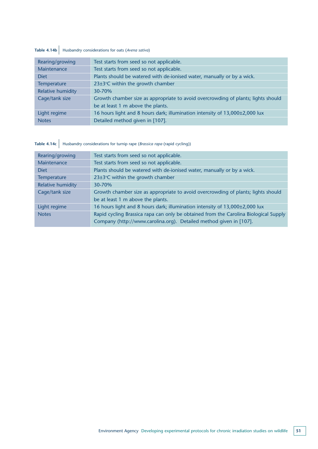### **Table 4.14b** Husbandry considerations for oats (*Avena sativa*)

| Rearing/growing          | Test starts from seed so not applicable.                                          |
|--------------------------|-----------------------------------------------------------------------------------|
| Maintenance              | Test starts from seed so not applicable.                                          |
| <b>Diet</b>              | Plants should be watered with de-ionised water, manually or by a wick.            |
| Temperature              | 23±3°C within the growth chamber                                                  |
| <b>Relative humidity</b> | 30-70%                                                                            |
| Cage/tank size           | Growth chamber size as appropriate to avoid overcrowding of plants; lights should |
|                          | be at least 1 m above the plants.                                                 |
| Light regime             | 16 hours light and 8 hours dark; illumination intensity of 13,000±2,000 lux       |
| <b>Notes</b>             | Detailed method given in [107].                                                   |

## **Table 4.14c** Husbandry considerations for turnip rape (*Brassica rapa* (rapid cycling))

| Rearing/growing          | Test starts from seed so not applicable.                                             |
|--------------------------|--------------------------------------------------------------------------------------|
| Maintenance              | Test starts from seed so not applicable.                                             |
| <b>Diet</b>              | Plants should be watered with de-ionised water, manually or by a wick.               |
| Temperature              | 23±3°C within the growth chamber                                                     |
| <b>Relative humidity</b> | 30-70%                                                                               |
| Cage/tank size           | Growth chamber size as appropriate to avoid overcrowding of plants; lights should    |
|                          | be at least 1 m above the plants.                                                    |
| Light regime             | 16 hours light and 8 hours dark; illumination intensity of 13,000±2,000 lux          |
| <b>Notes</b>             | Rapid cycling Brassica rapa can only be obtained from the Carolina Biological Supply |
|                          | Company (http://www.carolina.org). Detailed method given in [107].                   |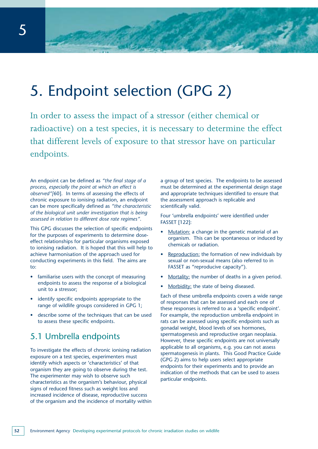## 5. Endpoint selection (GPG 2)

In order to assess the impact of a stressor (either chemical or radioactive) on a test species, it is necessary to determine the effect that different levels of exposure to that stressor have on particular endpoints.

An endpoint can be defined as *"the final stage of a process, especially the point at which an effect is observed"[*60]. In terms of assessing the effects of chronic exposure to ionising radiation, an endpoint can be more specifically defined as *"the characteristic of the biological unit under investigation that is being assessed in relation to different dose rate regimes"*.

This GPG discusses the selection of specific endpoints for the purposes of experiments to determine doseeffect relationships for particular organisms exposed to ionising radiation. It is hoped that this will help to achieve harmonisation of the approach used for conducting experiments in this field. The aims are to:

- familiarise users with the concept of measuring endpoints to assess the response of a biological unit to a stressor;
- identify specific endpoints appropriate to the range of wildlife groups considered in GPG 1;
- describe some of the techniques that can be used to assess these specific endpoints.

### 5.1 Umbrella endpoints

To investigate the effects of chronic ionising radiation exposure on a test species, experimenters must identify which aspects or 'characteristics' of that organism they are going to observe during the test. The experimenter may wish to observe such characteristics as the organism's behaviour, physical signs of reduced fitness such as weight loss and increased incidence of disease, reproductive success of the organism and the incidence of mortality within a group of test species. The endpoints to be assessed must be determined at the experimental design stage and appropriate techniques identified to ensure that the assessment approach is replicable and scientifically valid.

Four 'umbrella endpoints' were identified under FASSET [122]:

- Mutation: a change in the genetic material of an organism. This can be spontaneous or induced by chemicals or radiation.
- Reproduction: the formation of new individuals by sexual or non-sexual means (also referred to in FASSET as "reproducive capacity").
- Mortality: the number of deaths in a given period.
- Morbidity: the state of being diseased.

Each of these umbrella endpoints covers a wide range of responses that can be assessed and each one of these responses is referred to as a 'specific endpoint'. For example, the reproduction umbrella endpoint in rats can be assessed using specific endpoints such as gonadal weight, blood levels of sex hormones, spermatogenesis and reproductive organ neoplasia. However, these specific endpoints are not universally applicable to all organisms, e.g. you can not assess spermatogenesis in plants. This Good Practice Guide (GPG 2) aims to help users select appropriate endpoints for their experiments and to provide an indication of the methods that can be used to assess particular endpoints.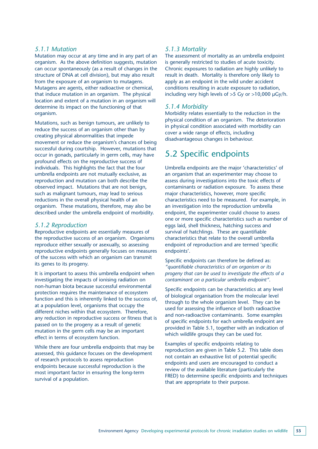#### *5.1.1 Mutation*

Mutation may occur at any time and in any part of an organism. As the above definition suggests, mutation can occur spontaneously (as a result of changes in the structure of DNA at cell division), but may also result from the exposure of an organism to mutagens. Mutagens are agents, either radioactive or chemical, that induce mutation in an organism. The physical location and extent of a mutation in an organism will determine its impact on the functioning of that organism.

Mutations, such as benign tumours, are unlikely to reduce the success of an organism other than by creating physical abnormalities that impede movement or reduce the organism's chances of being successful during courtship. However, mutations that occur in gonads, particularly in germ cells, may have profound effects on the reproductive success of individuals. This highlights the fact that the four umbrella endpoints are not mutually exclusive, as reproduction and mutation can both describe the observed impact. Mutations that are not benign, such as malignant tumours, may lead to serious reductions in the overall physical health of an organism. These mutations, therefore, may also be described under the umbrella endpoint of morbidity.

#### *5.1.2 Reproduction*

Reproductive endpoints are essentially measures of the reproductive success of an organism. Organisms reproduce either sexually or asexually, so assessing reproductive endpoints generally focuses on measures of the success with which an organism can transmit its genes to its progeny.

It is important to assess this umbrella endpoint when investigating the impacts of ionising radiation on non-human biota because successful environmental protection requires the maintenance of ecosystem function and this is inherently linked to the success of, at a population level, organisms that occupy the different niches within that ecosystem. Therefore, any reduction in reproductive success or fitness that is passed on to the progeny as a result of genetic mutation in the germ cells may be an important effect in terms of ecosystem function.

While there are four umbrella endpoints that may be assessed, this guidance focuses on the development of research protocols to assess reproduction endpoints because successful reproduction is the most important factor in ensuring the long-term survival of a population.

#### *5.1.3 Mortality*

The assessment of mortality as an umbrella endpoint is generally restricted to studies of acute toxicity. Chronic exposures to radiation are highly unlikely to result in death. Mortality is therefore only likely to apply as an endpoint in the wild under accident conditions resulting in acute exposure to radiation, including very high levels of  $>5$  Gy or  $>10,000$   $\mu$ Gy/h.

#### *5.1.4 Morbidity*

Morbidity relates essentially to the reduction in the physical condition of an organism. The deterioration in physical condition associated with morbidity can cover a wide range of effects, including disadvantageous changes in behaviour.

### 5.2 Specific endpoints

Umbrella endpoints are the major 'characteristics' of an organism that an experimenter may choose to assess during investigations into the toxic effects of contaminants or radiation exposure. To assess these major characteristics, however, more specific characteristics need to be measured. For example, in an investigation into the reproduction umbrella endpoint, the experimenter could choose to assess one or more specific characteristics such as number of eggs laid, shell thickness, hatching success and survival of hatchlings. These are quantifiable characteristics that relate to the overall umbrella endpoint of reproduction and are termed 'specific endpoints'.

Specific endpoints can therefore be defined as: *"quantifiable characteristics of an organism or its progeny that can be used to investigate the effects of a contaminant on a particular umbrella endpoint"*.

Specific endpoints can be characteristics at any level of biological organisation from the molecular level through to the whole organism level. They can be used for assessing the influence of both radioactive and non-radioactive contaminants. Some examples of specific endpoints for each umbrella endpoint are provided in Table 5.1, together with an indication of which wildlife groups they can be used for.

Examples of specific endpoints relating to reproduction are given in Table 5.2. This table does not contain an exhaustive list of potential specific endpoints and users are encouraged to conduct a review of the available literature (particularly the FRED) to determine specific endpoints and techniques that are appropriate to their purpose.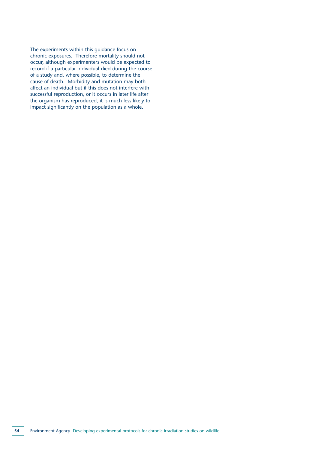The experiments within this guidance focus on chronic exposures. Therefore mortality should not occur, although experimenters would be expected to record if a particular individual died during the course of a study and, where possible, to determine the cause of death. Morbidity and mutation may both affect an individual but if this does not interfere with successful reproduction, or it occurs in later life after the organism has reproduced, it is much less likely to impact significantly on the population as a whole.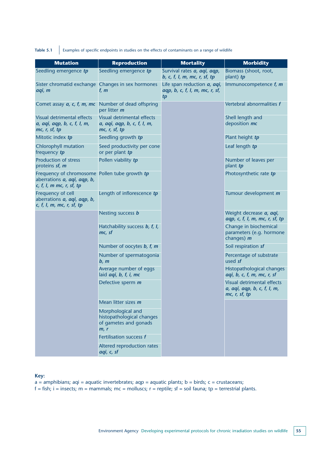Table 5.1 Examples of specific endpoints in studies on the effects of contaminants on a range of wildlife

| <b>Mutation</b>                                                                                                                              | <b>Reproduction</b>                                                                    | <b>Mortality</b>                                                                    | <b>Morbidity</b>                                                           |
|----------------------------------------------------------------------------------------------------------------------------------------------|----------------------------------------------------------------------------------------|-------------------------------------------------------------------------------------|----------------------------------------------------------------------------|
| Seedling emergence tp                                                                                                                        | Seedling emergence tp                                                                  | Survival rates a, agi, agp,<br>b, c, f, I, m, mc, r, sf, tp                         | Biomass (shoot, root,<br>plant) tp                                         |
| Sister chromatid exchange Changes in sex hormones<br>aqi, m                                                                                  | f, $m$                                                                                 | Life span reduction <i>a</i> , <i>aqi</i> ,<br>aqp, b, c, f, l, m, mc, r, sf,<br>tp | Immunocompetence $f$ , $m$                                                 |
| Comet assay $a$ , $c$ , $f$ , $m$ , $mc$ Number of dead offspring                                                                            | per litter m                                                                           |                                                                                     | Vertebral abnormalities f                                                  |
| Visual detrimental effects<br>a, aqi, aqp, b, c, f, l, m,<br>mc, r, sf, tp                                                                   | Visual detrimental effects<br>a, aqi, aqp, b, c, f, l, m,<br>mc, r, sf, tp             |                                                                                     | Shell length and<br>deposition mc                                          |
| Mitotic index tp                                                                                                                             | Seedling growth tp                                                                     |                                                                                     | Plant height tp                                                            |
| Chlorophyll mutation<br>frequency tp                                                                                                         | Seed productivity per cone<br>or per plant tp                                          |                                                                                     | Leaf length tp                                                             |
| <b>Production of stress</b><br>proteins sf, m                                                                                                | Pollen viability tp                                                                    |                                                                                     | Number of leaves per<br>plant tp                                           |
| Frequency of chromosome Pollen tube growth tp<br>aberrations <i>a</i> , <i>aqi</i> , <i>aqp</i> , <i>b</i> ,<br>$c, f, I, m$ mc, $r, sf, tp$ |                                                                                        |                                                                                     | Photosynthetic rate tp                                                     |
| Frequency of cell<br>aberrations a, aqi, aqp, b,<br>c, f, l, m, mc, r, sf, tp                                                                | Length of inflorescence tp                                                             |                                                                                     | Tumour development m                                                       |
|                                                                                                                                              | Nesting success b                                                                      |                                                                                     | Weight decrease a, aqi,<br>aqp, c, f, l, m, mc, r, sf, tp                  |
|                                                                                                                                              | Hatchability success b, f, I,<br>mc, sf                                                |                                                                                     | Change in biochemical<br>parameters (e.g. hormone<br>changes) $m$          |
|                                                                                                                                              | Number of oocytes b, f, m                                                              |                                                                                     | Soil respiration sf                                                        |
|                                                                                                                                              | Number of spermatogonia<br>b, m                                                        |                                                                                     | Percentage of substrate<br>used sf                                         |
|                                                                                                                                              | Average number of eggs<br>laid <i>aqi</i> , <i>b</i> , <i>f</i> , <i>i</i> , <i>mc</i> |                                                                                     | Histopathological changes<br>aqi, b, c, f, m, mc, r, sf                    |
|                                                                                                                                              | Defective sperm m                                                                      |                                                                                     | Visual detrimental effects<br>a, aqi, aqp, b, c, f, l, m,<br>mc, r, sf, tp |
|                                                                                                                                              | Mean litter sizes m                                                                    |                                                                                     |                                                                            |
|                                                                                                                                              | Morphological and<br>histopathological changes<br>of gametes and gonads<br>m, r        |                                                                                     |                                                                            |
|                                                                                                                                              | Fertilisation success f                                                                |                                                                                     |                                                                            |
|                                                                                                                                              | Altered reproduction rates<br>aqi, c, sf                                               |                                                                                     |                                                                            |

**Key:** 

 $a =$  amphibians; aqi = aquatic invertebrates; aqp = aquatic plants; b = birds; c = crustaceans;

 $f = fish$ ; i = insects; m = mammals; mc = molluscs; r = reptile; sf = soil fauna; tp = terrestrial plants.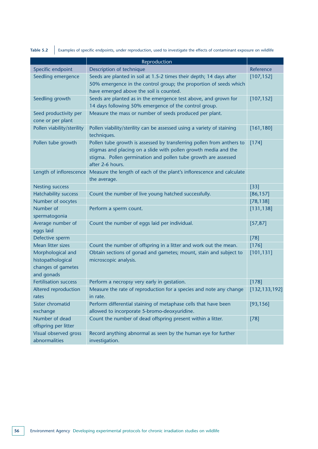**Table 5.2** Examples of specific endpoints, under reproduction, used to investigate the effects of contaminant exposure on wildlife

|                              | Reproduction                                                                          |                 |
|------------------------------|---------------------------------------------------------------------------------------|-----------------|
| Specific endpoint            | Description of technique                                                              | Reference       |
|                              | Seeds are planted in soil at 1.5-2 times their depth; 14 days after                   |                 |
| Seedling emergence           |                                                                                       | [107, 152]      |
|                              | 50% emergence in the control group; the proportion of seeds which                     |                 |
|                              | have emerged above the soil is counted.                                               |                 |
| Seedling growth              | Seeds are planted as in the emergence test above, and grown for                       | [107, 152]      |
|                              | 14 days following 50% emergence of the control group.                                 |                 |
| Seed productivity per        | Measure the mass or number of seeds produced per plant.                               |                 |
| cone or per plant            |                                                                                       |                 |
| Pollen viability/sterility   | Pollen viability/sterility can be assessed using a variety of staining<br>techniques. | [161, 180]      |
| Pollen tube growth           | Pollen tube growth is assessed by transferring pollen from anthers to                 | $[174]$         |
|                              | stigmas and placing on a slide with pollen growth media and the                       |                 |
|                              | stigma. Pollen germination and pollen tube growth are assessed                        |                 |
|                              | after 2-6 hours.                                                                      |                 |
| Length of inflorescence      | Measure the length of each of the plant's inflorescence and calculate                 |                 |
|                              | the average.                                                                          |                 |
| <b>Nesting success</b>       |                                                                                       | $[33]$          |
| <b>Hatchability success</b>  | Count the number of live young hatched successfully.                                  | [86, 157]       |
| Number of oocytes            |                                                                                       | [78, 138]       |
| Number of                    | Perform a sperm count.                                                                | [131, 138]      |
| spermatogonia                |                                                                                       |                 |
| Average number of            | Count the number of eggs laid per individual.                                         | [57, 87]        |
| eggs laid                    |                                                                                       |                 |
| Defective sperm              |                                                                                       | $[78]$          |
| Mean litter sizes            | Count the number of offspring in a litter and work out the mean.                      | [176]           |
| Morphological and            | Obtain sections of gonad and gametes; mount, stain and subject to                     | [101, 131]      |
| histopathological            | microscopic analysis.                                                                 |                 |
| changes of gametes           |                                                                                       |                 |
| and gonads                   |                                                                                       |                 |
| <b>Fertilisation success</b> | Perform a necropsy very early in gestation.                                           | [178]           |
| Altered reproduction         | Measure the rate of reproduction for a species and note any change                    | [132, 133, 192] |
| rates                        | in rate.                                                                              |                 |
| Sister chromatid             | Perform differential staining of metaphase cells that have been                       | [93, 156]       |
| exchange                     | allowed to incorporate 5-bromo-deoxyuridine.                                          |                 |
| Number of dead               | Count the number of dead offspring present within a litter.                           | $[78]$          |
| offspring per litter         |                                                                                       |                 |
| Visual observed gross        | Record anything abnormal as seen by the human eye for further                         |                 |
| abnormalities                | investigation.                                                                        |                 |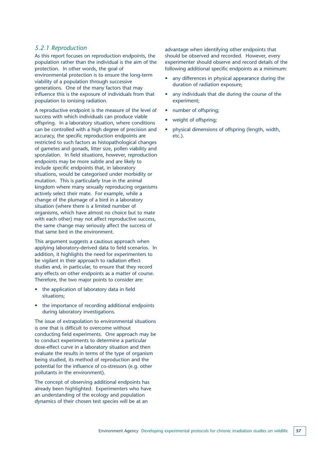#### *5.2.1 Reproduction*

As this report focuses on reproduction endpoints, the population rather than the individual is the aim of the protection. In other words, the goal of environmental protection is to ensure the long-term viability of a population through successive generations. One of the many factors that may influence this is the exposure of individuals from that population to ionising radiation.

A reproductive endpoint is the measure of the level of success with which individuals can produce viable offspring. In a laboratory situation, where conditions can be controlled with a high degree of precision and accuracy, the specific reproduction endpoints are restricted to such factors as histopathological changes of gametes and gonads, litter size, pollen viability and sporulation. In field situations, however, reproduction endpoints may be more subtle and are likely to include specific endpoints that, in laboratory situations, would be categorised under morbidity or mutation. This is particularly true in the animal kingdom where many sexually reproducing organisms actively select their mate. For example, while a change of the plumage of a bird in a laboratory situation (where there is a limited number of organisms, which have almost no choice but to mate with each other) may not affect reproductive success, the same change may seriously affect the success of that same bird in the environment.

This argument suggests a cautious approach when applying laboratory-derived data to field scenarios. In addition, it highlights the need for experimenters to be vigilant in their approach to radiation effect studies and, in particular, to ensure that they record any effects on other endpoints as a matter of course. Therefore, the two major points to consider are:

- the application of laboratory data in field situations;
- the importance of recording additional endpoints during laboratory investigations.

The issue of extrapolation to environmental situations is one that is difficult to overcome without conducting field experiments. One approach may be to conduct experiments to determine a particular dose-effect curve in a laboratory situation and then evaluate the results in terms of the type of organism being studied, its method of reproduction and the potential for the influence of co-stressors (e.g. other pollutants in the environment).

The concept of observing additional endpoints has already been highlighted. Experimenters who have an understanding of the ecology and population dynamics of their chosen test species will be at an

advantage when identifying other endpoints that should be observed and recorded. However, every experimenter should observe and record details of the following additional specific endpoints as a minimum:

- any differences in physical appearance during the duration of radiation exposure;
- any individuals that die during the course of the experiment;
- number of offspring;
- weight of offspring;
- physical dimensions of offspring (length, width, etc.).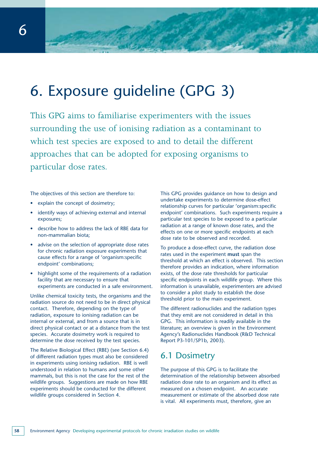# 6. Exposure guideline (GPG 3)

This GPG aims to familiarise experimenters with the issues surrounding the use of ionising radiation as a contaminant to which test species are exposed to and to detail the different approaches that can be adopted for exposing organisms to particular dose rates.

The objectives of this section are therefore to:

- explain the concept of dosimetry;
- identify ways of achieving external and internal exposures;
- describe how to address the lack of RBE data for non-mammalian biota;
- advise on the selection of appropriate dose rates for chronic radiation exposure experiments that cause effects for a range of 'organism:specific endpoint' combinations;
- highlight some of the requirements of a radiation facility that are necessary to ensure that experiments are conducted in a safe environment.

Unlike chemical toxicity tests, the organisms and the radiation source do not need to be in direct physical contact. Therefore, depending on the type of radiation, exposure to ionising radiation can be internal or external, and from a source that is in direct physical contact or at a distance from the test species. Accurate dosimetry work is required to determine the dose received by the test species.

The Relative Biological Effect (RBE) (see Section 6.4) of different radiation types must also be considered in experiments using ionising radiation. RBE is well understood in relation to humans and some other mammals, but this is not the case for the rest of the wildlife groups. Suggestions are made on how RBE experiments should be conducted for the different wildlife groups considered in Section 4.

This GPG provides guidance on how to design and undertake experiments to determine dose-effect relationship curves for particular 'organism:specific endpoint' combinations. Such experiments require a particular test species to be exposed to a particular radiation at a range of known dose rates, and the effects on one or more specific endpoints at each dose rate to be observed and recorded.

To produce a dose-effect curve, the radiation dose rates used in the experiment **must** span the threshold at which an effect is observed. This section therefore provides an indication, where information exists, of the dose rate thresholds for particular specific endpoints in each wildlife group. Where this information is unavailable, experimenters are advised to consider a pilot study to establish the dose threshold prior to the main experiment.

The different radionuclides and the radiation types that they emit are not considered in detail in this GPG. This information is readily available in the literature; an overview is given in the Environment Agency's Radionuclides Handbook (R&D Technical Report P3-101/SP1b, 2003).

### 6.1 Dosimetry

The purpose of this GPG is to facilitate the determination of the relationship between absorbed radiation dose rate to an organism and its effect as measured on a chosen endpoint. An accurate measurement or estimate of the absorbed dose rate is vital. All experiments must, therefore, give an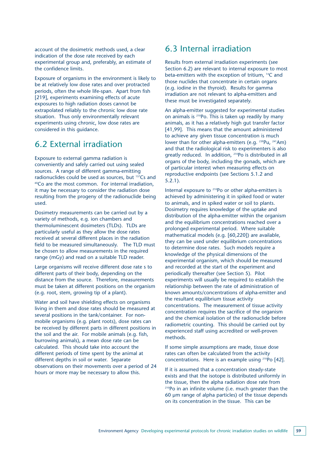account of the dosimetric methods used, a clear indication of the dose rate received by each experimental group and, preferably, an estimate of the confidence limits.

Exposure of organisms in the environment is likely to be at relatively low dose rates and over protracted periods, often the whole life-span. Apart from fish [219], experiments examining effects of acute exposures to high radiation doses cannot be extrapolated reliably to the chronic low dose rate situation. Thus only environmentally relevant experiments using chronic, low dose rates are considered in this guidance.

### 6.2 External irradiation

Exposure to external gamma radiation is conveniently and safely carried out using sealed sources. A range of different gamma-emitting radionuclides could be used as sources, but  $137Cs$  and <sup>60</sup>Co are the most common. For internal irradiation, it may be necessary to consider the radiation dose resulting from the progeny of the radionuclide being used.

Dosimetry measurements can be carried out by a variety of methods, e.g. ion chambers and thermoluminescent dosimeters (TLDs). TLDs are particularly useful as they allow the dose rates received at several different places in the radiation field to be measured simultaneously. The TLD must be chosen to allow measurements in the required range (mGy) and read on a suitable TLD reader.

Large organisms will receive different dose rate s to different parts of their body, depending on the distance from the source. Therefore, measurements must be taken at different positions on the organism (e.g. root, stem, growing tip of a plant).

Water and soil have shielding effects on organisms living in them and dose rates should be measured at several positions in the tank/container. For nonmobile organisms (e.g. plant roots), dose rates can be received by different parts in different positions in the soil and the air. For mobile animals (e.g. fish, burrowing animals), a mean dose rate can be calculated. This should take into account the different periods of time spent by the animal at different depths in soil or water. Separate observations on their movements over a period of 24 hours or more may be necessary to allow this.

### 6.3 Internal irradiation

Results from external irradiation experiments (see Section 6.2) are relevant to internal exposure to most beta-emitters with the exception of tritium, 14C and those nuclides that concentrate in certain organs (e.g. iodine in the thyroid). Results for gamma irradiation are not relevant to alpha-emitters and these must be investigated separately.

An alpha-emitter suggested for experimental studies on animals is 210Po. This is taken up readily by many animals, as it has a relatively high gut transfer factor [41,99]. This means that the amount administered to achieve any given tissue concentration is much lower than for other alpha-emitters (e.g. <sup>239</sup>Pu, <sup>241</sup>Am) and that the radiological risk to experimenters is also greatly reduced. In addition, 210Po is distributed in all organs of the body, including the gonads, which are of particular interest when measuring effects on reproductive endpoints (see Sections 5.1.2 and 5.2.1).

Internal exposure to <sup>210</sup>Po or other alpha-emitters is achieved by administering it in spiked food or water to animals, and in spiked water or soil to plants. Dosimetry requires knowledge of the uptake and distribution of the alpha-emitter within the organism and the equilibrium concentrations reached over a prolonged experimental period. Where suitable mathematical models (e.g. [60,220]) are available, they can be used under equilibrium concentrations to determine dose rates. Such models require a knowledge of the physical dimensions of the experimental organism, which should be measured and recorded at the start of the experiment and periodically thereafter (see Section 5). Pilot experiments will usually be required to establish the relationship between the rate of administration of known amounts/concentrations of alpha-emitter and the resultant equilibrium tissue activity concentrations. The measurement of tissue activity concentration requires the sacrifice of the organism and the chemical isolation of the radionuclide before radiometric counting. This should be carried out by experienced staff using accredited or well-proven methods.

If some simple assumptions are made, tissue dose rates can often be calculated from the activity concentrations. Here is an example using 210Po [42].

If it is assumed that a concentration steady-state exists and that the isotope is distributed uniformly in the tissue, then the alpha radiation dose rate from <sup>210</sup>Po in an infinite volume (i.e. much greater than the 60 µm range of alpha particles) of the tissue depends on its concentration in the tissue. This can be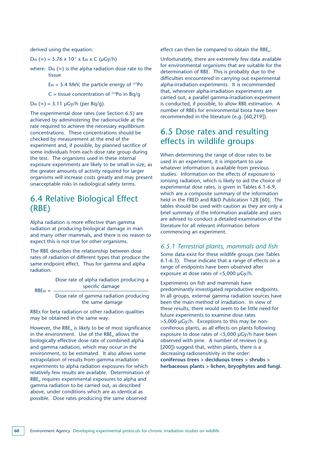derived using the equation:

Dα (∞) = 5.76 x 10<sup>-7</sup> x Eα x C (μGy/h)

where:  $D\alpha$  (∞) is the alpha radiation dose rate to the tissue

 $E\alpha = 5.4$  MeV, the particle energy of <sup>210</sup>Po

C = tissue concentration of  $^{210}$ Po in Bq/q

Dα ( $\infty$ ) = 3.11 μGy/h (per Bq/g).

The experimental dose rates (see Section 6.5) are achieved by administering the radionuclide at the rate required to achieve the necessary equilibrium concentrations. These concentrations should be checked by measurement at the end of the experiment and, if possible, by planned sacrifice of some individuals from each dose rate group during the test. The organisms used in these internal exposure experiments are likely to be small in size, as the greater amounts of activity required for larger organisms will increase costs greatly and may present unacceptable risks in radiological safety terms.

### 6.4 Relative Biological Effect (RBE)

Alpha radiation is more effective than gamma radiation at producing biological damage in man and many other mammals, and there is no reason to expect this is not true for other organisms.

The RBE describes the relationship between dose rates of radiation of different types that produce the same endpoint effect. Thus for gamma and alpha radiation:

 $RBE\alpha =$ Dose rate of alpha radiation producing a specific damage

Dose rate of gamma radiation producing the same damage

RBEs for beta radiation or other radiation qualities may be obtained in the same way.

However, the RBE<sub> $\alpha$ </sub> is likely to be of most significance in the environment. Use of the RBE<sub> $\alpha$ </sub> allows the biologically effective dose rate of combined alpha and gamma radiation, which may occur in the environment, to be estimated. It also allows some extrapolation of results from gamma irradiation experiments to alpha radiation exposures for which relatively few results are available. Determination of RBE<sub>α</sub> requires experimental exposures to alpha and gamma radiation to be carried out, as described above, under conditions which are as identical as possible. Dose rates producing the same observed

effect can then be compared to obtain the  $RBE_{\alpha}$ .

Unfortunately, there are extremely few data available for environmental organisms that are suitable for the determination of RBE. This is probably due to the difficulties encountered in carrying out experimental alpha-irradiation experiments. It is recommended that, whenever alpha-irradiation experiments are carried out, a parallel gamma-irradiation experiment is conducted, if possible, to allow RBE estimation. A number of RBEs for environmental biota have been recommended in the literature (e.g. [60,219]).

### 6.5 Dose rates and resulting effects in wildlife groups

When determining the range of dose rates to be used in an experiment, it is important to use whatever information is available from previous studies. Information on the effects of exposure to ionising radiation, which is likely to aid the choice of experimental dose rates, is given in Tables 6.1-6.9, which are a composite summary of the information held in the FRED and R&D Publication 128 [60]. The tables should be used with caution as they are only a brief summary of the information available and users are advised to conduct a detailed examination of the literature for all relevant information before commencing an experiment.

#### *6.5.1 Terrestrial plants, mammals and fish*

Some data exist for these wildlife groups (see Tables 6.1-6.3). These indicate that a range of effects on a range of endpoints have been observed after exposure at dose rates of <5,000 µGy/h.

Experiments on fish and mammals have predominantly investigated reproductive endpoints. In all groups, external gamma radiation sources have been the main method of irradiation. In view of these results, there would seem to be little need for future experiments to examine dose rates  $>5,000$  µGy/h. Exceptions to this may be nonconiferous plants, as all effects on plants following exposure to dose rates of <5,000 µGy/h have been observed with pine. A number of reviews (e.g. [200]) suggest that, within plants, there is a decreasing radiosensitivity in the order: **coniferous trees > deciduous trees > shrubs > herbaceous plants > lichen, bryophytes and fungi.**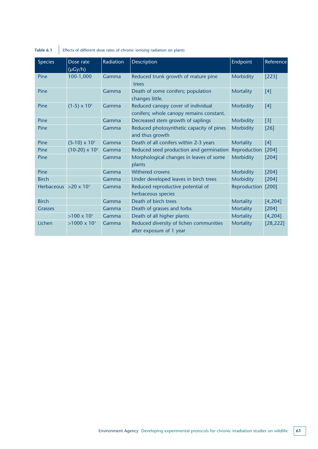| <b>Species</b>               | Dose rate<br>$(\mu Gy/h)$ | Radiation | <b>Description</b>                                                             | Endpoint         | Reference |
|------------------------------|---------------------------|-----------|--------------------------------------------------------------------------------|------------------|-----------|
| Pine                         | 100-1,000                 | Gamma     | Reduced trunk growth of mature pine<br>trees                                   | Morbidity        | $[223]$   |
| Pine                         |                           | Gamma     | Death of some conifers; population<br>changes little.                          | <b>Mortality</b> | [4]       |
| Pine                         | $(1-5) \times 10^{3}$     | Gamma     | Reduced canopy cover of individual<br>conifers; whole canopy remains constant. | Morbidity        | $[4]$     |
| Pine                         |                           | Gamma     | Decreased stem growth of saplings                                              | <b>Morbidity</b> | $[3]$     |
| Pine                         |                           | Gamma     | Reduced photosynthetic capacity of pines<br>and thus growth                    | Morbidity        | [26]      |
| Pine                         | $(5-10) \times 10^3$      | Gamma     | Death of all conifers within 2-3 years                                         | <b>Mortality</b> | $[4]$     |
| Pine                         | $(10-20) \times 10^{3}$   | Gamma     | Reduced seed production and germination                                        | Reproduction     | [204]     |
| Pine                         |                           | Gamma     | Morphological changes in leaves of some<br>plants                              | <b>Morbidity</b> | $[204]$   |
| Pine                         |                           | Gamma     | Withered crowns                                                                | Morbidity        | [204]     |
| <b>Birch</b>                 |                           | Gamma     | Under developed leaves in birch trees                                          | Morbidity        | [204]     |
| Herbaceous $>20 \times 10^3$ |                           | Gamma     | Reduced reproductive potential of<br>herbaceous species                        | Reproduction     | [200]     |
| <b>Birch</b>                 |                           | Gamma     | Death of birch trees                                                           | <b>Mortality</b> | [4, 204]  |
| <b>Grasses</b>               |                           | Gamma     | Death of grasses and forbs                                                     | <b>Mortality</b> | $[204]$   |
|                              | $>100 \times 10^{3}$      | Gamma     | Death of all higher plants                                                     | <b>Mortality</b> | [4, 204]  |
| Lichen                       | $>1000 \times 10^{3}$     | Gamma     | Reduced diversity of lichen communities<br>after exposure of 1 year            | <b>Mortality</b> | [28, 222] |

### **Table 6.1** Effects of different dose rates of chronic ionising radiation on plants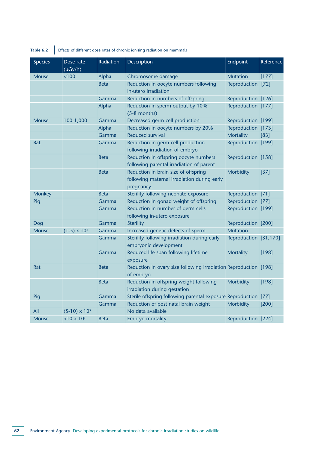| rabl |  |  |
|------|--|--|
|      |  |  |

**Table 6.2** Effects of different dose rates of chronic ionising radiation on mammals

| <b>Species</b> | Dose rate<br>$(\mu Gy/h)$ | Radiation   | Description                                                                                       | Endpoint              | Reference |
|----------------|---------------------------|-------------|---------------------------------------------------------------------------------------------------|-----------------------|-----------|
| <b>Mouse</b>   | < 100                     | Alpha       | Chromosome damage                                                                                 | <b>Mutation</b>       | $[177]$   |
|                |                           | <b>Beta</b> | Reduction in oocyte numbers following<br>in-utero irradiation                                     | Reproduction          | $[72]$    |
|                |                           | Gamma       | Reduction in numbers of offspring                                                                 | Reproduction [126]    |           |
|                |                           | Alpha       | Reduction in sperm output by 10%<br>$(5-8$ months)                                                | Reproduction [177]    |           |
| <b>Mouse</b>   | 100-1,000                 | Gamma       | Decreased germ cell production                                                                    | Reproduction [199]    |           |
|                |                           | Alpha       | Reduction in oocyte numbers by 20%                                                                | Reproduction [173]    |           |
|                |                           | Gamma       | <b>Reduced survival</b>                                                                           | <b>Mortality</b>      | $[83]$    |
| Rat            |                           | Gamma       | Reduction in germ cell production<br>following irradiation of embryo                              | Reproduction [199]    |           |
|                |                           | <b>Beta</b> | Reduction in offspring oocyte numbers<br>following parental irradiation of parent                 | Reproduction [158]    |           |
|                |                           | <b>Beta</b> | Reduction in brain size of offspring<br>following maternal irradiation during early<br>pregnancy. | Morbidity             | $[37]$    |
| <b>Monkey</b>  |                           | <b>Beta</b> | Sterility following neonate exposure                                                              | Reproduction [71]     |           |
| Pig            |                           | Gamma       | Reduction in gonad weight of offspring                                                            | Reproduction [77]     |           |
|                |                           | Gamma       | Reduction in number of germ cells<br>following in-utero exposure                                  | Reproduction [199]    |           |
| Dog            |                           | Gamma       | <b>Sterility</b>                                                                                  | Reproduction [200]    |           |
| <b>Mouse</b>   | $(1-5) \times 10^{3}$     | Gamma       | Increased genetic defects of sperm                                                                | <b>Mutation</b>       |           |
|                |                           | Gamma       | Sterility following irradiation during early<br>embryonic development                             | Reproduction [31,170] |           |
|                |                           | Gamma       | Reduced life-span following lifetime<br>exposure                                                  | <b>Mortality</b>      | [198]     |
| Rat            |                           | <b>Beta</b> | Reduction in ovary size following irradiation Reproduction [198]<br>of embryo                     |                       |           |
|                |                           | <b>Beta</b> | Reduction in offspring weight following<br>irradiation during gestation                           | Morbidity             | [198]     |
| Pig            |                           | Gamma       | Sterile offspring following parental exposure Reproduction                                        |                       | $[77]$    |
|                |                           | Gamma       | Reduction of post natal brain weight                                                              | Morbidity             | $[200]$   |
| All            | $(5-10) \times 10^3$      |             | No data available                                                                                 |                       |           |
| Mouse          | $>10 \times 10^{3}$       | <b>Beta</b> | <b>Embryo mortality</b>                                                                           | Reproduction [224]    |           |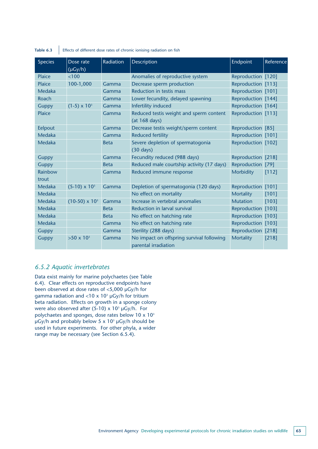| <b>Species</b>   | Dose rate               | Radiation   | <b>Description</b>                                                | Endpoint           | Reference |
|------------------|-------------------------|-------------|-------------------------------------------------------------------|--------------------|-----------|
| <b>Plaice</b>    | $(\mu Gy/h)$<br>< 100   |             | Anomalies of reproductive system                                  | Reproduction [120] |           |
| <b>Plaice</b>    | 100-1,000               | Gamma       | Decrease sperm production                                         | Reproduction [113] |           |
| Medaka           |                         | Gamma       | Reduction in testis mass                                          | Reproduction [101] |           |
| Roach            |                         | Gamma       | Lower fecundity, delayed spawning                                 | Reproduction [144] |           |
| Guppy            | $(1-5) \times 10^{3}$   | Gamma       | Infertility induced                                               | Reproduction [164] |           |
| <b>Plaice</b>    |                         | Gamma       | Reduced testis weight and sperm content<br>(at 168 days)          | Reproduction [113] |           |
| Eelpout          |                         | Gamma       | Decrease testis weight/sperm content                              | Reproduction [85]  |           |
| Medaka           |                         | Gamma       | <b>Reduced fertility</b>                                          | Reproduction [101] |           |
| Medaka           |                         | <b>Beta</b> | Severe depletion of spermatogonia<br>$(30 \text{ days})$          | Reproduction [102] |           |
| <b>Guppy</b>     |                         | Gamma       | Fecundity reduced (988 days)                                      | Reproduction [218] |           |
| <b>Guppy</b>     |                         | <b>Beta</b> | Reduced male courtship activity (17 days)                         | Reproduction [79]  |           |
| Rainbow<br>trout |                         | Gamma       | Reduced immune response                                           | Morbidity          | [112]     |
| Medaka           | $(5-10) \times 10^3$    | Gamma       | Depletion of spermatogonia (120 days)                             | Reproduction [101] |           |
| Medaka           |                         |             | No effect on mortality                                            | <b>Mortality</b>   | [101]     |
| Medaka           | $(10-50) \times 10^{3}$ | Gamma       | Increase in vertebral anomalies                                   | <b>Mutation</b>    | [103]     |
| Medaka           |                         | <b>Beta</b> | Reduction in larval survival                                      | Reproduction [103] |           |
| Medaka           |                         | <b>Beta</b> | No effect on hatching rate                                        | Reproduction [103] |           |
| Medaka           |                         | Gamma       | No effect on hatching rate                                        | Reproduction [103] |           |
| <b>Guppy</b>     |                         | Gamma       | Sterility (288 days)                                              | Reproduction [218] |           |
| <b>Guppy</b>     | $>50 \times 10^{3}$     | Gamma       | No impact on offspring survival following<br>parental irradiation | <b>Mortality</b>   | [218]     |

**Table 6.3** Effects of different dose rates of chronic ionising radiation on fish

#### *6.5.2 Aquatic invertebrates*

Data exist mainly for marine polychaetes (see Table 6.4). Clear effects on reproductive endpoints have been observed at dose rates of <5,000 µGy/h for gamma radiation and <10 x 10<sup>3</sup>  $\mu$ Gy/h for tritium beta radiation. Effects on growth in a sponge colony were also observed after (5-10) x  $10^3 \mu$ Gy/h. For polychaetes and sponges, dose rates below 10 x 103  $\mu$ Gy/h and probably below 5 x 10<sup>3</sup>  $\mu$ Gy/h should be used in future experiments. For other phyla, a wider range may be necessary (see Section 6.5.4).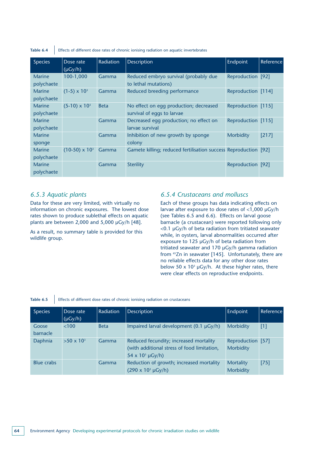**Table 6.4** Effects of different dose rates of chronic ionising radiation on aquatic invertebrates

| <b>Species</b> | Dose rate<br>$(\mu Gy/h)$ | Radiation   | <b>Description</b>                                              | Endpoint           | Reference |
|----------------|---------------------------|-------------|-----------------------------------------------------------------|--------------------|-----------|
| <b>Marine</b>  | 100-1,000                 | Gamma       | Reduced embryo survival (probably due                           | Reproduction [92]  |           |
| polychaete     |                           |             | to lethal mutations)                                            |                    |           |
| <b>Marine</b>  | $(1-5) \times 10^{3}$     | Gamma       | Reduced breeding performance                                    | Reproduction [114] |           |
| polychaete     |                           |             |                                                                 |                    |           |
| <b>Marine</b>  | $(5-10) \times 10^3$      | <b>Beta</b> | No effect on egg production; decreased                          | Reproduction [115] |           |
| polychaete     |                           |             | survival of eggs to larvae                                      |                    |           |
| Marine         |                           | Gamma       | Decreased egg production; no effect on                          | Reproduction [115] |           |
| polychaete     |                           |             | larvae survival                                                 |                    |           |
| Marine         |                           | Gamma       | Inhibition of new growth by sponge                              | <b>Morbidity</b>   | $[217]$   |
| sponge         |                           |             | colony                                                          |                    |           |
| Marine         | $(10-50) \times 10^{3}$   | Gamma       | Gamete killing; reduced fertilisation success Reproduction [92] |                    |           |
| polychaete     |                           |             |                                                                 |                    |           |
| Marine         |                           | Gamma       | <b>Sterility</b>                                                | Reproduction [92]  |           |
| polychaete     |                           |             |                                                                 |                    |           |

#### *6.5.3 Aquatic plants*

Data for these are very limited, with virtually no information on chronic exposures. The lowest dose rates shown to produce sublethal effects on aquatic plants are between 2,000 and 5,000 µGy/h [48].

As a result, no summary table is provided for this wildlife group.

#### *6.5.4 Crustaceans and molluscs*

Each of these groups has data indicating effects on larvae after exposure to dose rates of <1,000 µGy/h (see Tables 6.5 and 6.6). Effects on larval goose barnacle (a crustacean) were reported following only <0.1 µGy/h of beta radiation from tritiated seawater while, in oysters, larval abnormalities occurred after exposure to 125 µGy/h of beta radiation from tritiated seawater and 170 µGy/h gamma radiation from 65Zn in seawater [145]. Unfortunately, there are no reliable effects data for any other dose rates below 50 x 10<sup>3</sup>  $\mu$ Gy/h. At these higher rates, there were clear effects on reproductive endpoints.

#### Table 6.5 **Effects of different dose rates of chronic ionising radiation on crustaceans**

| <b>Species</b>    | Dose rate<br>$(\mu Gy/h)$ | <b>Radiation</b> | <b>Description</b>                                                                                                   | <b>Endpoint</b>                | Reference |
|-------------------|---------------------------|------------------|----------------------------------------------------------------------------------------------------------------------|--------------------------------|-----------|
| Goose<br>barnacle | <100                      | <b>Beta</b>      | Impaired larval development (0.1 µGy/h)                                                                              | <b>Morbidity</b>               | $[1]$     |
| Daphnia           | $>50 \times 10^{3}$       | Gamma            | Reduced fecundity; increased mortality<br>(with additional stress of food limitation,<br>$54 \times 10^{3} \mu Gy/h$ | Reproduction [57]<br>Morbidity |           |
| <b>Blue crabs</b> |                           | Gamma            | Reduction of growth; increased mortality<br>$(290 \times 10^{3} \text{ }\mu\text{Gy/h})$                             | Mortality<br><b>Morbidity</b>  | [75]      |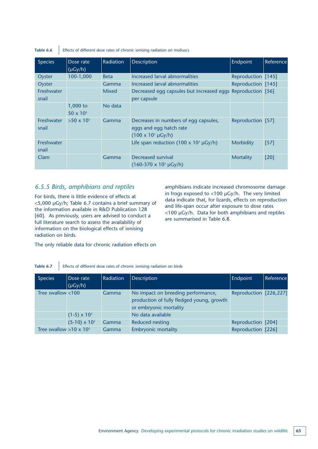| <b>Species</b>             | Dose rate<br>$(\mu G y/h)$       | <b>Radiation</b> | <b>Description</b>                                                                                 | Endpoint           | Reference |
|----------------------------|----------------------------------|------------------|----------------------------------------------------------------------------------------------------|--------------------|-----------|
| Oyster                     | 100-1,000                        | <b>Beta</b>      | Increased larval abnormalities                                                                     | Reproduction [145] |           |
| Oyster                     |                                  | Gamma            | Increased larval abnormalities                                                                     | Reproduction [145] |           |
| Freshwater<br>snail        |                                  | <b>Mixed</b>     | Decreased egg capsules but increased eggs Reproduction [56]<br>per capsule                         |                    |           |
|                            | $1,000$ to<br>$50 \times 10^{3}$ | No data          |                                                                                                    |                    |           |
| <b>Freshwater</b><br>snail | $>50 \times 10^{3}$              | Gamma            | Decreases in numbers of egg capsules,<br>eggs and egg hatch rate<br>$(100 \times 10^{3} \mu Gy/h)$ | Reproduction [57]  |           |
| Freshwater<br>snail        |                                  |                  | Life span reduction (100 x 10 <sup>3</sup> $\mu$ Gy/h)                                             | <b>Morbidity</b>   | $[57]$    |
| Clam                       |                                  | Gamma            | Decreased survival<br>$(160-370 \times 10^3 \mu Gy/h)$                                             | Mortality          | [20]      |

#### **Table 6.6** Effects of different dose rates of chronic ionising radiation on molluscs

#### *6.5.5 Birds, amphibians and reptiles*

For birds, there is little evidence of effects at <5,000 µGy/h; Table 6.7 contains a brief summary of the information available in R&D Publication 128 [60]. As previously, users are advised to conduct a full literature search to assess the availability of information on the biological effects of ionising radiation on birds.

amphibians indicate increased chromosome damage in frogs exposed to <100 µGy/h. The very limited data indicate that, for lizards, effects on reproduction and life-span occur after exposure to dose rates <100 µGy/h. Data for both amphibians and reptiles are summarised in Table 6.8.

The only reliable data for chronic radiation effects on

**Table 6.7** Effects of different dose rates of chronic ionising radiation on birds

| <b>Species</b>                 | Dose rate<br>$(\mu Gy/h)$ | Radiation | <b>Description</b>                                                                                        | Endpoint               | Reference |
|--------------------------------|---------------------------|-----------|-----------------------------------------------------------------------------------------------------------|------------------------|-----------|
| Tree swallow $<$ 100           |                           | Gamma     | No impact on breeding performance,<br>production of fully fledged young, growth<br>or embryonic mortality | Reproduction [226,227] |           |
|                                | $(1-5) \times 10^{3}$     |           | No data available                                                                                         |                        |           |
|                                | $(5-10) \times 10^3$      | Gamma     | <b>Reduced nesting</b>                                                                                    | Reproduction [204]     |           |
| Tree swallow $>10 \times 10^3$ |                           | Gamma     | <b>Embryonic mortality</b>                                                                                | Reproduction [226]     |           |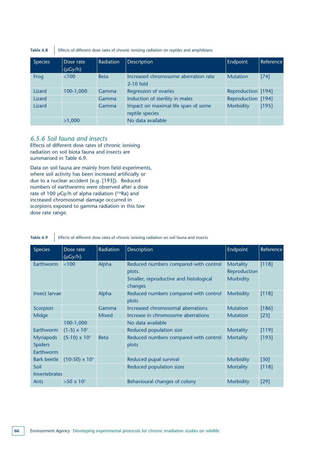Table 6.8 **Effects of different dose rates of chronic ionising radiation on reptiles and amphibians** 

| <b>Species</b> | Dose rate<br>$(\mu Gy/h)$ | <b>Radiation</b> | <b>Description</b>                                     | Endpoint           | <b>Reference</b> |
|----------------|---------------------------|------------------|--------------------------------------------------------|--------------------|------------------|
| Frog           | <100                      | <b>Beta</b>      | Increased chromosome aberration rate<br>$2-10$ fold    | <b>Mutation</b>    | $[74]$           |
| Lizard         | 100-1,000                 | Gamma            | Regression of ovaries                                  | Reproduction [194] |                  |
| Lizard         |                           | Gamma            | Induction of sterility in males                        | Reproduction [194] |                  |
| Lizard         |                           | Gamma            | Impact on maximal life span of some<br>reptile species | Morbidity          | [195]            |
|                | >1,000                    |                  | No data available                                      |                    |                  |

#### *6.5.6 Soil fauna and insects*

Effects of different dose rates of chronic ionising radiation on soil biota fauna and insects are summarised in Table 6.9.

Data on soil fauna are mainly from field experiments, where soil activity has been increased artificially or due to a nuclear accident (e.g. [193]). Reduced numbers of earthworms were observed after a dose rate of 100  $\mu$ Gy/h of alpha radiation ( $^{226}$ Ra) and increased chromosomal damage occurred in scorpions exposed to gamma radiation in this low dose rate range.

**Table 6.9** Effects of different dose rates of chronic ionising radiation on soil fauna and insects

| <b>Species</b>                                  | Dose rate<br>$(\mu Gy/h)$ | Radiation    | Description                                                                               | Endpoint                                             | Reference |
|-------------------------------------------------|---------------------------|--------------|-------------------------------------------------------------------------------------------|------------------------------------------------------|-----------|
| Earthworm                                       | < 100                     | Alpha        | Reduced numbers compared with control<br>plots.<br>Smaller, reproductive and histological | <b>Mortality</b><br>Reproduction<br><b>Morbidity</b> | [118]     |
| <b>Insect larvae</b>                            |                           | Alpha        | changes<br>Reduced numbers compared with control<br>plots                                 | <b>Morbidity</b>                                     | [118]     |
| Scorpion                                        |                           | Gamma        | Increased chromosomal aberrations                                                         | <b>Mutation</b>                                      | [186]     |
| Midge                                           |                           | <b>Mixed</b> | Increase in chromosome aberrations                                                        | <b>Mutation</b>                                      | $[23]$    |
|                                                 | 100-1,000                 |              | No data available                                                                         |                                                      |           |
| Earthworm                                       | $(1-5) \times 10^{3}$     |              | Reduced population size                                                                   | <b>Mortality</b>                                     | [119]     |
| <b>Myriapods</b><br><b>Spiders</b><br>Earthworm | $(5-10) \times 10^3$      | <b>Beta</b>  | Reduced numbers compared with control<br>plots                                            | <b>Mortality</b>                                     | [193]     |
| <b>Bark beetle</b>                              | $(10-50) \times 10^{3}$   |              | Reduced pupal survival                                                                    | <b>Morbidity</b>                                     | $[30]$    |
| Soil<br><b>Invertebrates</b>                    |                           |              | Reduced population sizes                                                                  | <b>Mortality</b>                                     | [118]     |
| Ants                                            | $>50 \times 10^{3}$       |              | Behavioural changes of colony                                                             | <b>Morbidity</b>                                     | [29]      |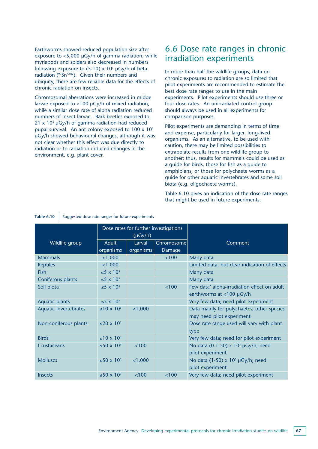Earthworms showed reduced population size after exposure to  $<$ 5,000  $\mu$ Gy/h of gamma radiation, while myriapods and spiders also decreased in numbers following exposure to  $(5-10)$  x  $10<sup>3</sup>$  µGy/h of beta radiation (<sup>90</sup>Sr/<sup>90</sup>Y). Given their numbers and ubiquity, there are few reliable data for the effects of chronic radiation on insects.

Chromosomal aberrations were increased in midge larvae exposed to <100 µGy/h of mixed radiation, while a similar dose rate of alpha radiation reduced numbers of insect larvae. Bark beetles exposed to  $21 \times 10^{3}$  µGy/h of gamma radiation had reduced pupal survival. An ant colony exposed to  $100 \times 10^3$ µGy/h showed behavioural changes, although it was not clear whether this effect was due directly to radiation or to radiation-induced changes in the environment, e.g. plant cover.

### 6.6 Dose rate ranges in chronic irradiation experiments

In more than half the wildlife groups, data on chronic exposures to radiation are so limited that pilot experiments are recommended to estimate the best dose rate ranges to use in the main experiments. Pilot experiments should use three or four dose rates. An unirradiated control group should always be used in all experiments for comparison purposes.

Pilot experiments are demanding in terms of time and expense, particularly for larger, long-lived organisms. As an alternative, to be used with caution, there may be limited possibilities to extrapolate results from one wildlife group to another; thus, results for mammals could be used as a guide for birds, those for fish as a guide to amphibians, or those for polychaete worms as a guide for other aquatic invertebrates and some soil biota (e.g. oligochaete worms).

Table 6.10 gives an indication of the dose rate ranges that might be used in future experiments.

|                       | Dose rates for further investigations<br>$(\mu Gy/h)$ |           |            |                                                       |
|-----------------------|-------------------------------------------------------|-----------|------------|-------------------------------------------------------|
| Wildlife group        | <b>Adult</b>                                          | Larval    | Chromosome | Comment                                               |
|                       | organisms                                             | organisms | Damage     |                                                       |
| <b>Mammals</b>        | $<$ 1,000                                             |           | < 100      | Many data                                             |
| <b>Reptiles</b>       | $<$ 1,000                                             |           |            | Limited data, but clear indication of effects         |
| <b>Fish</b>           | $\leq$ 5 x 10 <sup>3</sup>                            |           |            | Many data                                             |
| Coniferous plants     | $\leq$ 5 x 10 <sup>3</sup>                            |           |            | Many data                                             |
| Soil biota            | $\leq$ 5 x 10 <sup>3</sup>                            |           | < 100      | Few data' alpha-irradiation effect on adult           |
|                       |                                                       |           |            | earthworms at $<$ 100 µGy/h                           |
| Aquatic plants        | $\leq$ 5 x 10 <sup>3</sup>                            |           |            | Very few data; need pilot experiment                  |
| Aquatic invertebrates | $\leq 10 \times 10^3$                                 | $<$ 1,000 |            | Data mainly for polychaetes; other species            |
|                       |                                                       |           |            | may need pilot experiment                             |
| Non-coniferous plants | ≤20 x $10^3$                                          |           |            | Dose rate range used will vary with plant             |
|                       |                                                       |           |            | type                                                  |
| <b>Birds</b>          | $~10 \times 10^{3}$                                   |           |            | Very few data; need for pilot experiment              |
| Crustaceans           | $\leq$ 50 x 10 <sup>3</sup>                           | < 100     |            | No data (0.1-50) $\times$ 10 <sup>3</sup> µGy/h; need |
|                       |                                                       |           |            | pilot experiment                                      |
| <b>Molluscs</b>       | ≤50 x $103$                                           | $<$ 1,000 |            | No data $(1-50) \times 10^3$ µGy/h; need              |
|                       |                                                       |           |            | pilot experiment                                      |
| <b>Insects</b>        | ≤50 x $103$                                           | < 100     | < 100      | Very few data; need pilot experiment                  |

#### Table 6.10 Suggested dose rate ranges for future experiments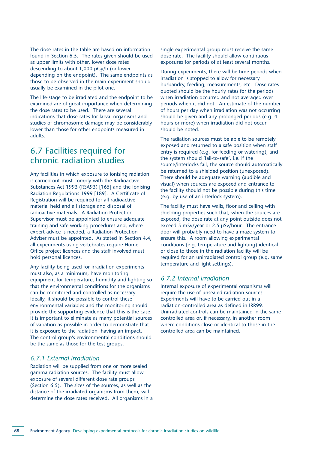The dose rates in the table are based on information found in Section 6.5. The rates given should be used as upper limits with other, lower dose rates descending to about 1,000 µGy/h (or lower depending on the endpoint). The same endpoints as those to be observed in the main experiment should usually be examined in the pilot one.

The life-stage to be irradiated and the endpoint to be examined are of great importance when determining the dose rates to be used. There are several indications that dose rates for larval organisms and studies of chromosome damage may be considerably lower than those for other endpoints measured in adults.

### 6.7 Facilities required for chronic radiation studies

Any facilities in which exposure to ionising radiation is carried out must comply with the Radioactive Substances Act 1993 (RSA93) [165] and the Ionising Radiation Regulations 1999 [189]. A Certificate of Registration will be required for all radioactive material held and all storage and disposal of radioactive materials. A Radiation Protection Supervisor must be appointed to ensure adequate training and safe working procedures and, where expert advice is needed, a Radiation Protection Adviser must be appointed. As stated in Section 4.4, all experiments using vertebrates require Home Office project licences and the staff involved must hold personal licences.

Any facility being used for irradiation experiments must also, as a minimum, have monitoring equipment for temperature, humidity and lighting so that the environmental conditions for the organisms can be monitored and controlled as necessary. Ideally, it should be possible to control these environmental variables and the monitoring should provide the supporting evidence that this is the case. It is important to eliminate as many potential sources of variation as possible in order to demonstrate that it is exposure to the radiation having an impact. The control group's environmental conditions should be the same as those for the test groups.

#### *6.7.1 External irradiation*

Radiation will be supplied from one or more sealed gamma radiation sources. The facility must allow exposure of several different dose rate groups (Section 6.5). The sizes of the sources, as well as the distance of the irradiated organisms from them, will determine the dose rates received. All organisms in a single experimental group must receive the same dose rate. The facility should allow continuous exposures for periods of at least several months.

During experiments, there will be time periods when irradiation is stopped to allow for necessary husbandry, feeding, measurements, etc. Dose rates quoted should be the hourly rates for the periods when irradiation occurred and not averaged over periods when it did not. An estimate of the number of hours per day when irradiation was not occurring should be given and any prolonged periods (e.g. 4 hours or more) when irradiation did not occur should be noted.

The radiation sources must be able to be remotely exposed and returned to a safe position when staff entry is required (e.g. for feeding or watering), and the system should 'fail-to-safe', i.e. if the source/interlocks fail, the source should automatically be returned to a shielded position (unexposed). There should be adequate warning (audible and visual) when sources are exposed and entrance to the facility should not be possible during this time (e.g. by use of an interlock system).

The facility must have walls, floor and ceiling with shielding properties such that, when the sources are exposed, the dose rate at any point outside does not exceed 5 mSv/year or 2.5 µSv/hour. The entrance door will probably need to have a maze system to ensure this. A room allowing experimental conditions (e.g. temperature and lighting) identical or close to those in the radiation facility will be required for an unirradiated control group (e.g. same temperature and light settings).

#### *6.7.2 Internal irradiation*

Internal exposure of experimental organisms will require the use of unsealed radiation sources. Experiments will have to be carried out in a radiation-controlled area as defined in IRR99. Unirradiated controls can be maintained in the same controlled area or, if necessary, in another room where conditions close or identical to those in the controlled area can be maintained.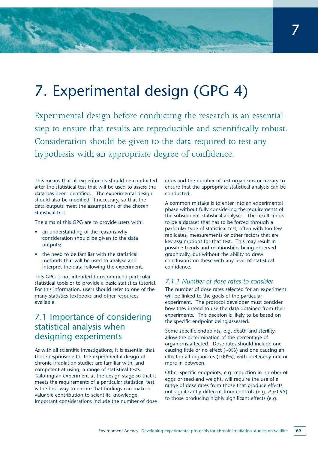# 7. Experimental design (GPG 4)

Experimental design before conducting the research is an essential step to ensure that results are reproducible and scientifically robust. Consideration should be given to the data required to test any hypothesis with an appropriate degree of confidence.

This means that all experiments should be conducted after the statistical test that will be used to assess the data has been identified.. The experimental design should also be modified, if necessary, so that the data outputs meet the assumptions of the chosen statistical test.

The aims of this GPG are to provide users with:

- an understanding of the reasons why consideration should be given to the data outputs;
- the need to be familiar with the statistical methods that will be used to analyse and interpret the data following the experiment.

This GPG is not intended to recommend particular statistical tools or to provide a basic statistics tutorial. For this information, users should refer to one of the many statistics textbooks and other resources available.

### 7.1 Importance of considering statistical analysis when designing experiments

As with all scientific investigations, it is essential that those responsible for the experimental design of chronic irradiation studies are familiar with, and competent at using, a range of statistical tests. Tailoring an experiment at the design stage so that it meets the requirements of a particular statistical test is the best way to ensure that findings can make a valuable contribution to scientific knowledge. Important considerations include the number of dose rates and the number of test organisms necessary to ensure that the appropriate statistical analysis can be conducted.

A common mistake is to enter into an experimental phase without fully considering the requirements of the subsequent statistical analyses. The result tends to be a dataset that has to be forced through a particular type of statistical test, often with too few replicates, measurements or other factors that are key assumptions for that test. This may result in possible trends and relationships being observed graphically, but without the ability to draw conclusions on these with any level of statistical confidence.

#### *7.1.1 Number of dose rates to consider*

The number of dose rates selected for an experiment will be linked to the goals of the particular experiment. The protocol developer must consider how they intend to use the data obtained from their experiments. This decision is likely to be based on the specific endpoint being assessed.

Some specific endpoints, e.g. death and sterility, allow the determination of the percentage of organisms affected. Dose rates should include one causing little or no effect (~0%) and one causing an effect in all organisms (100%), with preferably one or more in between.

Other specific endpoints, e.g. reduction in number of eggs or seed and weight, will require the use of a range of dose rates from those that produce effects not significantly different from controls (e.g. *P* >0.95) to those producing highly significant effects (e.g.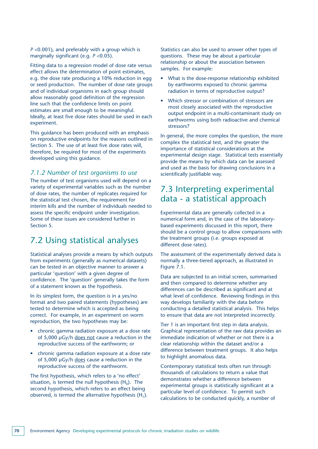*P* <0.001), and preferably with a group which is marginally significant (e.g. *P* <0.05).

Fitting data to a regression model of dose rate versus effect allows the determination of point estimates, e.g. the dose rate producing a 10% reduction in egg or seed production. The number of dose rate groups and of individual organisms in each group should allow reasonably good definition of the regression line such that the confidence limits on point estimates are small enough to be meaningful. Ideally, at least five dose rates should be used in each experiment.

This guidance has been produced with an emphasis on reproductive endpoints for the reasons outlined in Section 5. The use of at least five dose rates will, therefore, be required for most of the experiments developed using this guidance.

#### *7.1.2 Number of test organisms to use*

The number of test organisms used will depend on a variety of experimental variables such as the number of dose rates, the number of replicates required for the statistical test chosen, the requirement for interim kills and the number of individuals needed to assess the specific endpoint under investigation. Some of these issues are considered further in Section 5.

### 7.2 Using statistical analyses

Statistical analyses provide a means by which outputs from experiments (generally as numerical datasets) can be tested in an objective manner to answer a particular 'question' with a given degree of confidence. The 'question' generally takes the form of a statement known as the hypothesis.

In its simplest form, the question is in a yes/no format and two paired statements (hypotheses) are tested to determine which is accepted as being correct. For example, in an experiment on worm reproduction, the two hypotheses may be:

- chronic gamma radiation exposure at a dose rate of 5,000 µGy/h does not cause a reduction in the reproductive success of the earthworm; or
- chronic gamma radiation exposure at a dose rate of 5,000 µGy/h does cause a reduction in the reproductive success of the earthworm.

The first hypothesis, which refers to a 'no effect' situation, is termed the null hypothesis  $(H_0)$ . The second hypothesis, which refers to an effect being observed, is termed the alternative hypothesis  $(H_1)$ . Statistics can also be used to answer other types of questions. These may be about a particular relationship or about the association between samples. For example:

- What is the dose-response relationship exhibited by earthworms exposed to chronic gamma radiation in terms of reproductive output?
- Which stressor or combination of stressors are most closely associated with the reproductive output endpoint in a multi-contaminant study on earthworms using both radioactive and chemical stressors?

In general, the more complex the question, the more complex the statistical test, and the greater the importance of statistical considerations at the experimental design stage. Statistical tests essentially provide the means by which data can be assessed and used as the basis for drawing conclusions in a scientifically justifiable way.

### 7.3 Interpreting experimental data - a statistical approach

Experimental data are generally collected in a numerical form and, in the case of the laboratorybased experiments discussed in this report, there should be a control group to allow comparisons with the treatment groups (i.e. groups exposed at different dose rates).

The assessment of the experimentally derived data is normally a three-tiered approach, as illustrated in Figure 7.1.

Data are subjected to an initial screen, summarised and then compared to determine whether any differences can be described as significant and at what level of confidence. Reviewing findings in this way develops familiarity with the data before conducting a detailed statistical analysis. This helps to ensure that data are not interpreted incorrectly.

Tier 1 is an important first step in data analysis. Graphical representation of the raw data provides an immediate indication of whether or not there is a clear relationship within the dataset and/or a difference between treatment groups. It also helps to highlight anomalous data.

Contemporary statistical tests often run through thousands of calculations to return a value that demonstrates whether a difference between experimental groups is statistically significant at a particular level of confidence. To permit such calculations to be conducted quickly, a number of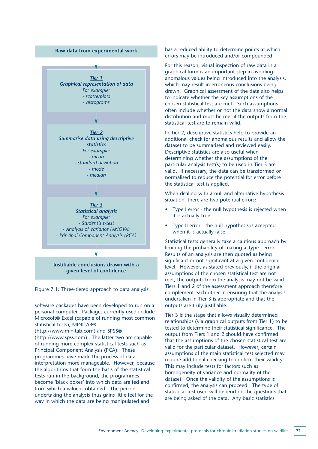

Figure 7.1: Three-tiered approach to data analysis

software packages have been developed to run on a personal computer. Packages currently used include Microsoft® Excel (capable of running most common statistical tests), MINITAB® (http://www.minitab.com) and SPSS® (http://www.spss.com). The latter two are capable of running more complex statistical tests such as Principal Component Analysis (PCA). These

programmes have made the process of data interpretation more manageable. However, because the algorithms that form the basis of the statistical tests run in the background, the programmes become 'black boxes' into which data are fed and from which a value is obtained. The person undertaking the analysis thus gains little feel for the way in which the data are being manipulated and

has a reduced ability to determine points at which errors may be introduced and/or compounded.

For this reason, visual inspection of raw data in a graphical form is an important step in avoiding anomalous values being introduced into the analysis, which may result in erroneous conclusions being drawn. Graphical assessment of the data also helps to indicate whether the key assumptions of the chosen statistical test are met. Such assumptions often include whether or not the data show a normal distribution and must be met if the outputs from the statistical test are to remain valid.

In Tier 2, descriptive statistics help to provide an additional check for anomalous results and allow the dataset to be summarised and reviewed easily. Descriptive statistics are also useful when determining whether the assumptions of the particular analysis test(s) to be used in Tier 3 are valid. If necessary, the data can be transformed or normalised to reduce the potential for error before the statistical test is applied.

When dealing with a null and alternative hypothesis situation, there are two potential errors:

- Type I error the null hypothesis is rejected when it is actually true.
- Type II error the null hypothesis is accepted when it is actually false.

Statistical tests generally take a cautious approach by limiting the probability of making a Type I error. Results of an analysis are then quoted as being significant or not significant at a given confidence level. However, as stated previously, if the original assumptions of the chosen statistical test are not met, the outputs from the analysis may not be valid. Tiers 1 and 2 of the assessment approach therefore complement each other in ensuring that the analysis undertaken in Tier 3 is appropriate and that the outputs are truly justifiable.

Tier 3 is the stage that allows visually determined relationships (via graphical outputs from Tier 1) to be tested to determine their statistical significance. The output from Tiers 1 and 2 should have confirmed that the assumptions of the chosen statistical test are valid for the particular dataset. However, certain assumptions of the main statistical test selected may require additional checking to confirm their validity. This may include tests for factors such as homogeneity of variance and normality of the dataset. Once the validity of the assumptions is confirmed, the analysis can proceed. The type of statistical test used will depend on the questions that are being asked of the data. Any basic statistics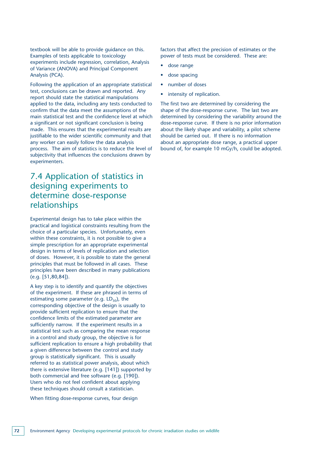textbook will be able to provide guidance on this. Examples of tests applicable to toxicology experiments include regression, correlation, Analysis of Variance (ANOVA) and Principal Component Analysis (PCA).

Following the application of an appropriate statistical test, conclusions can be drawn and reported. Any report should state the statistical manipulations applied to the data, including any tests conducted to confirm that the data meet the assumptions of the main statistical test and the confidence level at which a significant or not significant conclusion is being made. This ensures that the experimental results are justifiable to the wider scientific community and that any worker can easily follow the data analysis process. The aim of statistics is to reduce the level of subjectivity that influences the conclusions drawn by experimenters.

## 7.4 Application of statistics in designing experiments to determine dose-response relationships

Experimental design has to take place within the practical and logistical constraints resulting from the choice of a particular species. Unfortunately, even within these constraints, it is not possible to give a simple prescription for an appropriate experimental design in terms of levels of replication and selection of doses. However, it is possible to state the general principles that must be followed in all cases. These principles have been described in many publications (e.g. [51,80,84]).

A key step is to identify and quantify the objectives of the experiment. If these are phrased in terms of estimating some parameter (e.g.  $LD_{50}$ ), the corresponding objective of the design is usually to provide sufficient replication to ensure that the confidence limits of the estimated parameter are sufficiently narrow. If the experiment results in a statistical test such as comparing the mean response in a control and study group, the objective is for sufficient replication to ensure a high probability that a given difference between the control and study group is statistically significant. This is usually referred to as statistical power analysis, about which there is extensive literature (e.g. [141]) supported by both commercial and free software (e.g. [190]). Users who do not feel confident about applying these techniques should consult a statistician.

When fitting dose-response curves, four design

factors that affect the precision of estimates or the power of tests must be considered. These are:

- dose range
- dose spacing
- number of doses
- intensity of replication.

The first two are determined by considering the shape of the dose-response curve. The last two are determined by considering the variability around the dose-response curve. If there is no prior information about the likely shape and variability, a pilot scheme should be carried out. If there is no information about an appropriate dose range, a practical upper bound of, for example 10 mGy/h, could be adopted.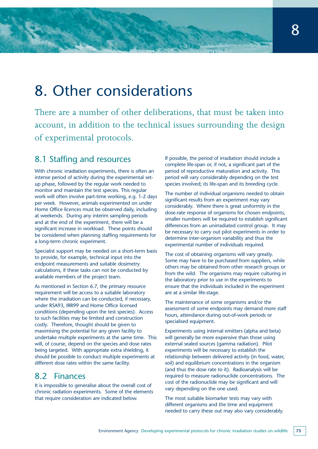## 8. Other considerations

There are a number of other deliberations, that must be taken into account, in addition to the technical issues surrounding the design of experimental protocols.

## 8.1 Staffing and resources

With chronic irradiation experiments, there is often an intense period of activity during the experimental setup phase, followed by the regular work needed to monitor and maintain the test species. This regular work will often involve part-time working, e.g. 1-2 days per week. However, animals experimented on under Home Office licences must be observed daily, including at weekends. During any interim sampling periods and at the end of the experiment, there will be a significant increase in workload. These points should be considered when planning staffing requirements for a long-term chronic experiment.

Specialist support may be needed on a short-term basis to provide, for example, technical input into the endpoint measurements and suitable dosimetry calculations, if these tasks can not be conducted by available members of the project team.

As mentioned in Section 6.7, the primary resource requirement will be access to a suitable laboratory where the irradiation can be conducted, if necessary, under RSA93, IRR99 and Home Office licensed conditions (depending upon the test species). Access to such facilities may be limited and construction costly. Therefore, thought should be given to maximising the potential for any given facility to undertake multiple experiments at the same time. This will, of course, depend on the species and dose rates being targeted. With appropriate extra shielding, it should be possible to conduct multiple experiments at different dose rates within the same facility.

### 8.2 Finances

It is impossible to generalise about the overall cost of chronic radiation experiments. Some of the elements that require consideration are indicated below.

If possible, the period of irradiation should include a complete life-span or, if not, a significant part of the period of reproductive maturation and activity. This period will vary considerably depending on the test species involved; its life-span and its breeding cycle.

The number of individual organisms needed to obtain significant results from an experiment may vary considerably. Where there is great uniformity in the dose-rate response of organisms for chosen endpoints, smaller numbers will be required to establish significant differences from an unirradiated control group. It may be necessary to carry out pilot experiments in order to determine inter-organism variability and thus the experimental number of individuals required.

The cost of obtaining organisms will vary greatly. Some may have to be purchased from suppliers, while others may be obtained from other research groups or from the wild. The organisms may require culturing in the laboratory prior to use in the experiments to ensure that the individuals included in the experiment are at a similar life-stage.

The maintenance of some organisms and/or the assessment of some endpoints may demand more staff hours, attendance during out-of-work periods or specialised equipment.

Experiments using internal emitters (alpha and beta) will generally be more expensive than those using external sealed sources (gamma radiation). Pilot experiments will be necessary to establish the relationship between delivered activity (in food, water, soil) and equilibrium concentrations in the organism (and thus the dose rate to it). Radioanalysis will be required to measure radionuclide concentrations. The cost of the radionuclide may be significant and will vary depending on the one used.

The most suitable biomarker tests may vary with different organisms and the time and equipment needed to carry these out may also vary considerably.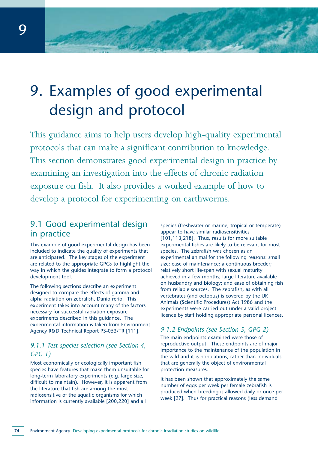# 9. Examples of good experimental design and protocol

This guidance aims to help users develop high-quality experimental protocols that can make a significant contribution to knowledge. This section demonstrates good experimental design in practice by examining an investigation into the effects of chronic radiation exposure on fish. It also provides a worked example of how to develop a protocol for experimenting on earthworms.

## 9.1 Good experimental design in practice

This example of good experimental design has been included to indicate the quality of experiments that are anticipated. The key stages of the experiment are related to the appropriate GPGs to highlight the way in which the guides integrate to form a protocol development tool.

The following sections describe an experiment designed to compare the effects of gamma and alpha radiation on zebrafish, Danio rerio. This experiment takes into account many of the factors necessary for successful radiation exposure experiments described in this guidance. The experimental information is taken from Environment Agency R&D Technical Report P3-053/TR [111].

### *9.1.1 Test species selection (see Section 4, GPG 1)*

Most economically or ecologically important fish species have features that make them unsuitable for long-term laboratory experiments (e.g. large size, difficult to maintain). However, it is apparent from the literature that fish are among the most radiosensitive of the aquatic organisms for which information is currently available [200,220] and all

species (freshwater or marine, tropical or temperate) appear to have similar radiosensitivities [101,113,218]. Thus, results for more suitable experimental fishes are likely to be relevant for most species. The zebrafish was chosen as an experimental animal for the following reasons: small size; ease of maintenance; a continuous breeder; relatively short life-span with sexual maturity achieved in a few months; large literature available on husbandry and biology; and ease of obtaining fish from reliable sources. The zebrafish, as with all vertebrates (and octopus) is covered by the UK Animals (Scientific Procedures) Act 1986 and the experiments were carried out under a valid project licence by staff holding appropriate personal licences.

## *9.1.2 Endpoints (see Section 5, GPG 2)*

The main endpoints examined were those of reproductive output. These endpoints are of major importance to the maintenance of the population in the wild and it is populations, rather than individuals, that are generally the object of environmental protection measures.

It has been shown that approximately the same number of eggs per week per female zebrafish is produced when breeding is allowed daily or once per week [27]. Thus for practical reasons (less demand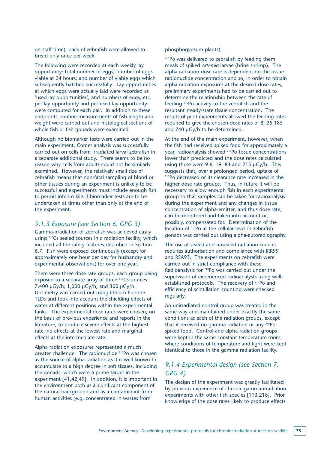on staff time), pairs of zebrafish were allowed to breed only once per week.

The following were recorded at each weekly lay opportunity: total number of eggs; number of eggs viable at 24 hours; and number of viable eggs which subsequently hatched successfully. Lay opportunities at which eggs were actually laid were recorded as 'used lay opportunities', and numbers of eggs, etc. per lay opportunity and per used lay opportunity were computed for each pair. In addition to these endpoints, routine measurements of fish length and weight were carried out and histological sections of whole fish or fish gonads were examined.

Although no biomarker tests were carried out in the main experiment, Comet analysis was successfully carried out on cells from irradiated larval zebrafish in a separate additional study. There seems to be no reason why cells from adults could not be similarly examined. However, the relatively small size of zebrafish means that non-fatal sampling of blood or other tissues during an experiment is unlikely to be successful and experiments must include enough fish to permit interim kills if biomarker tests are to be undertaken at times other than only at the end of the experiment.

#### *9.1.3 Exposure (see Section 6, GPG 3)*

Gamma-irradiation of zebrafish was achieved easily using 137Cs sealed sources in a radiation facility, which included all the safety features described in Section 6.7. Fish were exposed continuously (except for approximately one hour per day for husbandry and experimental observations) for over one year.

There were three dose rate groups, each group being exposed to a separate array of three 137Cs sources: 7,400 µGy/h; 1,000 µGy/h; and 300 µGy/h. Dosimetry was carried out using lithium fluoride TLDs and took into account the shielding effects of water at different positions within the experimental tanks. The experimental dose rates were chosen, on the basis of previous experience and reports in the literature, to produce severe effects at the highest rate, no effects at the lowest rate and marginal effects at the intermediate rate.

Alpha radiation exposures represented a much greater challenge. The radionuclide 210Po was chosen as the source of alpha radiation as it is well known to accumulate to a high degree in soft tissues, including the gonads, which were a prime target in the experiment [41,42,49]. In addition, it is important in the environment both as a significant component of the natural background and as a contaminant from human activities (e.g. concentrated in wastes from

#### phosphogypsum plants).

210Po was delivered to zebrafish by feeding them meals of spiked *Artemia* larvae (brine shrimp). The alpha radiation dose rate is dependent on the tissue radionuclide concentration and so, in order to obtain alpha radiation exposures at the desired dose rates, preliminary experiments had to be carried out to determine the relationship between the rate of feeding 210Po activity to the zebrafish and the resultant steady-state tissue concentration. The results of pilot experiments allowed the feeding rates required to give the chosen dose rates of 8, 25,185 and 740 µGy/h to be determined.

At the end of the main experiment, however, when the fish had received spiked food for approximately a year, radioanalysis showed 210Po tissue concentrations lower than predicted and the dose rates calculated using these were 9.6, 19, 84 and 215 µGy/h. This suggests that, over a prolonged period, uptake of 210Po decreased or its clearance rate increased in the higher dose rate groups. Thus, in future it will be necessary to allow enough fish in each experimental group so that samples can be taken for radioanalysis during the experiment and any changes in tissue concentration of alpha-emitter, and thus dose rate, can be monitored and taken into account or, possibly, compensated for. Determination of the location of 210Po at the cellular level in zebrafish gonads was carried out using alpha-autoradiography.

The use of sealed and unsealed radiation sources requires authorisation and compliance with IRR99 and RSA93. The experiments on zebrafish were carried out in strict compliance with these. Radioanalysis for <sup>210</sup>Po was carried out under the supervision of experienced radioanalysts using wellestablished protocols. The recovery of <sup>210</sup>Po and efficiency of scintillation counting were checked regularly.

An unirradiated control group was treated in the same way and maintained under exactly the same conditions as each of the radiation groups, except that it received no gamma radiation or any 210Pospiked food. Control and alpha radiation groups were kept in the same constant temperature room, where conditions of temperature and light were kept identical to those in the gamma radiation facility.

#### *9.1.4 Experimental design (see Section 7, GPG 4)*

The design of the experiment was greatly facilitated by previous experience of chronic gamma-irradiation experiments with other fish species [113,218]. Prior knowledge of the dose rates likely to produce effects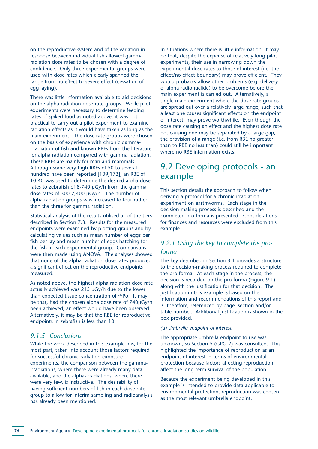on the reproductive system and of the variation in response between individual fish allowed gamma radiation dose rates to be chosen with a degree of confidence. Only three experimental groups were used with dose rates which clearly spanned the range from no effect to severe effect (cessation of egg laying).

There was little information available to aid decisions on the alpha radiation dose-rate groups. While pilot experiments were necessary to determine feeding rates of spiked food as noted above, it was not practical to carry out a pilot experiment to examine radiation effects as it would have taken as long as the main experiment. The dose rate groups were chosen on the basis of experience with chronic gammairradiation of fish and known RBEs from the literature for alpha radiation compared with gamma radiation. These RBEs are mainly for man and mammals. Although some very high RBEs of 50 to several hundred have been reported [109,173], an RBE of 10-40 was used to determine the desired alpha dose rates to zebrafish of 8-740 µGy/h from the gamma dose rates of 300-7,400 µGy/h. The number of alpha radiation groups was increased to four rather than the three for gamma radiation.

Statistical analysis of the results utilised all of the tiers described in Section 7.3. Results for the measured endpoints were examined by plotting graphs and by calculating values such as mean number of eggs per fish per lay and mean number of eggs hatching for the fish in each experimental group. Comparisons were then made using ANOVA. The analyses showed that none of the alpha-radiation dose rates produced a significant effect on the reproductive endpoints measured.

As noted above, the highest alpha radiation dose rate actually achieved was 215 µGy/h due to the lower than expected tissue concentration of 210Po. It may be that, had the chosen alpha dose rate of 740µGy/h been achieved, an effect would have been observed. Alternatively, it may be that the RBE for reproductive endpoints in zebrafish is less than 10.

#### *9.1.5 Conclusions*

While the work described in this example has, for the most part, taken into account those factors required for successful chronic radiation exposure experiments, the comparison between the gammairradiations, where there were already many data available, and the alpha-irradiations, where there were very few, is instructive. The desirability of having sufficient numbers of fish in each dose rate group to allow for interim sampling and radioanalysis has already been mentioned.

In situations where there is little information, it may be that, despite the expense of relatively long pilot experiments, their use in narrowing down the experimental dose rates to those of interest (i.e. the effect/no effect boundary) may prove efficient. They would probably allow other problems (e.g. delivery of alpha radionuclide) to be overcome before the main experiment is carried out. Alternatively, a single main experiment where the dose rate groups are spread out over a relatively large range, such that a least one causes significant effects on the endpoint of interest, may prove worthwhile. Even though the dose rate causing an effect and the highest dose rate not causing one may be separated by a large gap, the provision of a range (i.e. from RBE no greater than to RBE no less than) could still be important where no RBE information exists.

## 9.2 Developing protocols - an example

This section details the approach to follow when deriving a protocol for a chronic irradiation experiment on earthworms. Each stage in the decision-making process is described and the completed pro-forma is presented. Considerations for finances and resources were excluded from this example.

### *9.2.1 Using the key to complete the proforma*

The key described in Section 3.1 provides a structure to the decision-making process required to complete the pro-forma. At each stage in the process, the decision is recorded on the pro-forma (Figure 9.1) along with the justification for that decision. The justification in this example is based on the information and recommendations of this report and is, therefore, referenced by page, section and/or table number. Additional justification is shown in the box provided.

#### *(a) Umbrella endpoint of interest*

The appropriate umbrella endpoint to use was unknown, so Section 5 (GPG 2) was consulted. This highlighted the importance of reproduction as an endpoint of interest in terms of environmental protection because factors affecting reproduction affect the long-term survival of the population.

Because the experiment being developed in this example is intended to provide data applicable to environmental protection, reproduction was chosen as the most relevant umbrella endpoint.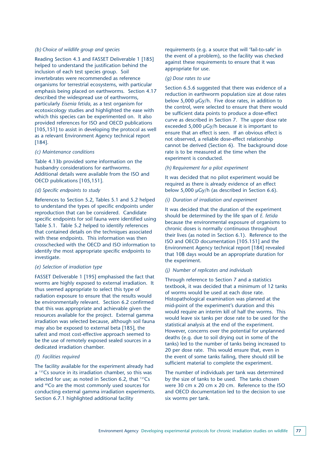#### *(b) Choice of wildlife group and species*

Reading Section 4.3 and FASSET Deliverable 1 [185] helped to understand the justification behind the inclusion of each test species group. Soil invertebrates were recommended as reference organisms for terrestrial ecosystems, with particular emphasis being placed on earthworms. Section 4.17 described the widespread use of earthworms, particularly *Eisenia fetida*, as a test organism for ecotoxicology studies and highlighted the ease with which this species can be experimented on. It also provided references for ISO and OECD publications [105,151] to assist in developing the protocol as well as a relevant Environment Agency technical report [184].

#### *(c) Maintenance conditions*

Table 4.13b provided some information on the husbandry considerations for earthworms. Additional details were available from the ISO and OECD publications [105,151].

#### *(d) Specific endpoints to study*

References to Section 5.2, Tables 5.1 and 5.2 helped to understand the types of specific endpoints under reproduction that can be considered. Candidate specific endpoints for soil fauna were identified using Table 5.1. Table 5.2 helped to identify references that contained details on the techniques associated with these endpoints. This information was then crosschecked with the OECD and ISO information to identify the most appropriate specific endpoints to investigate.

#### *(e) Selection of irradiation type*

FASSET Deliverable 1 [195] emphasised the fact that worms are highly exposed to external irradiation. It thus seemed appropriate to select this type of radiation exposure to ensure that the results would be environmentally relevant. Section 6.2 confirmed that this was appropriate and achievable given the resources available for the project. External gamma irradiation was selected because, although soil fauna may also be exposed to external beta [185], the safest and most cost-effective approach seemed to be the use of remotely exposed sealed sources in a dedicated irradiation chamber.

#### *(f) Facilities required*

The facility available for the experiment already had a <sup>137</sup>Cs source in its irradiation chamber, so this was selected for use; as noted in Section 6.2, that  $137Cs$ and <sup>60</sup>Co are the most commonly used sources for conducting external gamma irradiation experiments. Section 6.7.1 highlighted additional facility

requirements (e.g. a source that will 'fail-to-safe' in the event of a problem), so the facility was checked against these requirements to ensure that it was appropriate for use.

#### *(g) Dose rates to use*

Section 6.5.6 suggested that there was evidence of a reduction in earthworm population size at dose rates below 5,000 µGy/h. Five dose rates, in addition to the control, were selected to ensure that there would be sufficient data points to produce a dose-effect curve as described in Section 7. The upper dose rate exceeded 5,000 µGy/h because it is important to ensure that an effect is seen. If an obvious effect is not observed, a reliable dose-effect relationship cannot be derived (Section 6). The background dose rate is to be measured at the time when the experiment is conducted.

#### *(h) Requirement for a pilot experiment*

It was decided that no pilot experiment would be required as there is already evidence of an effect below 5,000 µGy/h (as described in Section 6.6).

#### *(i) Duration of irradiation and experiment*

It was decided that the duration of the experiment should be determined by the life span of *E. fetida* because the environmental exposure of organisms to chronic doses is normally continuous throughout their lives (as noted in Section 6.1). Reference to the ISO and OECD documentation [105.151] and the Environment Agency technical report [184] revealed that 108 days would be an appropriate duration for the experiment.

#### *(j) Number of replicates and individuals*

Through reference to Section 7 and a statistics textbook, it was decided that a minimum of 12 tanks of worms would be used at each dose rate. Histopathological examination was planned at the mid-point of the experiment's duration and this would require an interim kill of half the worms. This would leave six tanks per dose rate to be used for the statistical analysis at the end of the experiment. However, concerns over the potential for unplanned deaths (e.g. due to soil drying out in some of the tanks) led to the number of tanks being increased to 20 per dose rate. This would ensure that, even in the event of some tanks failing, there should still be sufficient material to complete the experiment.

The number of individuals per tank was determined by the size of tanks to be used. The tanks chosen were 30 cm x 20 cm x 20 cm. Reference to the ISO and OECD documentation led to the decision to use six worms per tank.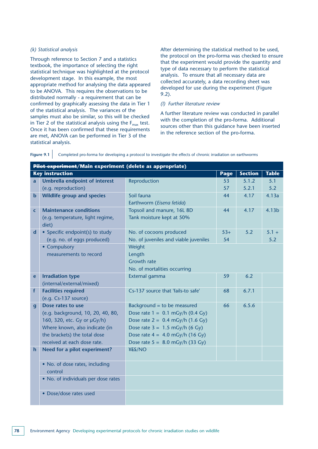#### *(k) Statistical analysis*

Through reference to Section 7 and a statistics textbook, the importance of selecting the right statistical technique was highlighted at the protocol development stage. In this example, the most appropriate method for analysing the data appeared to be ANOVA. This requires the observations to be distributed normally - a requirement that can be confirmed by graphically assessing the data in Tier 1 of the statistical analysis. The variances of the samples must also be similar, so this will be checked in Tier 2 of the statistical analysis using the  $F_{\text{max}}$  test. Once it has been confirmed that these requirements are met, ANOVA can be performed in Tier 3 of the statistical analysis.

After determining the statistical method to be used, the protocol on the pro-forma was checked to ensure that the experiment would provide the quantity and type of data necessary to perform the statistical analysis. To ensure that all necessary data are collected accurately, a data recording sheet was developed for use during the experiment (Figure 9.2).

#### *(l) Further literature review*

A further literature review was conducted in parallel with the completion of the pro-forma. Additional sources other than this guidance have been inserted in the reference section of the pro-forma.

|              | Pilot experiment/Main experiment (delete as appropriate) |                                       |       |                |              |  |
|--------------|----------------------------------------------------------|---------------------------------------|-------|----------------|--------------|--|
|              | <b>Key instruction</b>                                   |                                       | Page  | <b>Section</b> | <b>Table</b> |  |
| a            | <b>Umbrella endpoint of interest</b>                     | Reproduction                          | 53    | 5.1.2          | 5.1          |  |
|              | (e.g. reproduction)                                      |                                       | 57    | 5.2.1          | 5.2          |  |
| $\mathbf b$  | <b>Wildlife group and species</b>                        | Soil fauna                            | 44    | 4.17           | 4.13a        |  |
|              |                                                          | Earthworm (Eisena fetida)             |       |                |              |  |
| $\mathsf{C}$ | <b>Maintenance conditions</b>                            | Topsoil and manure, 16L 8D            | 44    | 4.17           | 4.13b        |  |
|              | (e.g. temperature, light regime,                         | Tank moisture kept at 50%             |       |                |              |  |
|              | diet)                                                    |                                       |       |                |              |  |
| d            | • Specific endpoint(s) to study                          | No. of cocoons produced               | $53+$ | 5.2            | $5.1 +$      |  |
|              | (e.g. no. of eggs produced)                              | No. of juveniles and viable juveniles | 54    |                | 5.2          |  |
|              | • Compulsory                                             | Weight                                |       |                |              |  |
|              | measurements to record                                   | Length                                |       |                |              |  |
|              |                                                          | <b>Growth rate</b>                    |       |                |              |  |
|              |                                                          | No. of mortalities occurring          |       |                |              |  |
| e            | <b>Irradiation type</b>                                  | External gamma                        | 59    | 6.2            |              |  |
|              | (internal/external/mixed)                                |                                       |       |                |              |  |
| f            | <b>Facilities required</b>                               | Cs-137 source that 'fails-to safe'    | 68    | 6.7.1          |              |  |
|              | $(e.q. Cs-137 source)$                                   |                                       |       |                |              |  |
| $\mathbf{g}$ | Dose rates to use                                        | Background = to be measured           | 66    | 6.5.6          |              |  |
|              | (e.g. background, 10, 20, 40, 80,                        | Dose rate $1 = 0.1$ mGy/h (0.4 Gy)    |       |                |              |  |
|              | 160, 320, etc. Gy or µGy/h)                              | Dose rate $2 = 0.4$ mGy/h (1.6 Gy)    |       |                |              |  |
|              | Where known, also indicate (in                           | Dose rate $3 = 1.5$ mGy/h (6 Gy)      |       |                |              |  |
|              | the brackets) the total dose                             | Dose rate $4 = 4.0$ mGy/h (16 Gy)     |       |                |              |  |
|              | received at each dose rate.                              | Dose rate $5 = 8.0$ mGy/h (33 Gy)     |       |                |              |  |
| $\mathbf h$  | Need for a pilot experiment?                             | ¥ES/NO                                |       |                |              |  |
|              |                                                          |                                       |       |                |              |  |
|              | • No. of dose rates, including                           |                                       |       |                |              |  |
|              | control                                                  |                                       |       |                |              |  |
|              | • No. of individuals per dose rates                      |                                       |       |                |              |  |
|              |                                                          |                                       |       |                |              |  |
|              | • Dose/dose rates used                                   |                                       |       |                |              |  |
|              |                                                          |                                       |       |                |              |  |

Figure 9.1 Completed pro-forma for developing a protocol to investigate the effects of chronic irradiation on earthworms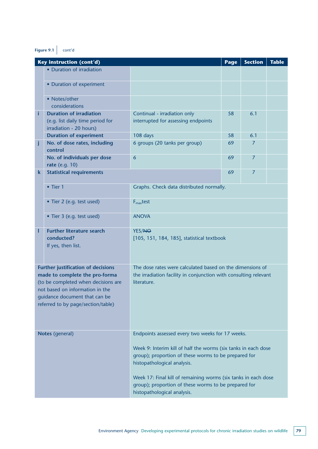## **Figure 9.1** cont'd

| <b>Key instruction (cont'd)</b>                                                               | Page                                                                                                                                                                                                                                                                                                                                | <b>Section</b>              | <b>Table</b>                             |  |  |  |
|-----------------------------------------------------------------------------------------------|-------------------------------------------------------------------------------------------------------------------------------------------------------------------------------------------------------------------------------------------------------------------------------------------------------------------------------------|-----------------------------|------------------------------------------|--|--|--|
| • Duration of irradiation                                                                     |                                                                                                                                                                                                                                                                                                                                     |                             |                                          |  |  |  |
| • Duration of experiment                                                                      |                                                                                                                                                                                                                                                                                                                                     |                             |                                          |  |  |  |
| • Notes/other<br>considerations                                                               |                                                                                                                                                                                                                                                                                                                                     |                             |                                          |  |  |  |
| <b>Duration of irradiation</b><br>(e.g. list daily time period for<br>irradiation - 20 hours) | Continual - irradiation only<br>interrupted for assessing endpoints                                                                                                                                                                                                                                                                 | 58                          | 6.1                                      |  |  |  |
| <b>Duration of experiment</b>                                                                 | 108 days                                                                                                                                                                                                                                                                                                                            | 58                          | 6.1                                      |  |  |  |
| No. of dose rates, including<br>control                                                       | 6 groups (20 tanks per group)                                                                                                                                                                                                                                                                                                       | 69                          | 7                                        |  |  |  |
| No. of individuals per dose<br>rate (e.g. 10)                                                 | 6                                                                                                                                                                                                                                                                                                                                   | 69                          | 7                                        |  |  |  |
| <b>Statistical requirements</b>                                                               |                                                                                                                                                                                                                                                                                                                                     | 69                          | $\overline{7}$                           |  |  |  |
| $\bullet$ Tier 1                                                                              |                                                                                                                                                                                                                                                                                                                                     |                             |                                          |  |  |  |
| • Tier 2 (e.g. test used)                                                                     | $F_{\text{max}}$ test                                                                                                                                                                                                                                                                                                               |                             |                                          |  |  |  |
| • Tier 3 (e.g. test used)                                                                     | <b>ANOVA</b>                                                                                                                                                                                                                                                                                                                        |                             |                                          |  |  |  |
| <b>Further literature search</b><br>conducted?<br>If yes, then list.                          | YES/NO<br>[105, 151, 184, 185], statistical textbook                                                                                                                                                                                                                                                                                |                             |                                          |  |  |  |
|                                                                                               | The dose rates were calculated based on the dimensions of<br>the irradiation facility in conjunction with consulting relevant<br>literature.                                                                                                                                                                                        |                             |                                          |  |  |  |
|                                                                                               | Endpoints assessed every two weeks for 17 weeks.<br>Week 9: Interim kill of half the worms (six tanks in each dose<br>group); proportion of these worms to be prepared for<br>histopathological analysis.<br>Week 17: Final kill of remaining worms (six tanks in each dose<br>group); proportion of these worms to be prepared for |                             |                                          |  |  |  |
|                                                                                               | <b>Further justification of decisions</b><br>made to complete the pro-forma<br>(to be completed when decisions are<br>not based on information in the<br>guidance document that can be<br>referred to by page/section/table)<br>Notes (general)                                                                                     | histopathological analysis. | Graphs. Check data distributed normally. |  |  |  |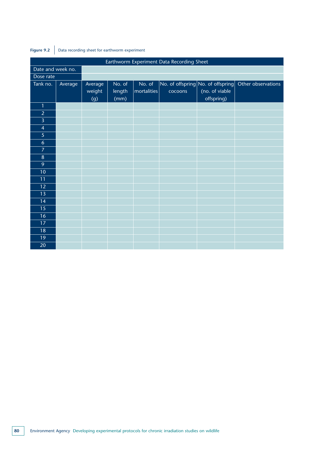| Earthworm Experiment Data Recording Sheet |         |                          |                          |                       |         |                                                                             |                    |
|-------------------------------------------|---------|--------------------------|--------------------------|-----------------------|---------|-----------------------------------------------------------------------------|--------------------|
| Date and week no.                         |         |                          |                          |                       |         |                                                                             |                    |
| Dose rate                                 |         |                          |                          |                       |         |                                                                             |                    |
| Tank no.                                  | Average | Average<br>weight<br>(g) | No. of<br>length<br>(mm) | No. of<br>mortalities | cocoons | $ No.$ of offspring $ No.$ of offspring $ $<br>(no. of viable<br>offspring) | Other observations |
| $\mathbf{1}$                              |         |                          |                          |                       |         |                                                                             |                    |
| $\overline{2}$                            |         |                          |                          |                       |         |                                                                             |                    |
| $\overline{3}$                            |         |                          |                          |                       |         |                                                                             |                    |
| $\overline{4}$                            |         |                          |                          |                       |         |                                                                             |                    |
| $\overline{5}$                            |         |                          |                          |                       |         |                                                                             |                    |
| $\boldsymbol{6}$                          |         |                          |                          |                       |         |                                                                             |                    |
| $\overline{7}$                            |         |                          |                          |                       |         |                                                                             |                    |
| $\bf 8$                                   |         |                          |                          |                       |         |                                                                             |                    |
| $\overline{9}$                            |         |                          |                          |                       |         |                                                                             |                    |
| 10                                        |         |                          |                          |                       |         |                                                                             |                    |
| 11                                        |         |                          |                          |                       |         |                                                                             |                    |
| 12                                        |         |                          |                          |                       |         |                                                                             |                    |
| 13                                        |         |                          |                          |                       |         |                                                                             |                    |
| 14                                        |         |                          |                          |                       |         |                                                                             |                    |
| 15                                        |         |                          |                          |                       |         |                                                                             |                    |
| 16                                        |         |                          |                          |                       |         |                                                                             |                    |
| 17                                        |         |                          |                          |                       |         |                                                                             |                    |
| 18                                        |         |                          |                          |                       |         |                                                                             |                    |
| 19                                        |         |                          |                          |                       |         |                                                                             |                    |
| 20                                        |         |                          |                          |                       |         |                                                                             |                    |

### **Figure 9.2** Data recording sheet for earthworm experiment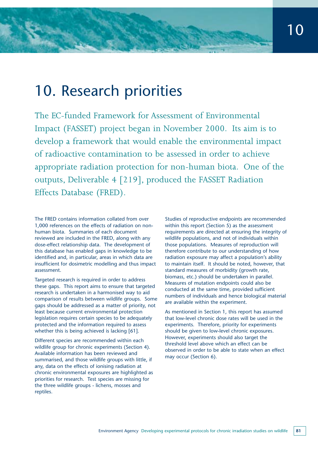## 10. Research priorities

The EC-funded Framework for Assessment of Environmental Impact (FASSET) project began in November 2000. Its aim is to develop a framework that would enable the environmental impact of radioactive contamination to be assessed in order to achieve appropriate radiation protection for non-human biota. One of the outputs, Deliverable 4 [219], produced the FASSET Radiation Effects Database (FRED).

The FRED contains information collated from over 1,000 references on the effects of radiation on nonhuman biota. Summaries of each document reviewed are included in the FRED, along with any dose-effect relationship data. The development of this database has enabled gaps in knowledge to be identified and, in particular, areas in which data are insufficient for dosimetric modelling and thus impact assessment.

Targeted research is required in order to address these gaps. This report aims to ensure that targeted research is undertaken in a harmonised way to aid comparison of results between wildlife groups. Some gaps should be addressed as a matter of priority, not least because current environmental protection legislation requires certain species to be adequately protected and the information required to assess whether this is being achieved is lacking [61].

Different species are recommended within each wildlife group for chronic experiments (Section 4). Available information has been reviewed and summarised, and those wildlife groups with little, if any, data on the effects of ionising radiation at chronic environmental exposures are highlighted as priorities for research. Test species are missing for the three wildlife groups - lichens, mosses and reptiles.

Studies of reproductive endpoints are recommended within this report (Section 5) as the assessment requirements are directed at ensuring the integrity of wildlife populations, and not of individuals within those populations. Measures of reproduction will therefore contribute to our understanding of how radiation exposure may affect a population's ability to maintain itself. It should be noted, however, that standard measures of morbidity (growth rate, biomass, etc.) should be undertaken in parallel. Measures of mutation endpoints could also be conducted at the same time, provided sufficient numbers of individuals and hence biological material are available within the experiment.

As mentioned in Section 1, this report has assumed that low-level chronic dose rates will be used in the experiments. Therefore, priority for experiments should be given to low-level chronic exposures. However, experiments should also target the threshold level above which an effect can be observed in order to be able to state when an effect may occur (Section 6).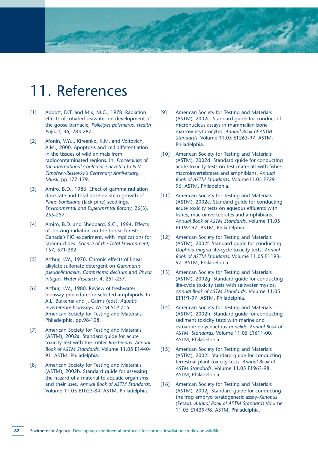## 11. References

- [1] Abbott, D.T. and Mix, M.C., 1978. Radiation effects of tritiated seawater on development of the goose barnacle, *Pollicipes polymerus. Health Physics,* 36**,** 283-287.
- [2] Afonin, V.Yu., Kireenko, K.M. and Voitovich, A.M., 2000. Apoptosis and cell differentiation in the tissues of wild animals from radiocontaminated regions. In: *Proceedings of the International Conference devoted to N.V. Timofeev-Ressovky's Centenary Anniversary, Minsk*. pp.177-179.
- [3] Amiro, B.D., 1986. Effect of gamma radiation dose rate and total dose on stem growth of *Pinus banksiana* (Jack pine) seedlings. *Environmental and Experimental Botany*, 26(3), 255-257.
- [4] Amiro, B.D. and Sheppard, S.C., 1994. Effects of ionizing radiation on the boreal forest: Canada's FIG experiment, with implications for radionuclides. *Science of the Total Environment*, 157, 371-382.
- [5] Arthur, J.W., 1970. Chronic effects of linear alkylate sulfonate detergent on *Gammarus pseudolimnaeus*, *Campeloma decisum* and *Physa integra*. *Water Research*, 4, 251-257.
- [6] Arthur, J.W., 1980. Review of freshwater bioassay procedure for selected amphipods. In: A.L. Buikema and J. Cairns (eds). *Aquatic invertebrate bioassays*. ASTM STP 715. American Society for Testing and Materials, Philadelphia. pp.98-108.
- [7] American Society for Testing and Materials (ASTM), 2002a. Standard guide for acute toxicity test with the rotifer *Brachionus. Annual Book of ASTM Standards.* Volume 11.05 E1440- 91. ASTM, Philadelphia.
- [8] American Society for Testing and Materials (ASTM), 2002b. Standard guide for assessing the hazard of a material to aquatic organisms and their uses. *Annual Book of ASTM Standards*. Volume 11.05 E1023-84. ASTM, Philadelphia.
- [9] American Society for Testing and Materials (ASTM), 2002c. Standard guide for conduct of micronucleus assays in mammalian bone marrow erythrocytes. *Annual Book of ASTM Standards*. Volume 11.05 E1263-97. ASTM, Philadelphia.
- [10] American Society for Testing and Materials (ASTM), 2002d. Standard guide for conducting acute toxicity tests on test materials with fishes, macroinvertebrates and amphibians. *Annual Book of ASTM Standards*. Volume11.05 E729- 96. ASTM, Philadelphia.
- [11] American Society for Testing and Materials (ASTM), 2002e. Standard guide for conducting acute toxicity tests on aqueous effluents with fishes, macroinvertebrates and amphibians. *Annual Book of ASTM Standards*. Volume 11.05 E1192-97. ASTM, Philadelphia.
- [12] American Society for Testing and Materials (ASTM), 2002f. Standard guide for conducting *Daphnia magna* life-cycle toxicity tests. *Annual Book of ASTM Standards*. Volume 11.05 E1193- 97. ASTM, Philadelphia.
- [13] American Society for Testing and Materials (ASTM), 2002g. Standard guide for conducting life-cycle toxicity tests with saltwater mysids. *Annual Book of ASTM Standards*. Volume 11.05 E1191-97. ASTM, Philadelphia.
- [14] American Society for Testing and Materials (ASTM), 2002h. Standard guide for conducting sediment toxicity tests with marine and estuarine polychaetous *annelids. Annual Book of ASTM Standards*. Volume 11.05 E1611-00. ASTM, Philadelphia.
- [15] American Society for Testing and Materials (ASTM), 2002i. Standard guide for conducting terrestrial plant toxicity tests. *Annual Book of ASTM Standards*. Volume 11.05 E1963-98. ASTM, Philadelphia.
- [16] American Society for Testing and Materials (ASTM), 2002j. Standard guide for conducting the frog embryo teratogenesis assay-*Xenopus* (Fetax). *Annual Book of ASTM Standards* Volume 11.05 E1439-98. ASTM, Philadelphia.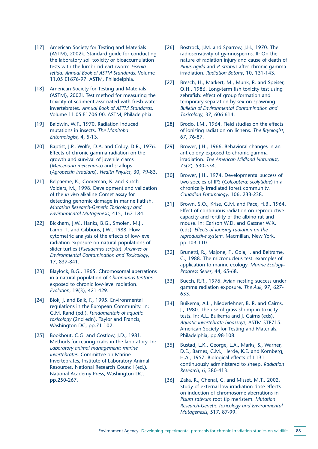- [17] American Society for Testing and Materials (ASTM), 2002k. Standard guide for conducting the laboratory soil toxicity or bioaccumulation tests with the lumbricid earthworm *Eisenia fetida*. *Annual Book of ASTM Standards*. Volume 11.05 E1676-97. ASTM, Philadelphia.
- [18] American Society for Testing and Materials (ASTM), 2002l. Test method for measuring the toxicity of sediment-associated with fresh water invertebrates. *Annual Book of ASTM Standards*. Volume 11.05 E1706-00. ASTM, Philadelphia.
- [19] Baldwin, W.F., 1970. Radiation induced mutations in insects. *The Manitoba Entomologist*, 4, 5-13.
- [20] Baptist, J.P., Wolfe, D.A. and Colby, D.R., 1976. Effects of chronic gamma radiation on the growth and survival of juvenile clams (*Mercenaria mercenaria*) and scallops (*Agropectin irradians*). *Health Physics*, 30, 79-83.
- [21] Belpaeme, K., Cooreman, K. and Kirsch-Volders, M., 1998. Development and validation of the *in vivo* alkaline Comet assay for detecting genomic damage in marine flatfish. *Mutation Research-Genetic Toxicology and Environmental Mutagenesis*, 415, 167-184.
- [22] Bickham, J.W., Hanks, B.G., Smolen, M.J., Lamb, T. and Gibbons, J.W., 1988. Flow cytometric analysis of the effects of low-level radiation exposure on natural populations of slider turtles (*Pseudemys scripta*). *Archives of Environmental Contamination and Toxicology*, 17, 837-841.
- [23] Blaylock, B.G., 1965. Chromosomal aberrations in a natural population of *Chironomus tentans* exposed to chronic low-level radiation. *Evolution*, 19(3), 421-429.
- [24] Blok, J. and Balk, F., 1995. Environmental regulations in the European Community. In: G.M. Rand (ed.). *Fundamentals of aquatic toxicology* (2nd edn). Taylor and Francis, Washington DC, pp.71-102.
- [25] Bookhout, C.G. and Costlow, J.D., 1981. Methods for rearing crabs in the laboratory. In: *Laboratory animal management: marine invertebrates*. Committee on Marine Invertebrates, Institute of Laboratory Animal Resources, National Research Council (ed.). National Academy Press, Washington DC, pp.250-267.
- [26] Bostrock, J.M. and Sparrow, J.H., 1970. The radiosensitivity of gymnosperms. II: On the nature of radiation injury and cause of death of *Pinus rigida* and *P. strobus* after chronic gamma irradiation. *Radiation Botany*, 10, 131-143.
- [27] Bresch, H., Markert, M., Munk, R. and Speiser, O.H., 1986. Long-term fish toxicity test using zebrafish: effect of group formation and temporary separation by sex on spawning. *Bulletin of Environmental Contamination and Toxicology*, 37, 606-614.
- [28] Brodo, I.M., 1964. Field studies on the effects of ionizing radiation on lichens. *The Bryologist*, 67, 76-87.
- [29] Brower, J.H., 1966. Behavioral changes in an ant colony exposed to chronic gamma irradiation. *The American Midland Naturalist,* 75(2), 530-534.
- [30] Brower, J.H., 1974. Developmental success of two species of IPS (*Coleoptera: scolytidae*) in a chronically irradiated forest community. *Canadian Entomology*, 106, 233-238.
- [31] Brown, S.O., Krise, G.M. and Pace, H.B., 1964. Effect of continuous radiation on reproductive capacity and fertility of the albino rat and mouse. In: Carlson W.D. and Gassner W.X. (eds). *Effects of ionising radiation on the reproductive system*. Macmillan, New York. pp.103-110.
- [32] Brunetti, R., Majone, F., Gola, I. and Beltrame, C., 1988. The micronucleus test: examples of application to marine ecology. *Marine Ecology-Progress Series*, 44, 65-68.
- [33] Buech, R.R., 1976. Avian nesting success under gamma radiation exposure. *The Auk*, 97, 627- 633.
- [34] Buikema, A.L., Niederlehner, B. R. and Cairns, J., 1980. The use of grass shrimp in toxicity tests. In: A.L. Buikema and J. Cairns (eds). *Aquatic invertebrate bioassays*, ASTM STP715. American Society for Testing and Materials, Philadelphia, pp.98-108.
- [35] Bustad, L.K., George, L.A., Marks, S., Warner, D.E., Barnes, C.M., Herde, K.E. and Kornberg, H.A., 1957. Biological effects of I-131 continuously administered to sheep. *Radiation Research*, 6, 380-413.
- [36] Zaka, R., Chenal, C. and Misset, M.T., 2002. Study of external low irradiation dose effects on induction of chromosome aberrations in *Pisum sativum* root tip meristem. *Mutation Research-Genetic Toxicology and Environmental Mutagenesis*, 517, 87-99.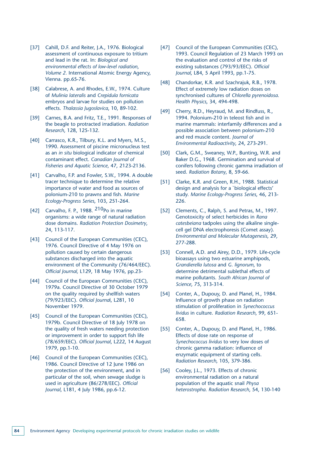- [37] Cahill, D.F. and Reiter, J.A., 1976. Biological assessment of continuous exposure to tritium and lead in the rat. In: *Biological and environmental effects of low-level radiation*, *Volume 2.* International Atomic Energy Agency, Vienna. pp.65-76.
- [38] Calabrese, A. and Rhodes, E.W., 1974. Culture of *Mulinia lateralis* and *Crepidula fornicata* embryos and larvae for studies on pollution effects. *Thalassia Jugoslavica*, 10, 89-102.
- [39] Carnes, B.A. and Fritz, T.E., 1991. Responses of the beagle to protracted irradiation. *Radiation Research*, 128, 125-132.
- [40] Carrasco, K.R., Tilbury, K.L. and Myers, M.S., 1990. Assessment of piscine micronucleus test as an *in situ* biological indicator of chemical contaminant effect. *Canadian Journal of Fisheries and Aquatic Science*, 47, 2123-2136.
- [41] Carvalho, F.P. and Fowler, S.W., 1994. A double tracer technique to determine the relative importance of water and food as sources of polonium-210 to prawns and fish. *Marine Ecology-Progress Series*, 103, 251-264.
- [42] Carvalho, F. P., 1988. 210Po in marine organisms: a wide range of natural radiation dose domains. *Radiation Protection Dosimetry*, 24, 113-117.
- [43] Council of the European Communities (CEC), 1976. Council Directive of 4 May 1976 on pollution caused by certain dangerous substances discharged into the aquatic environment of the Community (76/464/EEC). *Official Journal,* L129, 18 May 1976, pp.23-
- [44] Council of the European Communities (CEC), 1979a. Council Directive of 30 October 1979 on the quality required by shellfish waters (79/923/EEC). *Official Journa*l, L281, 10 November 1979.
- [45] Council of the European Communities (CEC), 1979b. Council Directive of 18 July 1978 on the quality of fresh waters needing protection or improvement in order to support fish life (78/659/EEC). *Official Journal*, L222, 14 August 1979, pp.1-10.
- [46] Council of the European Communities (CEC), 1986. Council Directive of 12 June 1986 on the protection of the environment, and in particular of the soil, when sewage sludge is used in agriculture (86/278/EEC). *Official Journal*, L181, 4 July 1986, pp.6-12.
- [47] Council of the European Communities (CEC), 1993. Council Regulation of 23 March 1993 on the evaluation and control of the risks of existing substances (793/93/EEC). *Official Journal*, L84, 5 April 1993, pp.1-75.
- [48] Chandorkar, K.R. and Szachrajuk, R.B., 1978. Effect of extremely low radiation doses on synchronised cultures of *Chlorella pyrenoidosa*. *Health Physics*, 34, 494-498.
- [49] Cherry, R.D., Heyraud, M. and Rindfuss, R., 1994. Polonium-210 in teleost fish and in marine mammals: interfamily differences and a possible association between polonium-210 and red muscle content. *Journal of Environmental Radioactivity*, 24, 273-291.
- [50] Clark, G.M., Sweaney, W.P., Bunting, W.R. and Baker D.G., 1968. Germination and survival of conifers following chronic gamma irradiation of seed. *Radiation Botany*, 8, 59-66.
- [51] Clarke, K.R. and Green, R.H., 1988. Statistical design and analysis for a `biological effects' study. *Marine Ecology-Progress Series*, 46, 213- 226.
- [52] Clements, C., Ralph, S. and Petras, M., 1997. Genotoxicity of select herbicides in *Rana catesbeiana* tadpoles using the alkaline singlecell gel DNA electrophoresis (Comet assay). *Environmental and Molecular Mutagenesis*, 29, 277-288.
- [53] Connell, A.D. and Airey, D.D., 1979. Life-cycle bioassays using two estuarine amphipods, *Grandierella lutosa* and *G. lignorum*, to determine detrimental sublethal effects of marine pollutants. *South African Journal of Science*, 75, 313-314.
- [54] Conter, A., Dupouy, D. and Planel, H., 1984. Influence of growth phase on radiation stimulation of proliferation in *Synechococcus lividus* in culture. *Radiation Research*, 99, 651- 658.
- [55] Conter, A., Dupouy, D. and Planel, H., 1986. Effects of dose rate on response of *Synechococcus lividus* to very low doses of chronic gamma radiation: influence of enzymatic equipment of starting cells. *Radiation Research*, 105, 379-386.
- [56] Cooley, J.L., 1973. Effects of chronic environmental radiation on a natural population of the aquatic snail *Physa heterostropha*. *Radiation Research*, 54, 130-140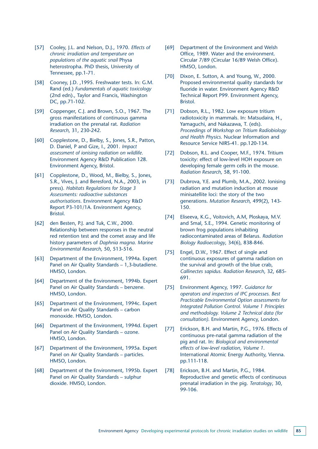- [57] Cooley, J.L. and Nelson, D.J., 1970. *Effects of chronic irradiation and temperature on populations of the aquatic snail* Physa heterostropha. PhD thesis, University of Tennessee, pp.1-71.
- [58] Cooney, J.D. ,1995. Freshwater tests. In: G.M. Rand (ed.) *Fundamentals of aquatic toxicology* (2nd edn)., Taylor and Francis, Washington DC, pp.71-102.
- [59] Coppenger, C.J. and Brown, S.O., 1967. The gross manifestations of continuous gamma irradiation on the prenatal rat. *Radiation Research*, 31, 230-242.
- [60] Copplestone, D., Bielby, S., Jones, S.R., Patton, D. Daniel, P and Gize, I., 2001. *Impact assessment of ionising radiation on wildlife*. Environment Agency R&D Publication 128. Environment Agency, Bristol.
- [61] Copplestone, D., Wood, M., Bielby, S., Jones, S.R., Vives, J. and Beresford, N.A., 2003, in press). *Habitats Regulations for Stage 3 Assessments: radioactive substances authorisations*. Environment Agency R&D Report P3-101/1A. Environment Agency, Bristol.
- [62] den Besten, P.J. and Tuk, C.W., 2000. Relationship between responses in the neutral red retention test and the comet assay and life history parameters of *Daphnia magna*. *Marine Environmental Research*, 50, 513-516.
- [63] Department of the Environment, 1994a. Expert Panel on Air Quality Standards – 1,3-butadiene. HMSO, London.
- [64] Department of the Environment, 1994b. Expert Panel on Air Quality Standards – benzene. HMSO, London.
- [65] Department of the Environment, 1994c. Expert Panel on Air Quality Standards – carbon monoxide. HMSO, London.
- [66] Department of the Environment, 1994d. Expert Panel on Air Quality Standards – ozone. HMSO, London.
- [67] Department of the Environment, 1995a. Expert Panel on Air Quality Standards – particles. HMSO, London.
- [68] Department of the Environment, 1995b. Expert Panel on Air Quality Standards – sulphur dioxide. HMSO, London.
- [69] Department of the Environment and Welsh Office, 1989. Water and the environment. Circular 7/89 (Circular 16/89 Welsh Office). HMSO, London.
- [70] Dixon, E. Sutton, A. and Young, W., 2000. Proposed environmental quality standards for fluoride in water. Environment Agency R&D Technical Report P99. Environment Agency, Bristol.
- [71] Dobson, R.L., 1982. Low exposure tritium radiotoxicity in mammals. In: Matsudaira, H., Yamaguchi, and Nakazawa, T. (eds). *Proceedings of Workshop on Tritium Radiobiology and Health Physics*. Nuclear Information and Resource Service NIRS-41. pp.120-134.
- [72] Dobson, R.L. and Cooper, M.F., 1974. Tritium toxicity: effect of low-level HOH exposure on developing female germ cells in the mouse. *Radiation Research*, 58, 91-100.
- [73] Dubrova, Y.E. and Plumb, M.A., 2002. Ionising radiation and mutation induction at mouse minisatellite loci: the story of the two generations. *Mutation Research*, 499(2), 143- 150.
- [74] Eliseeva, K.G., Voitovich, A.M, Ploskaya, M.V. and Smal, S.E., 1994. Genetic monitoring of brown frog populations inhabiting radiocontaminated areas of Belarus. *Radiation Biology Radioecology*, 34(6), 838-846.
- [75] Engel, D.W., 1967. Effect of single and continuous exposures of gamma radiation on the survival and growth of the blue crab, *Callinectes sapidus. Radiation Research*, 32, 685- 691.
- [75] Environment Agency, 1997. *Guidance for operators and inspectors of IPC processes. Best Practicable Environmental Option assessments for Integrated Pollution Control. Volume 1 Principles and methodology. Volume 2 Technical data (for consultation)*. Environment Agency, London.
- [77] Erickson, B.H. and Martin, P.G., 1976. Effects of continuous pre-natal gamma radiation of the pig and rat. In: *Biological and environmental effects of low-level radiation*, *Volume 1*. International Atomic Energy Authority, Vienna. pp.111-118.
- [78] Erickson, B.H. and Martin, P.G., 1984. Reproductive and genetic effects of continuous prenatal irradiation in the pig. *Teratology*, 30, 99-106.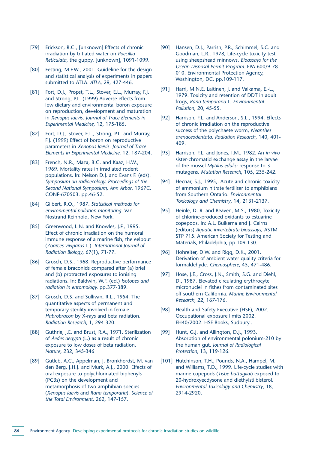- [79] Erickson, R.C., [unknown] Effects of chronic irradiation by tritiated water on *Poecillia Reticulata*, the guppy. [unknown], 1091-1099.
- [80] Festing, M.F.W., 2001. Guideline for the design and statistical analysis of experiments in papers submitted to ATLA*. ATLA*, 29, 427-446.
- [81] Fort, D.J., Propst, T.L., Stover, E.L., Murray, F.J. and Strong, P.L. (1999) Adverse effects from low dietary and environmental boron exposure on reproduction, development and maturation in *Xenopus laevis*. *Journal of Trace Elements in Experimental Medicine*, 12, 175-185.
- [82] Fort, D.J., Stover, E.L., Strong, P.L. and Murray, F.J. (1999) Effect of boron on reproductive parameters in *Xenopus laevis*. *Journal of Trace Elements in Experimental Medicine*, 12, 187-204.
- [83] French, N.R., Maza, B.G. and Kaaz, H.W., 1969. Mortality rates in irradiated rodent populations. In: Nelson D.J. and Evans F. (eds). *Symposium on radioecology. Proceedings of the Second National Symposium, Ann Arbor*. 1967C. CONF-670503. pp.46-52.
- [84] Gilbert, R.O., 1987. *Statistical methods for environmental pollution monitoring.* Van Nostrand Reinhold, New York.
- [85] Greenwood, L.N. and Knowles, J.F., 1995. Effect of chronic irradiation on the humoral immune response of a marine fish, the eelpout (*Zoarces viviparus* L.). *International Journal of Radiation Biology*, 67(1), 71-77.
- [86] Grosch, D.S., 1968. Reproductive performance of female braconids compared after (a) brief and (b) protracted exposures to ionising radiations. In: Baldwin, W.F. (ed.) *Isotopes and radiation in entomology.* pp.377-389.
- [87] Grosch, D.S. and Sullivan, R.L., 1954. The quantitative aspects of permanent and temporary sterility involved in female *Habrobracon* by X-rays and beta radiation. *Radiation Research*, 1, 294-320.
- [88] Guthrie, J.E. and Brust, R.A., 1971. Sterilization of *Aedes aegypti* (L.) as a result of chronic exposure to low doses of beta radiation. *Nature*, 232, 345-346
- [89] Gutleb, A.C., Appelman, J. Bronkhordst, M. van den Berg, J.H.J. and Murk, A.J., 2000. Effects of oral exposure to polychlorinated biphenyls (PCBs) on the development and metamorphosis of two amphibian species (*Xenopus laevis* and *Rana temporaria*). *Science of the Total Environment*, 262, 147-157.
- [90] Hansen, D.J., Parrish, P.R., Schimmel, S.C. and Goodman, L.R., 1978, Life-cycle toxicity test using sheepshead minnows. *Bioassays for the Ocean Disposal Permit Program*. EPA-600/9-78- 010. Environmental Protection Agency, Washington, DC, pp.109-117.
- [91] Harri, M.N.E, Laitinen, J. and Valkama, E.-L., 1979. Toxicity and retention of DDT in adult frogs, *Rana temporaria* L. *Environmental Pollution*, 20, 45-55.
- [92] Harrison, F.L. and Anderson, S.L., 1994. Effects of chronic irradiation on the reproductive success of the polychaete worm, *Neanthes arenaceodentata. Radiation Research*, 140, 401- 409.
- [93] Harrison, F.L. and Jones, I.M., 1982. An *in vivo* sister-chromatid exchange assay in the larvae of the mussel *Mytilus edulis*: response to 3 mutagens. *Mutation Research*, 105, 235-242.
- [94] Hecnar, S.J., 1995,. Acute and chronic toxicity of ammonium nitrate fertiliser to amphibians from Southern Ontario. *Environmental Toxicology and Chemistry*, 14, 2131-2137.
- [95] Heinle, D. R. and Beaven, M.S., 1980, Toxicity of chlorine-produced oxidants to estuarine copepods. In: A.L. Buikema and J. Cairns (editors) *Aquatic invertebrate bioassays*, ASTM STP 715. American Society for Testing and Materials, Philadelphia, pp.109-130.
- [96] Hohreiter, D.W. and Rigg, D.K., 2001. Derivation of ambient water quality criteria for formaldehyde. *Chemosphere*, 45, 471-486.
- [97] Hose, J.E., Cross, J.N., Smith, S.G. and Diehl, D., 1987. Elevated circulating erythrocyte micronuclei in fishes from contaminated sites off southern California. *Marine Environmental Research*, 22, 167-176.
- [98] Health and Safety Executive (HSE), 2002. Occupational exposure limits 2002. EH40/2002. HSE Books, Sudbury..
- [99] Hunt, G.J. and Allington, D.J., 1993. Absorption of environmental polonium-210 by the human gut. *Journal of Radiological Protection*, 13, 119-126.
- [101] Hutchinson, T.H., Pounds, N.A., Hampel, M. and Williams, T.D., 1999. Life-cycle studies with marine copepods (*Tisbe battagliai*) exposed to 20-hydroxyecdysone and diethylstilbisterol. *Environmental Toxicology and Chemistry*, 18, 2914-2920.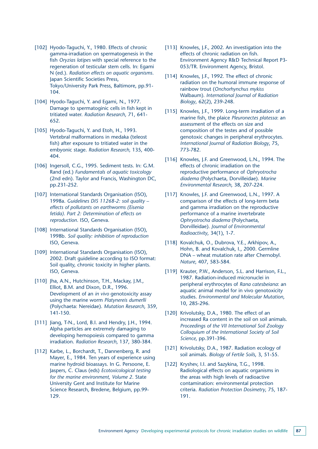- [102] Hyodo-Taguchi, Y., 1980. Effects of chronic gamma-irradiation on spermatogenesis in the fish *Oryzias latipes* with special reference to the regeneration of testicular stem cells. In: Egami N (ed.). *Radiation effects on aquatic organisms*. Japan Scientific Societies Press, Tokyo/University Park Press, Baltimore, pp.91- 104.
- [104] Hyodo-Taguchi, Y. and Egami, N., 1977. Damage to spermatoginic cells in fish kept in tritiated water. *Radiation Research*, 71, 641- 652.
- [105] Hyodo-Taguchi, Y. and Etoh, H., 1993. Vertebral malformations in medaka (teleost fish) after exposure to tritiated water in the embyonic stage. *Radiation Research,* 135, 400- 404.
- [106] Ingersoll, C.G., 1995. Sediment tests. In: G.M. Rand (ed.) *Fundamentals of aquatic toxicology* (2nd edn). Taylor and Francis, Washington DC, pp.231-252.
- [107] International Standards Organisation (ISO), 1998a. *Guidelines DIS 11268-2: soil quality – effects of pollutants on earthworms (Eisenia fetida). Part 2: Determination of effects on reproduction*. ISO, Geneva.
- [108] International Standards Organisation (ISO), 1998b. *Soil quality: inhibition of reproduction* ISO, Geneva.
- [109] International Standards Organisation (ISO), 2002. Draft guideline according to ISO format: Soil quality, chronic toxicity in higher plants. ISO, Geneva.
- [110] Jha, A.N., Hutchinson, T.H., Mackay, J.M., Elliot, B.M. and Dixon, D.R., 1996. Development of an *in vivo* genotoxicity assay using the marine worm *Platynereis dumerlli* (Polychaeta: Nereidae). *Mutation Research*, 359, 141-150.
- [111] Jiang, T-N., Lord, B.I. and Hendry, J.H., 1994. Alpha particles are extremely damaging to developing hemopoiesis compared to gamma irradiation. *Radiation Research*, 137, 380-384.
- [112] Karbe, L., Borchardt, T., Dannenberg, R. and Mayer, E., 1984. Ten years of experience using marine hydroid bioassays. In G. Persoone, E. Jaspers, C. Claus (eds) *Ecotoxicological testing for the marine environment, Volume 2*. State University Gent and Institute for Marine Science Research, Bredene, Belgium, pp.99- 129.
- [113] Knowles, J.F., 2002. An investigation into the effects of chronic radiation on fish. Environment Agency R&D Technical Report P3- 053/TR. Environment Agency, Bristol.
- [114] Knowles, J.F., 1992. The effect of chronic radiation on the humoral immune response of rainbow trout (*Onchorhynchus mykiss* Walbaum). *International Journal of Radiation Biology*, 62(2), 239-248.
- [115] Knowles, J.F., 1999. Long-term irradiation of a marine fish, the plaice *Pleuronectes platessa*: an assessment of the effects on size and composition of the testes and of possible genotoxic changes in peripheral erythrocytes. *International Journal of Radiation Biology*, 75, 773-782.
- [116] Knowles, J.F. and Greenwood, L.N., 1994. The effects of chronic irradiation on the reproductive performance of *Ophryotrocha diadema* (Polychaeta, Dorvilleidae). *Marine Environmental Research*, 38, 207-224.
- [117] Knowles, J.F. and Greenwood, L.N., 1997. A comparison of the effects of long-term beta and gamma irradiation on the reproductive performance of a marine invertebrate *Ophryotrocha diadema* (Polychaeta, Dorvilleidae). *Journal of Environmental Radioactivity*, 34(1), 1-7.
- [118] Kovalchuk, O., Dubrova, Y.E., Arkhipov, A., Hohn, B. and Kovalchuk, I., 2000. Germline DNA – wheat mutation rate after Chernobyl. *Nature*, 407, 583-584.
- [119] Krauter, P.W., Anderson, S.L. and Harrison, F.L., 1987. Radiation-induced micronuclei in peripheral erythrocytes of *Rana catesbeiana*: an aquatic animal model for in vivo genotoxicity studies. *Environmental and Molecular Mutation*, 10, 285-296.
- [120] Krivolutsky, D.A., 1980. The effect of an increased Ra content in the soil on soil animals. *Proceedings of the VII International Soil Zoology Colloquium of the International Society of Soil Science*, pp.391-396.
- [121] Krivolutsky, D.A., 1987. Radiation ecology of soil animals. *Biology of Fertile Soils*, 3, 51-55.
- [122] Kryshev, I.I. and Sazykina, T.G., 1998. Radiological effects on aquatic organisms in the areas with high levels of radioactive contamination: environmental protection criteria. *Radiation Protection Dosimetry*, 75, 187- 191.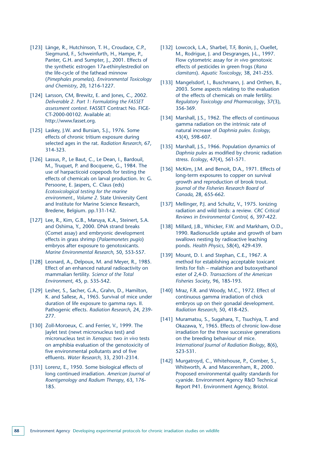- [123] Länge, R., Hutchinson, T. H., Croudace, C.P., Siegmund, F., Schweinfurth, H., Hampe, P., Panter, G.H. and Sumpter, J., 2001. Effects of the synthetic estrogen 17a-ethinylestrediol on the life-cycle of the fathead minnow (*Pimephales promelas*). *Environmental Toxicology and Chemistry*, 20, 1216-1227.
- [124] Larsson, CM, Brewitz, E. and Jones, C., 2002. *Deliverable 2. Part 1: Formulating the FASSET assessment context.* FASSET Contract No. FIGE-CT-2000-00102. Available at: http://www.fasset.org.
- [125] Laskey, J.W. and Bursian, S.J., 1976. Some effects of chronic tritium exposure during selected ages in the rat. *Radiation Research*, 67, 314-323.
- [126] Lassus, P., Le Baut, C., Le Dean, I., Bardouil, M., Truquet, P. and Bocquene, G., 1984. The use of harpacticoid copepods for testing the effects of chemicals on larval production. In: G. Persoone, E. Jaspers, C. Claus (eds) *Ecotoxicological testing for the marine environment.*, *Volume 2*. State University Gent and Institute for Marine Science Research, Bredene, Belgium. pp.131-142.
- [127] Lee, R., Kim, G.B., Maruya, K.A., Steinert, S.A. and Oshima, Y., 2000. DNA strand breaks (Comet assay) and embryonic development effects in grass shrimp (*Palaemonetes pugio*) embryos after exposure to genotoxicants. *Marine Environmental Research*, 50, 553-557.
- [128] Leonard, A., Delpoux, M. and Meyer, R., 1985. Effect of an enhanced natural radioactivity on mammalian fertility. *Science of the Total Environment*, 45, p. 535-542.
- [129] Lesher, S., Sacher, G.A., Grahn, D., Hamilton, K. and Sallese, A., 1965. Survival of mice under duration of life exposure to gamma rays. II. Pathogenic effects. *Radiation Research*, 24, 239- 277.
- [130] Zoll-Moroeux, C. and Ferrier, V., 1999. The Jaylet test (newt micronucleus test) and micronucleus test in *Xenopus*: two *in vivo* tests on amphibia evaluation of the genotoxicity of five environmental pollutants and of five effluents. *Water Research*, 33, 2301-2314.
- [131] Lorenz, E., 1950. Some biological effects of long continued irradiation. *American Journal of Roentgenology and Radium Therapy*, 63, 176- 185.
- [132] Lowcock, L.A., Sharbel, T.F, Bonin, J., Ouellet, M., Rodrigue, J. and Desgranges, J-L., 1997. Flow cytometric assay for *in vivo* genotoxic effects of pesticides in green frogs (*Rana clamitans*). *Aquatic Toxicology*, 38, 241-255.
- [133] Mangelsdorf, I., Buschmann, J. and Orthen, B., 2003. Some aspects relating to the evaluation of the effects of chemicals on male fertility. *Regulatory Toxicology and Pharmacology*, 37(3), 356-369.
- [134] Marshall, J.S., 1962. The effects of continuous gamma radiation on the intrinsic rate of natural increase of *Daphnia pulex*. *Ecology*, 43(4), 598-607.
- [135] Marshall, J.S., 1966. Population dynamics of *Daphnia pulex* as modified by chronic radiation stress. *Ecology*, 47(4), 561-571.
- [136] McKim, J.M. and Benoit, D.A., 1971. Effects of long-term exposures to copper on survival growth and reproduction of brook trout. *Journal of the Fisheries Research Board of Canada*, 28, 655-662.
- [137] Mellinger, P.J. and Schultz, V., 1975. Ionizing radiation and wild birds: a review*. CRC Critical Reviews in Environmental Control,* 6, 397-422.
- [138] Millard, J.B., Whicker, F.W. and Markham, O.D., 1990. Radionuclide uptake and growth of barn swallows nesting by radioactive leaching ponds. *Health Physics*, 58(4), 429-439.
- [139] Mount, D. I. and Stephan, C.E., 1967. A method for establishing acceptable toxicant limits for fish – malathion and butoxyethanol ester of 2,4-D. *Transactions of the American Fisheries Society*, 96, 185-193.
- [140] Mraz, F.R. and Woody, M.C., 1972. Effect of continuous gamma irradiation of chick embryos up on their gonadal development. *Radiation Research*, 50, 418-425.
- [141] Muramatsu, S., Sugahara, T., Tsuchiya, T. and Okazawa, Y., 1965. Effects of chronic low-dose irradiation for the three successive generations on the breeding behaviour of mice. *International Journal of Radiation Biology*, 8(6), 523-531.
- [142] Murgatroyd, C., Whitehouse, P., Comber, S., Whitworth, A. and Mascerenham, R., 2000. Proposed environmental quality standards for cyanide. Environment Agency R&D Technical Report P41. Environment Agency, Bristol.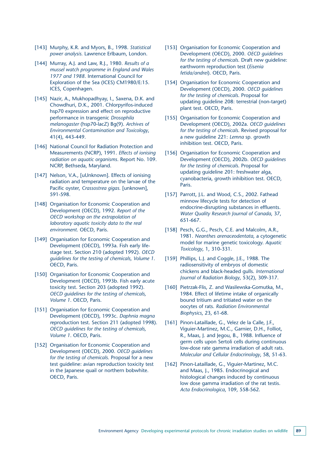- [143] Murphy, K.R. and Myors, B., 1998. *Statistical power analysis.* Lawrence Erlbaum, London.
- [144] Murray, A.J. and Law, R.J., 1980. *Results of a mussel watch programme in England and Wales 1977 and 1988*. International Council for Exploration of the Sea (ICES) CM1980/E:15. ICES, Copenhagen.
- [145] Nazir, A., Mukhopadhyay, I., Saxena, D.K. and Chowdhuri, D.K., 2001. Chlorpyrifos-induced hsp70 expression and effect on reproductive performance in transgenic *Drosophila melanogaster* (hsp70-lacZ) Bg(9). *Archives of Environmental Contamination and Toxicology*, 41(4), 443-449.
- [146] National Council for Radiation Protection and Measurements (NCRP), 1991. *Effects of ionising radiation on aquatic organisms*. Report No. 109. NCRP, Bethseda, Maryland.
- [147] Nelson, V.A., [uUnknown]. Effects of ionising radiation and temperature on the larvae of the Pacific oyster, *Crassostrea gigas.* [unknown], 591-598.
- [148] Organisation for Economic Cooperation and Development (OECD), 1992. *Report of the OECD workshop on the extrapolation of laboratory aquatic toxicity data to the real environment*. OECD, Paris.
- [149] Organisation for Economic Cooperation and Development (OECD), 1993a. Fish early lifestage test. Section 210 (adopted 1992). *OECD guidelines for the testing of chemicals, Volume 1*. OECD, Paris.
- [150] Organisation for Economic Cooperation and Development (OECD), 1993b. Fish early acute toxicity test. Section 203 (adopted 1992). *OECD guidelines for the testing of chemicals, Volume 1*. OECD, Paris.
- [151] Organisation for Economic Cooperation and Development (OECD), 1993c. *Daphnia magna r*eproduction test. Section 211 (adopted 1998). *OECD guidelines for the testing of chemicals, Volume 1*. OECD, Paris.
- [152] Organisation for Economic Cooperation and Development (OECD), 2000. *OECD guidelines for the testing of chemicals*. Proposal for a new test guideline: avian reproduction toxicity test in the Japanese quail or northern bobwhite. OECD, Paris.
- [153] Organisation for Economic Cooperation and Development (OECD), 2000. *OECD guidelines for the testing of chemicals*. Draft new guideline: earthworm reproduction test (*Eisenia fetida/andrei*). OECD, Paris.
- [154] Organisation for Economic Cooperation and Development (OECD), 2000. *OECD guidelines for the testing of chemicals*. Proposal for updating guideline 208: terrestrial (non-target) plant test. OECD, Paris.
- [155] Organisation for Economic Cooperation and Development (OECD), 2002a. *OECD guidelines for the testing of chemicals*. Revised proposal for a new guideline 221: *Lemna* sp. growth inhibition test. OECD, Paris.
- [156] Organisation for Economic Cooperation and Development (OECD), 2002b. *OECD guidelines for the testing of chemicals*. Proposal for updating guideline 201: freshwater alga, cyanobacteria, growth inhibition test. OECD, **Paris.**
- [157] Parrott, J.L. and Wood, C.S., 2002. Fathead minnow lifecycle tests for detection of endocrine-disrupting substances in effluents. *Water Quality Research Journal of Canada*, 37, 651-667.
- [158] Pesch, G.G., Pesch, C.E. and Malcolm, A.R., 1981. *Neanthes arenaceodentata*, a cytogenetic model for marine genetic toxicology. *Aquatic Toxicology*, 1, 310-331.
- [159] Phillips, L.J. and Coggle, J.E., 1988. The radiosensitivity of embryos of domestic chickens and black-headed gulls. *International Journal of Radiation Biology*, 53(2), 309-317.
- [160] Pietrzak-Flis, Z. and Wasilewska-Gomutka, M., 1984. Effect of lifetime intake of organically bound tritium and tritiated water on the oocytes of rats. *Radiation Environmental Biophysics*, 23, 61-68.
- [161] Pinon-Lataillade, G., Velez de la Calle, J.F., Viguier-Martinez, M.C., Garnier, D.H., Folliot, R., Maas, J. and Jegou, B., 1988. Influence of germ cells upon Sertoli cells during continuous low-dose rate gamma irradiation of adult rats. *Molecular and Cellular Endocrinology*, 58, 51-63.
- [162] Pinon-Lataillade, G., Viguier-Martinez, M.C. and Maas, J., 1985. Endocrinogical and histological changes induced by continuous low dose gamma irradiation of the rat testis. *Acta Endocrinologica*, 109, 558-562.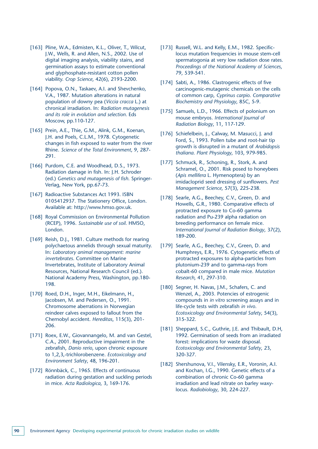- [163] Pline, W.A., Edmisten, K.L., Oliver, T., Wilcut, J.W., Wells, R. and Allen, N.S., 2002. Use of digital imaging analysis, viability stains, and germination assays to estimate conventional and glyphosphate-resistant cotton pollen viability. *Crop Science*, 42(6), 2193-2200.
- [164] Popova, O.N., Taskaev, A.I. and Shevchenko, V.A., 1987. Mutation alterations in natural population of downy pea (*Viccia cracca* L.) at chronical irradiation. In: *Radiation mutagenesis and its role in evolution and selection*. Eds Moscow, pp.110-127.
- [165] Prein, A.E., Thie, G.M., Alink, G.M., Koenan, J.H. and Poels, C.L.M., 1978. Cytogenetic changes in fish exposed to water from the river Rhine. *Science of the Total Environment*, 9, 287- 291.
- [166] Purdom, C.E. and Woodhead, D.S., 1973. Radiation damage in fish. In: J.H. Schroder (ed.) *Genetics and mutagenesis of fish*. Springer-Verlag, New York, pp.67-73.
- [167] Radioactive Substances Act 1993. ISBN 0105412937. The Stationery Office, London. Available at: http://www.hmso.gov.uk.
- [168] Royal Commission on Environmental Pollution (RCEP), 1996. *Sustainable use of soil*. HMSO, London.
- [169] Reish, D.J., 1981. Culture methods for rearing polychaetous annelids through sexual maturity. In: *Laboratory animal management: marine invertebrates*. Committee on Marine Invertebrates, Institute of Laboratory Animal Resources, National Research Council (ed.). National Academy Press, Washington, pp.180- 198.
- [170] Roed, D.H., Inger, M.H., Eikelmann, H., Jacobsen, M. and Pedersen, O., 1991. Chromosome aberrations in Norwegian reindeer calves exposed to fallout from the Chernobyl accident. *Hereditas*, 115(3), 201- 206.
- [171] Roex, E.W., Giovannangelo, M. and van Gestel, C.A., 2001. Reproductive impairment in the zebrafish, *Danio rerio*, upon chronic exposure to 1,2,3,-trichlorobenzene. *Ecotoxicology and Environment Safety*, 48, 196-201.
- [172] Rönnbäck, C., 1965. Effects of continuous radiation during gestation and suckling periods in mice. *Acta Radiologica*, 3, 169-176.
- [173] Russell, W.L. and Kelly, E.M., 1982. Specificlocus mutation frequencies in mouse stem-cell spermatogonia at very low radiation dose rates. *Proceedings of the National Academy of Sciences*, 79, 539-541.
- [174] Sabti, A., 1986. Clastrogenic effects of five carcinogenic-mutagenic chemicals on the cells of common carp, *Cyprinus carpio*. *Comparative Biochemistry and Physiology*, 85C, 5-9.
- [175] Samuels, L.D., 1966. Effects of polonium on mouse embryos. *International Journal of Radiation Biology*, 11, 117-129.
- [176] Schiefelbein, J., Calway, M. Masucci, J. and Ford, S., 1993. Pollen tube and root-hair tip growth is disrupted in a mutant of *Arabidopsis thaliana*. *Plant Physiology*, 103, 979-985.
- [177] Schmuck, R., Schoning, R., Stork, A. and Schramel, O., 2001. Risk posed to honeybees (*Apis mellifera* L. Hymenoptera) by an imidacloprid seed dressing of sunflowers. *Pest Management Science*, 57(3), 225-238.
- [178] Searle, A.G., Beechey, C.V., Green, D. and Howells, G.R., 1980. Comparative effects of protracted exposure to Co-60 gamma radiation and Pu-239 alpha radiation on breeding performance on female mice. *International Journal of Radiation Biology*, 37(2), 189-200.
- [179] Searle, A.G., Beechey, C.V., Green, D. and Humphreys, E.R., 1976. Cytogenetic effects of protracted exposures to alpha-particles from plutonium-239 and to gamma-rays from cobalt-60 compared in male mice. *Mutation Research*, 41, 297-310.
- [180] Segner, H. Navas, J.M., Schafers, C. and Wenzel, A., 2003. Potencies of estrogenic compounds in *in vitro* screening assays and in life-cycle tests with zebrafish *in vivo*. *Ecotoxicology and Environmental Safety*, 54(3), 315-322.
- [181] Sheppard, S.C., Guthrie, J.E. and Thibault, D.H, 1992. Germination of seeds from an irradiated forest: implications for waste disposal. *Ecotoxicology and Environmental Safety*, 23, 320-327.
- [182] Shershunova, V.I., Vilensky, E.R., Voronin, A.I. and Kochan, I.G., 1990. Genetic effects of a combination of chronic Co-60 gamma irradiation and lead nitrate on barley waxylocus. *Radiobiology*, 30, 224-227.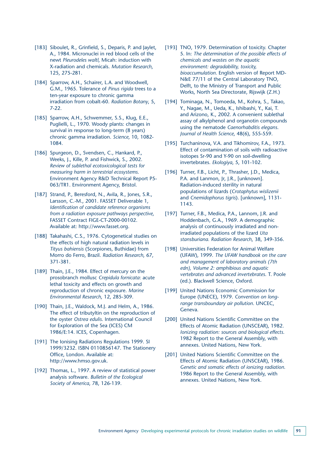- [183] Siboulet, R., Grinfield, S., Deparis, P. and Jaylet, A., 1984. Micronuclei in red blood cells of the newt *Pleurodeles waltl*, Micah: induction with X-radiation and chemicals. *Mutation Research*, 125, 275-281.
- [184] Sparrow, A.H., Schairer, L.A. and Woodwell, G.M., 1965. Tolerance of *Pinus rigida* trees to a ten-year exposure to chronic gamma irradiation from cobalt-60. *Radiation Botany*, 5, 7-22.
- [185] Sparrow, A.H., Schwemmer, S.S., Klug, E.E., Puglielli, L., 1970. Woody plants: changes in survival in response to long-term (8 years) chronic gamma irradiation. *Science*, 10, 1082- 1084.
- [186] Spurgeon, D., Svendsen, C., Hankard, P., Weeks, J., Kille, P. and Fishwick, S., 2002. *Review of sublethal ecotoxicological tests for measuring harm in terrestrial ecosystems*. Environment Agency R&D Technical Report P5- 063/TR1. Environment Agency, Bristol.
- [187] Strand, P., Beresford, N., Avila, R., Jones, S.R., Larsson, C.-M., 2001. FASSET Deliverable 1, *Identification of candidate reference organisms from a radiation exposure pathways perspective*, FASSET Contract FIGE-CT-2000-00102. Available at: http://www.fasset.org.
- [188] Takahashi, C.S., 1976. Cytogenetical studies on the effects of high natural radiation levels in *Tityus bahiensis* (Scorpiones, Buthidae) from Morro do Ferro, Brazil. *Radiation Research*, 67, 371-381.
- [189] Thain, J.E., 1984. Effect of mercury on the prosobranch mollusc *Crepidula fornicata*: acute lethal toxicity and effects on growth and reproduction of chronic exposure. *Marine Environmental Research*, 12, 285-309.
- [190] Thain, J.E., Waldock, M.J. and Helm, A., 1986. The effect of tributyltin on the reproduction of the oyster *Ostrea edulis*. International Council for Exploration of the Sea (ICES) CM 1986/E:14. ICES, Copenhagen.
- [191] The Ionising Radiations Regulations 1999. SI 1999/3232. ISBN 0110856147. The Stationery Office, London. Available at: http://www.hmso.gov.uk.
- [192] Thomas, L., 1997. A review of statistical power analysis software. *Bulletin of the Ecological Society of America*, 78, 126-139.
- [193] TNO, 1979. Determination of toxicity. Chapter 5. In: *The determination of the possible effects of chemicals and wastes on the aquatic environment: degradability, toxicity, bioaccumulation*. English version of Report MD-N&E 77/11 of the Central Laboratory TNO, Delft, to the Ministry of Transport and Public Works, North Sea Directorate, Rijswijk (Z.H.)
- [194] Tominaga, N., Tomoeda, M., Kohra, S., Takao, Y., Nagae, M., Ueda, K., Ishibashi, Y., Kai, T. and Arizono, K., 2002. A convenient sublethal assay of alkylphenol and organotin compounds using the nematode *Caenorhabditis elegans*. *Journal of Health Science*, 48(6), 555-559.
- [195] Turchaninova, V.A. and Tikhomirov, F.A., 1973. Effect of contamination of soils with radioactive isotopes Sr-90 and Y-90 on soil-dwelling invertebrates. *Ekologiya*, 5, 101-102.
- [196] Turner, F.B., Licht, P., Thrasher, J.D., Medica, P.A. and Lanmon, Jr, J.R., [unknown]. Radiation-induced sterility in natural populations of lizards (*Crotaphytus wislizenii* and *Cnemidophorus tigris*). [unknown], 1131- 1143.
- [197] Turner, F.B., Medica, P.A., Lannom, J.R. and Hoddenbach, G.A., 1969. A demographic analysis of continuously irradiated and nonirradiated populations of the lizard *Uta stansburiana. Radiation Research*, 38, 349-356.
- [198] Universities Federation for Animal Welfare (UFAW), 1999. *The UFAW handbook on the care and management of laboratory animals (7th edn), Volume 2: amphibious and aquatic vertebrates and advanced invertebrates*. T. Poole (ed.). Blackwell Science, Oxford.
- [199] United Nations Economic Commission for Europe (UNECE), 1979. *Convention on longrange transboundary air pollution*. UNCEC, Geneva.
- [200] United Nations Scientific Committee on the Effects of Atomic Radiation (UNSCEAR), 1982. *Ionizing radiation: sources and biological effects*. 1982 Report to the General Assembly, with annexes. United Nations, New York.
- [201] United Nations Scientific Committee on the Effects of Atomic Radiation (UNSCEAR), 1986. *Genetic and somatic effects of ionizing radiation*. 1986 Report to the General Assembly, with annexes. United Nations, New York.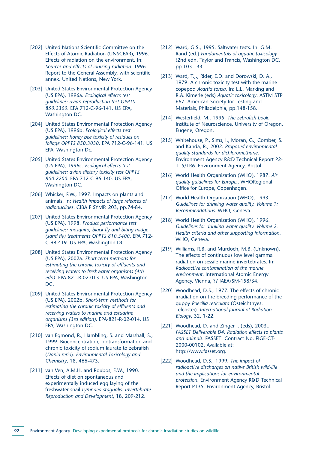- [202] United Nations Scientific Committee on the Effects of Atomic Radiation (UNSCEAR), 1996. Effects of radiation on the environment. In: *Sources and effects of ionizing radiation*. 1996 Report to the General Assembly, with scientific annex. United Nations, New York.
- [203] United States Environmental Protection Agency (US EPA), 1996a. *Ecological effects test guidelines: avian reproduction test OPPTS 850.2300*. EPA 712-C-96-141. US EPA, Washington DC.
- [204] United States Environmental Protection Agency (US EPA), 1996b. *Ecological effects test guidelines: honey bee toxicity of residues on foliage OPPTS 850.3030*. EPA 712-C-96-141. US EPA, Washington Dc.
- [205] United States Environmental Protection Agency (US EPA), 1996c. *Ecological effects test guidelines: avian dietary toxicity test OPPTS 850.2200*. EPA 712-C-96-140. US EPA, Washington DC.
- [206] Whicker, F.W., 1997. Impacts on plants and animals. In: *Health impacts of large releases of radionuclides*. CIBA F SYMP. 203, pp.74-84.
- [207] United States Environmental Protection Agency (US EPA), 1998. *Product performance test guidelines: mosquito, black fly and biting midge (sand fly) treatments OPPTS 810.3400*. EPA 712- C-98-419. US EPA, Washington DC.
- [208] United States Environmental Protection Agency (US EPA), 2002a. *Short-term methods for estimating the chronic toxicity of effluents and receiving waters to freshwater organisms (4th edn)*. EPA-821-R-02-013. US EPA, Washington DC.
- [209] United States Environmental Protection Agency (US EPA), 2002b. *Short-term methods for estimating the chronic toxicity of effluents and receiving waters to marine and estuarine organisms (3rd edition)*. EPA-821-R-02-014. US EPA, Washington DC.
- [210] van Egmond, R., Hambling, S. and Marshall, S., 1999. Bioconcentration, biotransformation and chronic toxicity of sodium laurate to zebrafish (*Danio rerio*). *Environmental Toxicology and Chemistry*, 18, 466-473.
- [211] van Ven, A.M.H. and Roubos, E.W., 1990. Effects of diet on spontaneous and experimentally induced egg laying of the freshwater snail *Lymnaea stagnalis*. *Invertebrate Reproduction and Development*, 18, 209-212.
- [212] Ward, G.S., 1995. Saltwater tests. In: G.M. Rand (ed.) *Fundamentals of aquatic toxicology* (2nd edn. Taylor and Francis, Washington DC, pp.103-133.
- [213] Ward, T.J., Rider, E.D. and Dorowski, D. A., 1979. A chronic toxicity test with the marine copepod *Acartia tonsa*. In: L.L. Marking and R.A. Kimerle (eds) *Aquatic toxicology*. ASTM STP 667. American Society for Testing and Materials, Philadelphia, pp.148-158.
- [214] Westerfield, M., 1995. *The zebrafish book*. Institute of Neuroscience, University of Oregon, Eugene, Oregon.
- [215] Whitehouse, P., Sims, I., Moran, G., Comber, S. and Kanda, R., 2002. *Proposed environmental quality standards for dichloromethane*. Environment Agency R&D Technical Report P2- 115/TR6. Environment Agency, Bristol.
- [216] World Health Organization (WHO), 1987. *Air quality guidelines for Europe*., WHORegional Office for Europe, Copenhagen.
- [217] World Health Organization (WHO), 1993. *Guidelines for drinking water quality. Volume 1: Recommendations*. WHO, Geneva.
- [218] World Health Organization (WHO), 1996. *Guidelines for drinking water quality. Volume 2: Health criteria and other supporting information*. WHO, Geneva.
- [219] Williams, R.B. and Murdoch, M.B. (Unknown). The effects of continuous low level gamma radiation on sessile marine invertebrates. In: *Radioactive contamination of the marine environment*. International Atomic Energy Agency, Vienna, ?? IAEA/SM-158/34.
- [220] Woodhead, D.S., 1977. The effects of chronic irradiation on the breeding performance of the guppy *Poecilia reticulata* (Osteichthyes: Teleostei). *International Journal of Radiation Biology*, 32, 1-22.
- [221] Woodhead, D. and Zinger I. (eds), 2003.. *FASSET Deliverable D4: Radiation effects to plants and animals*. FASSET Contract No. FIGE-CT-2000-00102. Available at: http://www.fasset.org.
- [222] Woodhead, D.S., 1999. *The impact of radioactive discharges on native British wild-life and the implications for environmental protection*. Environment Agency R&D Technical Report P135, Environment Agency, Bristol.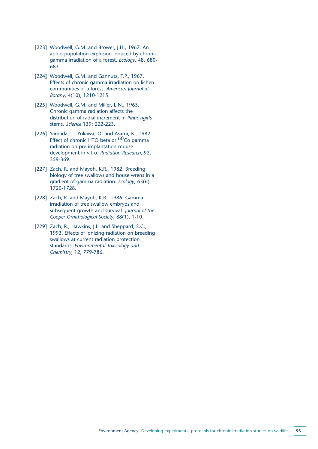- [223] Woodwell, G.M. and Brower, J.H., 1967. An aphid population explosion induced by chronic gamma irradiation of a forest. *Ecology*, 48, 680- 683.
- [224] Woodwell, G.M. and Gannutz, T.P., 1967. Effects of chronic gamma irradiation on lichen communities of a forest. *American Journal of Botany*, 4(10), 1210-1215.
- [225] Woodwell, G.M. and Miller, L.N., 1963. Chronic gamma radiation affects the distribution of radial increment in *Pinus rigida* stems. *Science* 139: 222-223.
- [226] Yamada, T., Yukawa, O. and Asami, K., 1982. Effect of chronic HTO beta or <sup>60</sup>Co gamma radiation on pre-implantation mouse development in vitro. *Radiation Research*, 92, 359-369.
- [227] Zach, R. and Mayoh, K.R., 1982. Breeding biology of tree swallows and house wrens in a gradient of gamma radiation. *Ecology*, 63(6), 1720-1728.
- [228] Zach, R. and Mayoh, K.R., 1986. Gamma irradiation of tree swallow embryos and subsequent growth and survival. *Journal of the Cooper Ornithological Society*, 88(1), 1-10.
- [229] Zach, R., Hawkins, J.L. and Sheppard, S.C., 1993. Effects of ionizing radiation on breeding swallows at current radiation protection standards. *Environmental Toxicology and Chemistry*, 12, 779-786.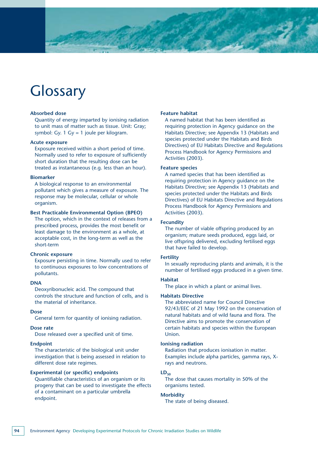## **Glossary**

#### **Absorbed dose**

Quantity of energy imparted by ionising radiation to unit mass of matter such as tissue. Unit: Gray; symbol: Gy. 1 Gy = 1 joule per kilogram.

#### **Acute exposure**

Exposure received within a short period of time. Normally used to refer to exposure of sufficiently short duration that the resulting dose can be treated as instantaneous (e.g. less than an hour).

#### **Biomarker**

A biological response to an environmental pollutant which gives a measure of exposure. The response may be molecular, cellular or whole organism.

#### **Best Practicable Environmental Option (BPEO)**

The option, which in the context of releases from a prescribed process, provides the most benefit or least damage to the environment as a whole, at acceptable cost, in the long-term as well as the short-term

#### **Chronic exposure**

Exposure persisting in time. Normally used to refer to continuous exposures to low concentrations of pollutants.

#### **DNA**

Deoxyribonucleic acid. The compound that controls the structure and function of cells, and is the material of inheritance.

#### **Dose**

General term for quantity of ionising radiation.

#### **Dose rate**

Dose released over a specified unit of time.

#### **Endpoint**

The characteristic of the biological unit under investigation that is being assessed in relation to different dose rate regimes.

#### **Experimental (or specific) endpoints**

Quantifiable characteristics of an organism or its progeny that can be used to investigate the effects of a contaminant on a particular umbrella endpoint.

#### **Feature habitat**

A named habitat that has been identified as requiring protection in Agency guidance on the Habitats Directive; see Appendix 13 (Habitats and species protected under the Habitats and Birds Directives) of EU Habitats Directive and Regulations Process Handbook for Agency Permissions and Activities (2003).

#### **Feature species**

A named species that has been identified as requiring protection in Agency guidance on the Habitats Directive; see Appendix 13 (Habitats and species protected under the Habitats and Birds Directives) of EU Habitats Directive and Regulations Process Handbook for Agency Permissions and Activities (2003).

#### **Fecundity**

The number of viable offspring produced by an organism; mature seeds produced, eggs laid, or live offspring delivered, excluding fertilised eggs that have failed to develop.

#### **Fertility**

In sexually reproducing plants and animals, it is the number of fertilised eggs produced in a given time.

#### **Habitat**

The place in which a plant or animal lives.

#### **Habitats Directive**

The abbreviated name for Council Directive 92/43/EEC of 21 May 1992 on the conservation of natural habitats and of wild fauna and flora. The Directive aims to promote the conservation of certain habitats and species within the European Union.

#### **Ionising radiation**

Radiation that produces ionisation in matter. Examples include alpha particles, gamma rays, Xrays and neutrons.

#### $LD_{50}$

The dose that causes mortality in 50% of the organisms tested.

#### **Morbidity**

The state of being diseased.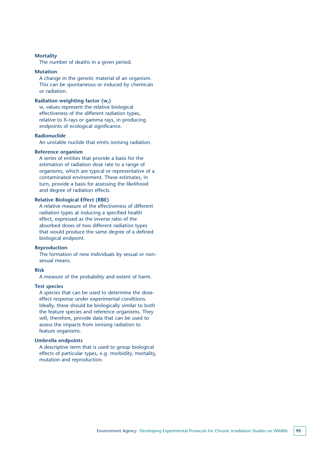#### **Mortality**

The number of deaths in a given period.

#### **Mutation**

A change in the genetic material of an organism. This can be spontaneous or induced by chemicals or radiation.

#### **Radiation weighting factor (w,)**

w, values represent the relative biological effectiveness of the different radiation types, relative to X-rays or gamma rays, in producing endpoints of ecological significance.

#### **Radionuclide**

An unstable nuclide that emits ionising radiation.

#### **Reference organism**

A series of entities that provide a basis for the estimation of radiation dose rate to a range of organisms, which are typical or representative of a contaminated environment. These estimates, in turn, provide a basis for assessing the likelihood and degree of radiation effects.

#### **Relative Biological Effect (RBE)**

A relative measure of the effectiveness of different radiation types at inducing a specified health effect, expressed as the inverse ratio of the absorbed doses of two different radiation types that would produce the same degree of a defined biological endpoint.

#### **Reproduction**

The formation of new individuals by sexual or nonsexual means.

#### **Risk**

A measure of the probability and extent of harm.

#### **Test species**

A species that can be used to determine the doseeffect response under experimental conditions. Ideally, these should be biologically similar to both the feature species and reference organisms. They will, therefore, provide data that can be used to assess the impacts from ionising radiation to feature organisms.

#### **Umbrella endpoints**

A descriptive term that is used to group biological effects of particular types, e.g. morbidity, mortality, mutation and reproduction.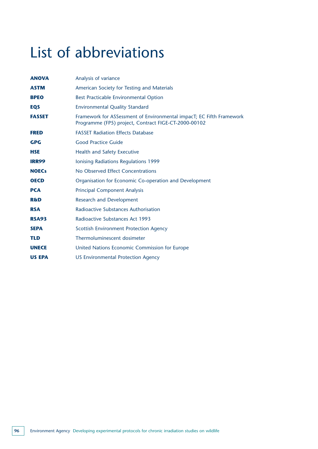# List of abbreviations

| <b>ANOVA</b>   | Analysis of variance                                                                                                         |
|----------------|------------------------------------------------------------------------------------------------------------------------------|
| <b>ASTM</b>    | American Society for Testing and Materials                                                                                   |
| <b>BPEO</b>    | Best Practicable Environmental Option                                                                                        |
| <b>EQS</b>     | <b>Environmental Quality Standard</b>                                                                                        |
| <b>FASSET</b>  | Framework for ASSessment of Environmental impacT; EC Fifth Framework<br>Programme (FP5) project, Contract FIGE-CT-2000-00102 |
| <b>FRED</b>    | <b>FASSET Radiation Effects Database</b>                                                                                     |
| <b>GPG</b>     | <b>Good Practice Guide</b>                                                                                                   |
| <b>HSE</b>     | Health and Safety Executive                                                                                                  |
| <b>IRR99</b>   | Ionising Radiations Regulations 1999                                                                                         |
| <b>NOECs</b>   | No Observed Effect Concentrations                                                                                            |
| <b>OECD</b>    | Organisation for Economic Co-operation and Development                                                                       |
| <b>PCA</b>     | <b>Principal Component Analysis</b>                                                                                          |
| <b>R&amp;D</b> | <b>Research and Development</b>                                                                                              |
| <b>RSA</b>     | Radioactive Substances Authorisation                                                                                         |
| <b>RSA93</b>   | <b>Radioactive Substances Act 1993</b>                                                                                       |
| <b>SEPA</b>    | <b>Scottish Environment Protection Agency</b>                                                                                |
| <b>TLD</b>     | Thermoluminescent dosimeter                                                                                                  |
| <b>UNECE</b>   | United Nations Economic Commission for Europe                                                                                |
| <b>US EPA</b>  | <b>US Environmental Protection Agency</b>                                                                                    |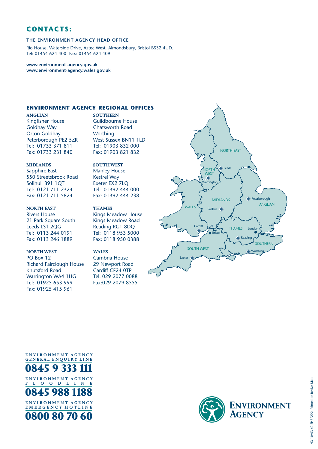### **CONTACTS:**

#### **THE ENVIRONMENT AGENCY HEAD OFFICE**

Rio House, Waterside Drive, Aztec West, Almondsbury, Bristol BS32 4UD. Tel: 01454 624 400 Fax: 01454 624 409

**www.environment-agency.gov.uk www.environment-agency.wales.gov.uk**

#### **ENVIRONMENT AGENCY REGIONAL OFFICES**

**ANGLIAN** Kingfisher House Goldhay Way Orton Goldhay Peterborough PE2 5ZR Tel: 01733 371 811 Fax: 01733 231 840

**SOUTHERN** Guildbourne House Chatsworth Road **Worthing** West Sussex BN11 1LD Tel: 01903 832 000 Fax: 01903 821 832

#### **MIDLANDS**

Sapphire East 550 Streetsbrook Road Solihull B91 1QT Tel: 0121 711 2324 Fax: 0121 711 5824

#### **NORTH EAST**

Rivers House 21 Park Square South Leeds LS1 2QG Tel: 0113 244 0191 Fax: 0113 246 1889

#### **NORTH WEST**

PO Box 12 Richard Fairclough House Knutsford Road Warrington WA4 1HG Tel: 01925 653 999 Fax: 01925 415 961

Manley House Kestrel Way Exeter EX2 7LQ Tel: 01392 444 000 Fax: 01392 444 238 **THAMES**

**SOUTH WEST**

Kings Meadow House Kings Meadow Road Reading RG1 8DQ Tel: 0118 953 5000 Fax: 0118 950 0388

### **WALES**

Cambria House 29 Newport Road Cardiff CF24 0TP Tel: 029 2077 0088 Fax:029 2079 8555









**ENVIRONME NT AGENCY E M E R G E NCY H O TLINE**